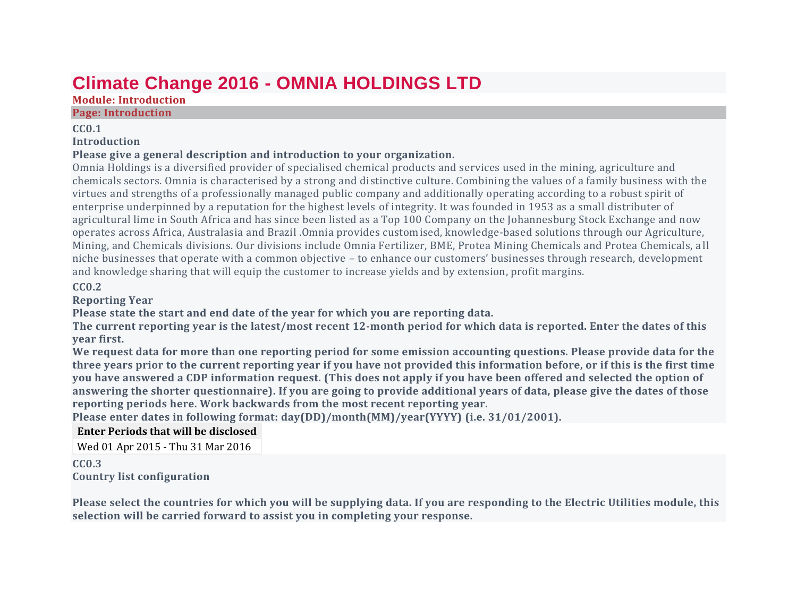# **Climate Change 2016 - OMNIA HOLDINGS LTD**

# **Module: Introduction**

### **Page: Introduction**

### **CC0.1**

# **Introduction**

# **Please give a general description and introduction to your organization.**

Omnia Holdings is a diversified provider of specialised chemical products and services used in the mining, agriculture and chemicals sectors. Omnia is characterised by a strong and distinctive culture. Combining the values of a family business with the virtues and strengths of a professionally managed public company and additionally operating according to a robust spirit of enterprise underpinned by a reputation for the highest levels of integrity. It was founded in 1953 as a small distributer of agricultural lime in South Africa and has since been listed as a Top 100 Company on the Johannesburg Stock Exchange and now operates across Africa, Australasia and Brazil .Omnia provides customised, knowledge-based solutions through our Agriculture, Mining, and Chemicals divisions. Our divisions include Omnia Fertilizer, BME, Protea Mining Chemicals and Protea Chemicals, a ll niche businesses that operate with a common objective – to enhance our customers' businesses through research, development and knowledge sharing that will equip the customer to increase yields and by extension, profit margins.

# **CC0.2**

# **Reporting Year**

**Please state the start and end date of the year for which you are reporting data.**

The current reporting year is the latest/most recent 12-month period for which data is reported. Enter the dates of this **year first.**

We request data for more than one reporting period for some emission accounting questions. Please provide data for the three years prior to the current reporting year if you have not provided this information before, or if this is the first time you have answered a CDP information request. (This does not apply if you have been offered and selected the option of answering the shorter questionnaire). If you are going to provide additional years of data, please give the dates of those **reporting periods here. Work backwards from the most recent reporting year.**

**Please enter dates in following format: day(DD)/month(MM)/year(YYYY) (i.e. 31/01/2001).**

# **Enter Periods that will be disclosed**

Wed 01 Apr 2015 - Thu 31 Mar 2016

**CC0.3 Country list configuration**

Please select the countries for which you will be supplying data. If you are responding to the Electric Utilities module, this **selection will be carried forward to assist you in completing your response.**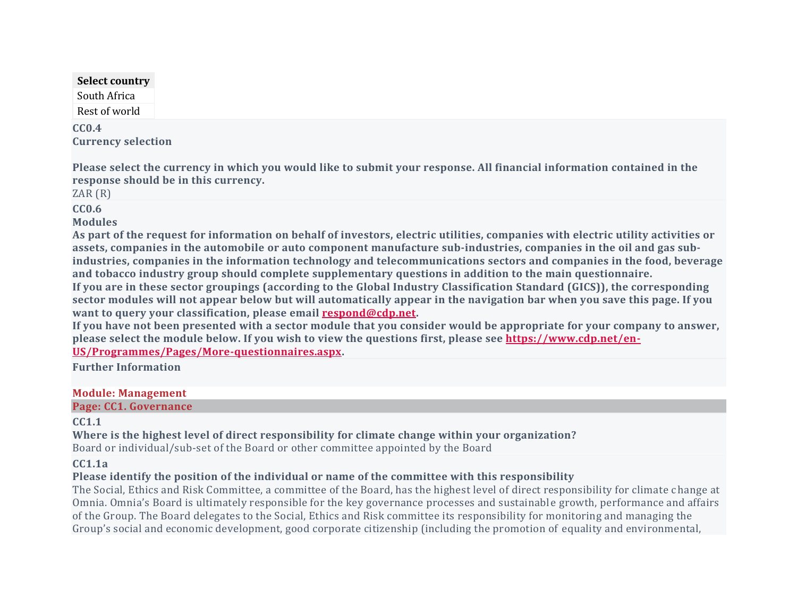# **Select country**

South Africa Rest of world

**CC0.4 Currency selection**

Please select the currency in which you would like to submit your response. All financial information contained in the **response should be in this currency.**

ZAR (R)

**CC0.6**

**Modules**

As part of the request for information on behalf of investors, electric utilities, companies with electric utility activities or assets, companies in the automobile or auto component manufacture sub-industries, companies in the oil and gas sub**industries, companies in the information technology and telecommunications sectors and companies in the food, beverage and tobacco industry group should complete supplementary questions in addition to the main questionnaire.** If you are in these sector groupings (according to the Global Industry Classification Standard (GICS)), the corresponding sector modules will not appear below but will automatically appear in the navigation bar when you save this page. If you **want to query your classification, please email [respond@cdp.net.](mailto:respond@cdp.net)**

If you have not been presented with a sector module that you consider would be appropriate for your company to answer. **please select the module below. If you wish to view the questions first, please see [https://www.cdp.net/en-](https://www.cdp.net/en-US/Programmes/Pages/More-questionnaires.aspx)[US/Programmes/Pages/More-questionnaires.aspx.](https://www.cdp.net/en-US/Programmes/Pages/More-questionnaires.aspx)**

**Further Information**

### **Module: Management**

**Page: CC1. Governance**

# **CC1.1**

**Where is the highest level of direct responsibility for climate change within your organization?**

Board or individual/sub-set of the Board or other committee appointed by the Board

# **CC1.1a**

# **Please identify the position of the individual or name of the committee with this responsibility**

The Social, Ethics and Risk Committee, a committee of the Board, has the highest level of direct responsibility for climate c hange at Omnia. Omnia's Board is ultimately responsible for the key governance processes and sustainabl e growth, performance and affairs of the Group. The Board delegates to the Social, Ethics and Risk committee its responsibility for monitoring and managing the Group's social and economic development, good corporate citizenship (including the promotion of equality and environmental,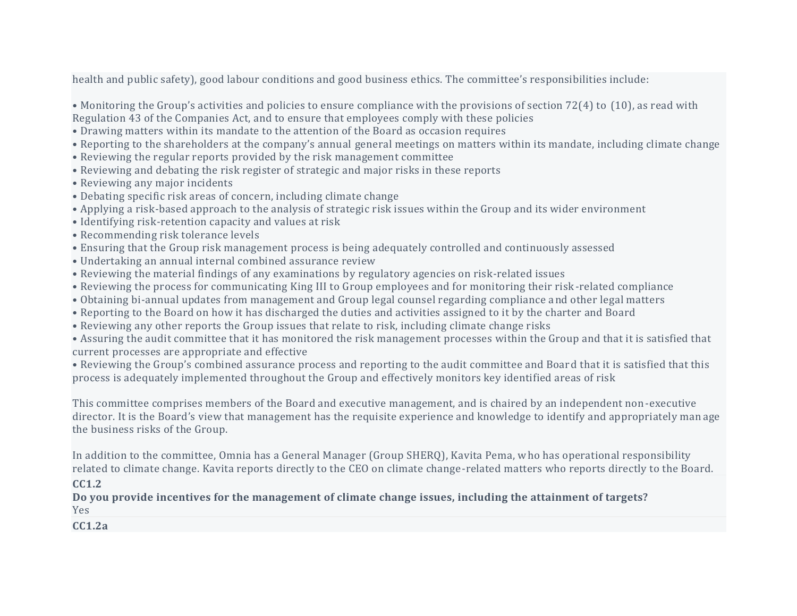health and public safety), good labour conditions and good business ethics. The committee's responsibilities include:

• Monitoring the Group's activities and policies to ensure compliance with the provisions of section 72(4) to (10), as read with Regulation 43 of the Companies Act, and to ensure that employees comply with these policies

- Drawing matters within its mandate to the attention of the Board as occasion requires
- Reporting to the shareholders at the company's annual general meetings on matters within its mandate, including climate change
- Reviewing the regular reports provided by the risk management committee
- Reviewing and debating the risk register of strategic and major risks in these reports
- Reviewing any major incidents
- Debating specific risk areas of concern, including climate change
- Applying a risk-based approach to the analysis of strategic risk issues within the Group and its wider environment
- Identifying risk-retention capacity and values at risk
- Recommending risk tolerance levels
- Ensuring that the Group risk management process is being adequately controlled and continuously assessed
- Undertaking an annual internal combined assurance review
- Reviewing the material findings of any examinations by regulatory agencies on risk-related issues
- Reviewing the process for communicating King III to Group employees and for monitoring their risk-related compliance
- Obtaining bi-annual updates from management and Group legal counsel regarding compliance and other legal matters
- Reporting to the Board on how it has discharged the duties and activities assigned to it by the charter and Board
- Reviewing any other reports the Group issues that relate to risk, including climate change risks

• Assuring the audit committee that it has monitored the risk management processes within the Group and that it is satisfied that current processes are appropriate and effective

• Reviewing the Group's combined assurance process and reporting to the audit committee and Board that it is satisfied that this process is adequately implemented throughout the Group and effectively monitors key identified areas of risk

This committee comprises members of the Board and executive management, and is chaired by an independent non-executive director. It is the Board's view that management has the requisite experience and knowledge to identify and appropriately man age the business risks of the Group.

In addition to the committee, Omnia has a General Manager (Group SHERQ), Kavita Pema, who has operational responsibility related to climate change. Kavita reports directly to the CEO on climate change-related matters who reports directly to the Board.

# **CC1.2**

**Do you provide incentives for the management of climate change issues, including the attainment of targets?** Yes

**CC1.2a**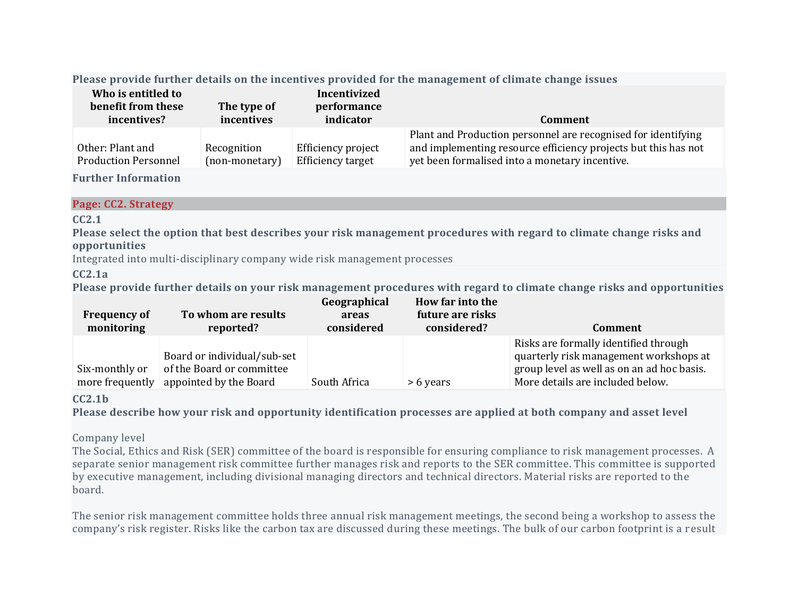### **Please provide further details on the incentives provided for the management of climate change issues**

| Who is entitled to<br>benefit from these<br>incentives? | The type of<br>incentives     | Incentivized<br>performance<br>indicator | Comment                                                                                                                                                                           |
|---------------------------------------------------------|-------------------------------|------------------------------------------|-----------------------------------------------------------------------------------------------------------------------------------------------------------------------------------|
| Other: Plant and<br><b>Production Personnel</b>         | Recognition<br>(non-monetary) | Efficiency project<br>Efficiency target  | Plant and Production personnel are recognised for identifying<br>and implementing resource efficiency projects but this has not<br>yet been formalised into a monetary incentive. |

### **Further Information**

### **Page: CC2. Strategy**

# **CC2.1**

Please select the option that best describes your risk management procedures with regard to climate change risks and **opportunities**

Integrated into multi-disciplinary company wide risk management processes

# **CC2.1a**

Please provide further details on your risk management procedures with regard to climate change risks and opportunities

| <b>Frequency of</b><br>monitoring | To whom are results<br>reported?                                                   | Geographical<br>areas<br>considered | How far into the<br>future are risks<br>considered? | <b>Comment</b>                                                                                                                                                    |
|-----------------------------------|------------------------------------------------------------------------------------|-------------------------------------|-----------------------------------------------------|-------------------------------------------------------------------------------------------------------------------------------------------------------------------|
| Six-monthly or<br>more frequently | Board or individual/sub-set<br>of the Board or committee<br>appointed by the Board | South Africa                        | > 6 years                                           | Risks are formally identified through<br>quarterly risk management workshops at<br>group level as well as on an ad hoc basis.<br>More details are included below. |

### **CC2.1b**

Please describe how your risk and opportunity identification processes are applied at both company and asset level

# Company level

The Social, Ethics and Risk (SER) committee of the board is responsible for ensuring compliance to risk management processes. A separate senior management risk committee further manages risk and reports to the SER committee. This committee is supported by executive management, including divisional managing directors and technical directors. Material risks are reported to the board.

The senior risk management committee holds three annual risk management meetings, the second being a workshop to assess the company's risk register. Risks like the carbon tax are discussed during these meetings. The bulk of our carbon footprint is a r esult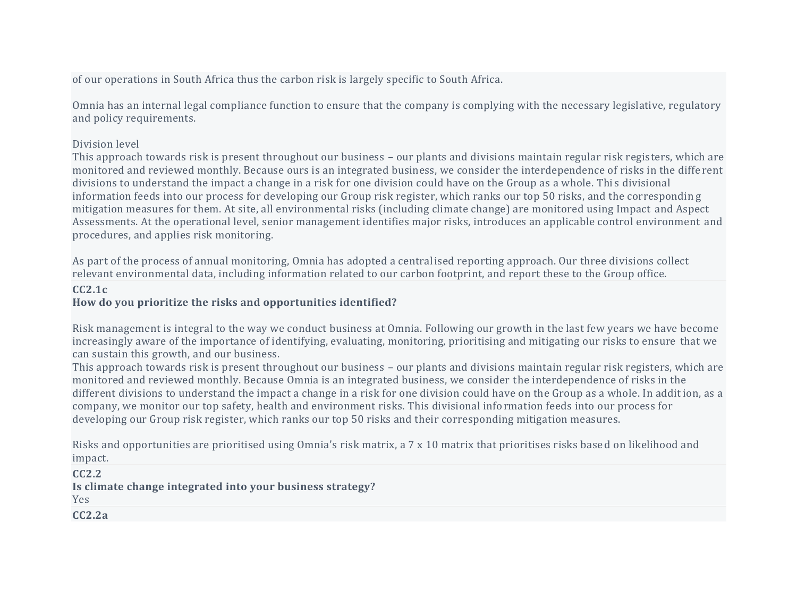of our operations in South Africa thus the carbon risk is largely specific to South Africa.

Omnia has an internal legal compliance function to ensure that the company is complying with the necessary legislative, regulatory and policy requirements.

### Division level

This approach towards risk is present throughout our business – our plants and divisions maintain regular risk registers, which are monitored and reviewed monthly. Because ours is an integrated business, we consider the interdependence of risks in the diffe rent divisions to understand the impact a change in a risk for one division could have on the Group as a whole. Thi s divisional information feeds into our process for developing our Group risk register, which ranks our top 50 risks, and the correspondin g mitigation measures for them. At site, all environmental risks (including climate change) are monitored using Impact and Aspect Assessments. At the operational level, senior management identifies major risks, introduces an applicable control environment and procedures, and applies risk monitoring.

As part of the process of annual monitoring, Omnia has adopted a centralised reporting approach. Our three divisions collect relevant environmental data, including information related to our carbon footprint, and report these to the Group office.

# **CC2.1c**

# **How do you prioritize the risks and opportunities identified?**

Risk management is integral to the way we conduct business at Omnia. Following our growth in the last few years we have become increasingly aware of the importance of identifying, evaluating, monitoring, prioritising and mitigating our risks to ensure that we can sustain this growth, and our business.

This approach towards risk is present throughout our business – our plants and divisions maintain regular risk registers, which are monitored and reviewed monthly. Because Omnia is an integrated business, we consider the interdependence of risks in the different divisions to understand the impact a change in a risk for one division could have on the Group as a whole. In addition, as a company, we monitor our top safety, health and environment risks. This divisional information feeds into our process for developing our Group risk register, which ranks our top 50 risks and their corresponding mitigation measures.

Risks and opportunities are prioritised using Omnia's risk matrix, a 7 x 10 matrix that prioritises risks base d on likelihood and impact.

**CC2.2 Is climate change integrated into your business strategy?** Yes **CC2.2a**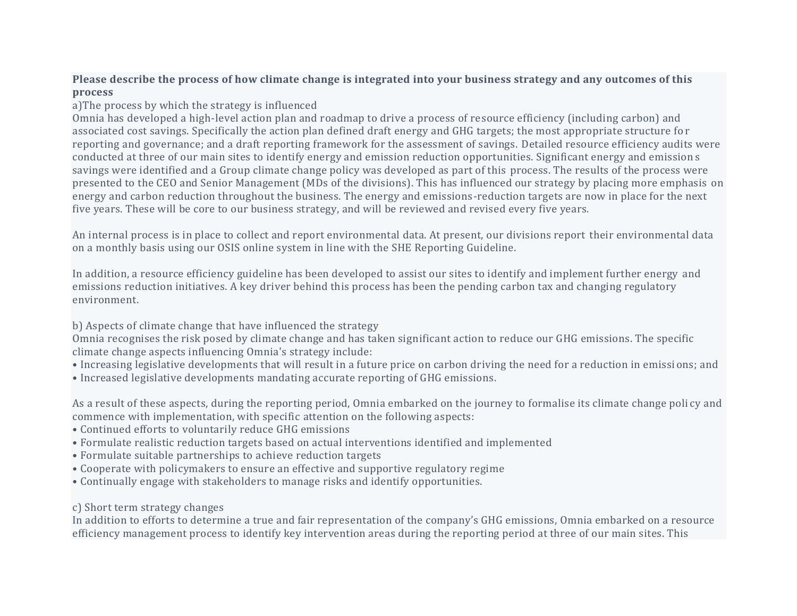### Please describe the process of how climate change is integrated into your business strategy and any outcomes of this **process**

a)The process by which the strategy is influenced

Omnia has developed a high-level action plan and roadmap to drive a process of resource efficiency (including carbon) and associated cost savings. Specifically the action plan defined draft energy and GHG targets; the most appropriate structure fo r reporting and governance; and a draft reporting framework for the assessment of savings. Detailed resource efficiency audits were conducted at three of our main sites to identify energy and emission reduction opportunities. Significant energy and emission s savings were identified and a Group climate change policy was developed as part of this process. The results of the process were presented to the CEO and Senior Management (MDs of the divisions). This has influenced our strategy by placing more emphasis on energy and carbon reduction throughout the business. The energy and emissions-reduction targets are now in place for the next five years. These will be core to our business strategy, and will be reviewed and revised every five years.

An internal process is in place to collect and report environmental data. At present, our divisions report their environmental data on a monthly basis using our OSIS online system in line with the SHE Reporting Guideline.

In addition, a resource efficiency guideline has been developed to assist our sites to identify and implement further energy and emissions reduction initiatives. A key driver behind this process has been the pending carbon tax and changing regulatory environment.

b) Aspects of climate change that have influenced the strategy

Omnia recognises the risk posed by climate change and has taken significant action to reduce our GHG emissions. The specific climate change aspects influencing Omnia's strategy include:

- Increasing legislative developments that will result in a future price on carbon driving the need for a reduction in emissi ons; and
- Increased legislative developments mandating accurate reporting of GHG emissions.

As a result of these aspects, during the reporting period, Omnia embarked on the journey to formalise its climate change poli cy and commence with implementation, with specific attention on the following aspects:

- Continued efforts to voluntarily reduce GHG emissions
- Formulate realistic reduction targets based on actual interventions identified and implemented
- Formulate suitable partnerships to achieve reduction targets
- Cooperate with policymakers to ensure an effective and supportive regulatory regime
- Continually engage with stakeholders to manage risks and identify opportunities.
- c) Short term strategy changes

In addition to efforts to determine a true and fair representation of the company's GHG emissions, Omnia embarked on a resource efficiency management process to identify key intervention areas during the reporting period at three of our main sites. This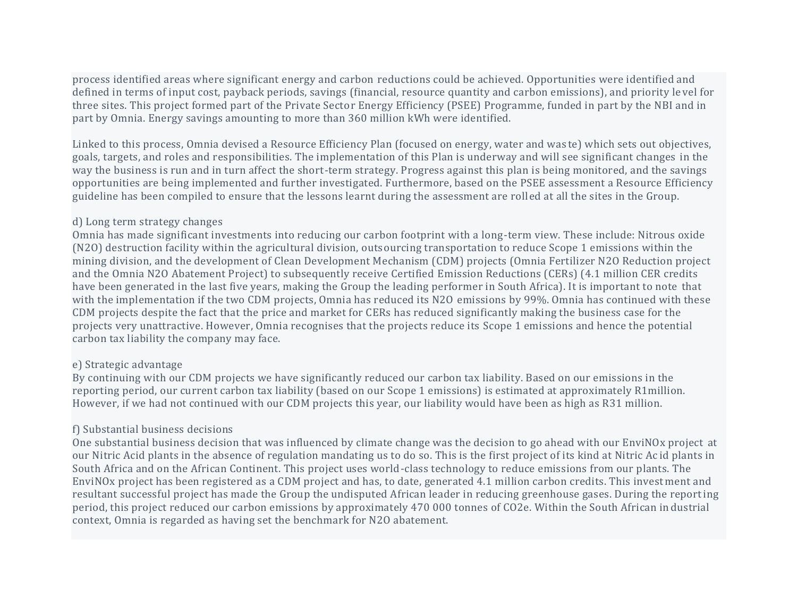process identified areas where significant energy and carbon reductions could be achieved. Opportunities were identified and defined in terms of input cost, payback periods, savings (financial, resource quantity and carbon emissions), and priority le vel for three sites. This project formed part of the Private Sector Energy Efficiency (PSEE) Programme, funded in part by the NBI and in part by Omnia. Energy savings amounting to more than 360 million kWh were identified.

Linked to this process, Omnia devised a Resource Efficiency Plan (focused on energy, water and was te) which sets out objectives, goals, targets, and roles and responsibilities. The implementation of this Plan is underway and will see significant changes in the way the business is run and in turn affect the short-term strategy. Progress against this plan is being monitored, and the savings opportunities are being implemented and further investigated. Furthermore, based on the PSEE assessment a Resource Efficiency guideline has been compiled to ensure that the lessons learnt during the assessment are rolled at all the sites in the Group.

### d) Long term strategy changes

Omnia has made significant investments into reducing our carbon footprint with a long-term view. These include: Nitrous oxide (N2O) destruction facility within the agricultural division, outsourcing transportation to reduce Scope 1 emissions within the mining division, and the development of Clean Development Mechanism (CDM) projects (Omnia Fertilizer N2O Reduction project and the Omnia N2O Abatement Project) to subsequently receive Certified Emission Reductions (CERs) (4.1 million CER credits have been generated in the last five years, making the Group the leading performer in South Africa). It is important to note that with the implementation if the two CDM projects, Omnia has reduced its N2O emissions by 99%. Omnia has continued with these CDM projects despite the fact that the price and market for CERs has reduced significantly making the business case for the projects very unattractive. However, Omnia recognises that the projects reduce its Scope 1 emissions and hence the potential carbon tax liability the company may face.

# e) Strategic advantage

By continuing with our CDM projects we have significantly reduced our carbon tax liability. Based on our emissions in the reporting period, our current carbon tax liability (based on our Scope 1 emissions) is estimated at approximately R1million. However, if we had not continued with our CDM projects this year, our liability would have been as high as R31 million.

# f) Substantial business decisions

One substantial business decision that was influenced by climate change was the decision to go ahead with our EnviNOx project at our Nitric Acid plants in the absence of regulation mandating us to do so. This is the first project of its kind at Nitric Ac id plants in South Africa and on the African Continent. This project uses world-class technology to reduce emissions from our plants. The EnviNOx project has been registered as a CDM project and has, to date, generated 4.1 million carbon credits. This invest ment and resultant successful project has made the Group the undisputed African leader in reducing greenhouse gases. During the reporting period, this project reduced our carbon emissions by approximately 470 000 tonnes of CO2e. Within the South African industrial context, Omnia is regarded as having set the benchmark for N2O abatement.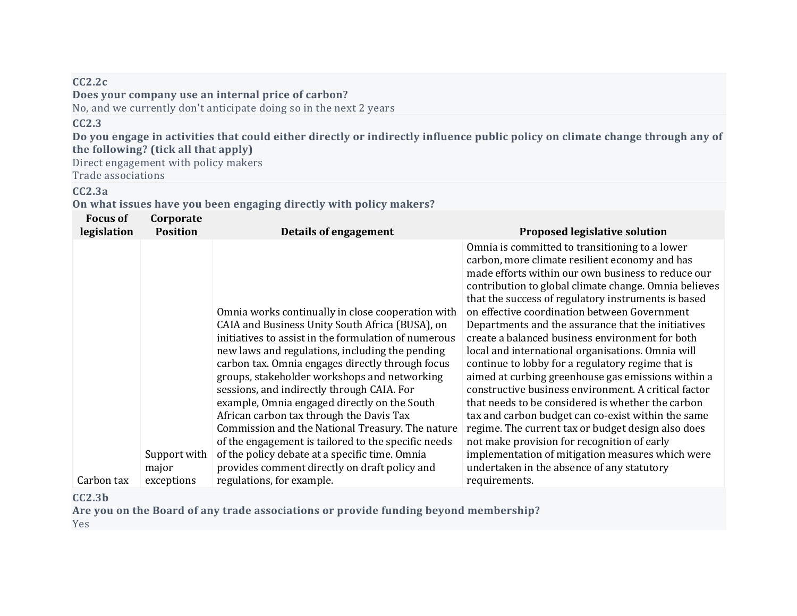### **CC2.2c Does your company use an internal price of carbon?** No, and we currently don't anticipate doing so in the next 2 years

# **CC2.3**

Do you engage in activities that could either directly or indirectly influence public policy on climate change through any of **the following? (tick all that apply)**

Direct engagement with policy makers Trade associations

# **CC2.3a**

**On what issues have you been engaging directly with policy makers?**

| <b>Focus of</b><br>legislation | Corporate<br><b>Position</b> | Details of engagement                                                                                                                                                                                                                                                                                                                                                                                                                                                                                                                                                                                                                                                       | <b>Proposed legislative solution</b>                                                                                                                                                                                                                                                                                                                                                                                                                                                                                                                                                                                                                                                                                                                                                                                                                                                                                                                                      |
|--------------------------------|------------------------------|-----------------------------------------------------------------------------------------------------------------------------------------------------------------------------------------------------------------------------------------------------------------------------------------------------------------------------------------------------------------------------------------------------------------------------------------------------------------------------------------------------------------------------------------------------------------------------------------------------------------------------------------------------------------------------|---------------------------------------------------------------------------------------------------------------------------------------------------------------------------------------------------------------------------------------------------------------------------------------------------------------------------------------------------------------------------------------------------------------------------------------------------------------------------------------------------------------------------------------------------------------------------------------------------------------------------------------------------------------------------------------------------------------------------------------------------------------------------------------------------------------------------------------------------------------------------------------------------------------------------------------------------------------------------|
|                                | Support with<br>major        | Omnia works continually in close cooperation with<br>CAIA and Business Unity South Africa (BUSA), on<br>initiatives to assist in the formulation of numerous<br>new laws and regulations, including the pending<br>carbon tax. Omnia engages directly through focus<br>groups, stakeholder workshops and networking<br>sessions, and indirectly through CAIA. For<br>example, Omnia engaged directly on the South<br>African carbon tax through the Davis Tax<br>Commission and the National Treasury. The nature<br>of the engagement is tailored to the specific needs<br>of the policy debate at a specific time. Omnia<br>provides comment directly on draft policy and | Omnia is committed to transitioning to a lower<br>carbon, more climate resilient economy and has<br>made efforts within our own business to reduce our<br>contribution to global climate change. Omnia believes<br>that the success of regulatory instruments is based<br>on effective coordination between Government<br>Departments and the assurance that the initiatives<br>create a balanced business environment for both<br>local and international organisations. Omnia will<br>continue to lobby for a regulatory regime that is<br>aimed at curbing greenhouse gas emissions within a<br>constructive business environment. A critical factor<br>that needs to be considered is whether the carbon<br>tax and carbon budget can co-exist within the same<br>regime. The current tax or budget design also does<br>not make provision for recognition of early<br>implementation of mitigation measures which were<br>undertaken in the absence of any statutory |
| Carbon tax                     | exceptions                   | regulations, for example.                                                                                                                                                                                                                                                                                                                                                                                                                                                                                                                                                                                                                                                   | requirements.                                                                                                                                                                                                                                                                                                                                                                                                                                                                                                                                                                                                                                                                                                                                                                                                                                                                                                                                                             |

**CC2.3b**

**Are you on the Board of any trade associations or provide funding beyond membership?** Yes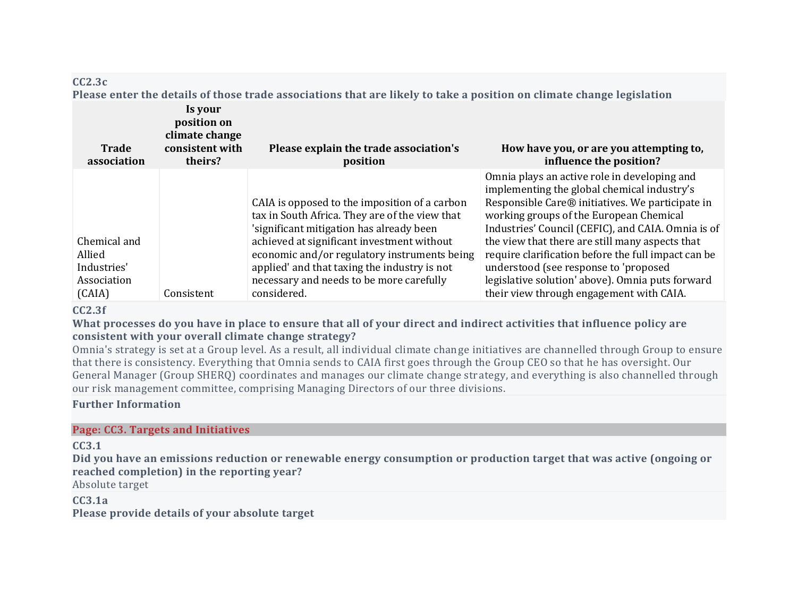# **CC2.3c**

Please enter the details of those trade associations that are likely to take a position on climate change legislation

| <b>Trade</b><br>association | Is your<br>position on<br>climate change<br>consistent with<br>theirs? | Please explain the trade association's<br>position                                                                                          | How have you, or are you attempting to,<br>influence the position?                                                                                                                                                                               |
|-----------------------------|------------------------------------------------------------------------|---------------------------------------------------------------------------------------------------------------------------------------------|--------------------------------------------------------------------------------------------------------------------------------------------------------------------------------------------------------------------------------------------------|
|                             |                                                                        | CAIA is opposed to the imposition of a carbon<br>tax in South Africa. They are of the view that<br>'significant mitigation has already been | Omnia plays an active role in developing and<br>implementing the global chemical industry's<br>Responsible Care® initiatives. We participate in<br>working groups of the European Chemical<br>Industries' Council (CEFIC), and CAIA. Omnia is of |
| Chemical and                |                                                                        | achieved at significant investment without                                                                                                  | the view that there are still many aspects that                                                                                                                                                                                                  |
| Allied                      |                                                                        | economic and/or regulatory instruments being                                                                                                | require clarification before the full impact can be                                                                                                                                                                                              |
| Industries'                 |                                                                        | applied' and that taxing the industry is not                                                                                                | understood (see response to 'proposed                                                                                                                                                                                                            |
| Association                 |                                                                        | necessary and needs to be more carefully                                                                                                    | legislative solution' above). Omnia puts forward                                                                                                                                                                                                 |
| (CAIA)                      | Consistent                                                             | considered.                                                                                                                                 | their view through engagement with CAIA.                                                                                                                                                                                                         |

# **CC2.3f**

What processes do you have in place to ensure that all of your direct and indirect activities that influence policy are **consistent with your overall climate change strategy?**

Omnia's strategy is set at a Group level. As a result, all individual climate change initiatives are channelled through Group to ensure that there is consistency. Everything that Omnia sends to CAIA first goes through the Group CEO so that he has oversight. Our General Manager (Group SHERQ) coordinates and manages our climate change strategy, and everything is also channelled through our risk management committee, comprising Managing Directors of our three divisions.

# **Further Information**

### **Page: CC3. Targets and Initiatives**

**CC3.1**

Did you have an emissions reduction or renewable energy consumption or production target that was active (ongoing or **reached completion) in the reporting year?**

Absolute target

# **CC3.1a**

**Please provide details of your absolute target**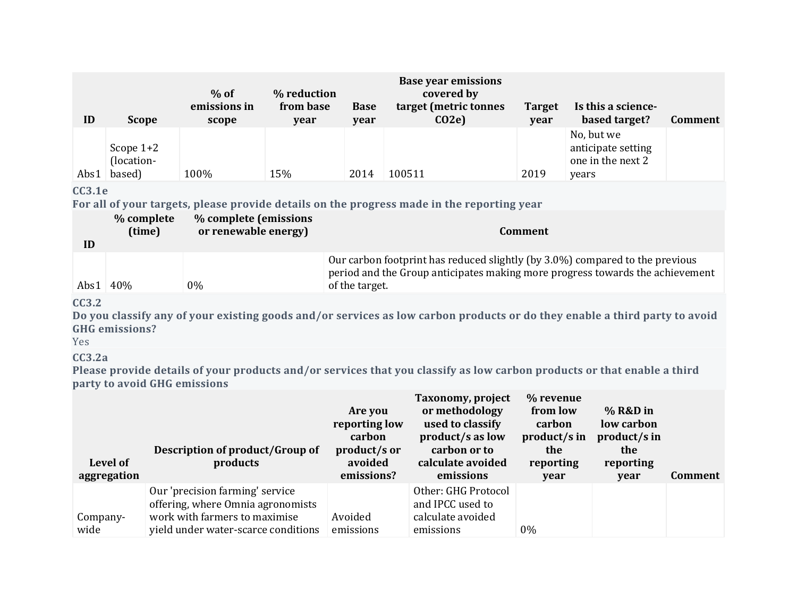| ID   | <b>Scope</b>                        | $%$ of<br>emissions in<br>scope | % reduction<br>from base<br>year | <b>Base</b><br>year | <b>Base year emissions</b><br>covered by<br>target (metric tonnes<br>CO2e | <b>Target</b><br>year | Is this a science-<br>based target?                            | <b>Comment</b> |
|------|-------------------------------------|---------------------------------|----------------------------------|---------------------|---------------------------------------------------------------------------|-----------------------|----------------------------------------------------------------|----------------|
| Abs1 | Scope $1+2$<br>(location-<br>based) | 100%                            | 15%                              | 2014                | 100511                                                                    | 2019                  | No, but we<br>anticipate setting<br>one in the next 2<br>years |                |

# **CC3.1e**

**For all of your targets, please provide details on the progress made in the reporting year**

| ID | % complete<br>(time) | % complete (emissions<br>or renewable energy) | Comment                                                                                                                                                                         |
|----|----------------------|-----------------------------------------------|---------------------------------------------------------------------------------------------------------------------------------------------------------------------------------|
|    | Abs $1 \mid 40\%$    | $0\%$                                         | Our carbon footprint has reduced slightly (by 3.0%) compared to the previous<br>period and the Group anticipates making more progress towards the achievement<br>of the target. |

# **CC3.2**

Do you classify any of your existing goods and/or services as low carbon products or do they enable a third party to avoid **GHG emissions?**

Yes

# **CC3.2a**

Please provide details of your products and/or services that you classify as low carbon products or that enable a third **party to avoid GHG emissions**

| Level of<br>aggregation | <b>Description of product/Group of</b><br>products                                                                                           | Are you<br>reporting low<br>carbon<br>product/s or<br>avoided<br>emissions? | Taxonomy, project<br>or methodology<br>used to classify<br>product/s as low<br>carbon or to<br>calculate avoided<br>emissions | % revenue<br>from low<br>carbon<br>product/s in<br>the<br>reporting<br>year | % R&D in<br>low carbon<br>product/s in<br>the<br>reporting<br>year | <b>Comment</b> |
|-------------------------|----------------------------------------------------------------------------------------------------------------------------------------------|-----------------------------------------------------------------------------|-------------------------------------------------------------------------------------------------------------------------------|-----------------------------------------------------------------------------|--------------------------------------------------------------------|----------------|
| Company-<br>wide        | Our 'precision farming' service<br>offering, where Omnia agronomists<br>work with farmers to maximise<br>yield under water-scarce conditions | Avoided<br>emissions                                                        | Other: GHG Protocol<br>and IPCC used to<br>calculate avoided<br>emissions                                                     | $0\%$                                                                       |                                                                    |                |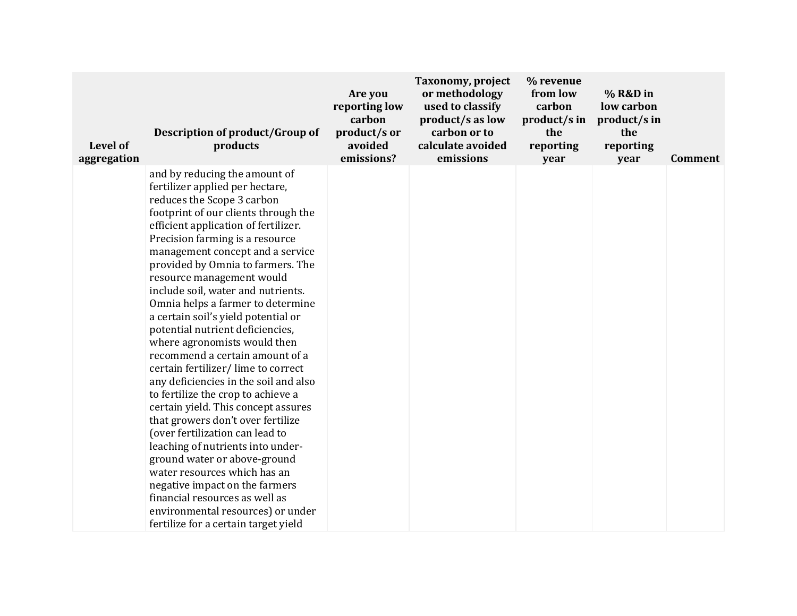| Level of<br>aggregation | Description of product/Group of<br>products                                                                                                                                                                                                                                                                                                                                                                                                                                                                                                                                                                                                                                                                                                                                                                                                                                                                                                                                                                                                | Are you<br>reporting low<br>carbon<br>product/s or<br>avoided<br>emissions? | Taxonomy, project<br>or methodology<br>used to classify<br>product/s as low<br>carbon or to<br>calculate avoided<br>emissions | % revenue<br>from low<br>carbon<br>product/s in<br>the<br>reporting<br>year | % R&D in<br>low carbon<br>product/s in<br>the<br>reporting<br>year | <b>Comment</b> |
|-------------------------|--------------------------------------------------------------------------------------------------------------------------------------------------------------------------------------------------------------------------------------------------------------------------------------------------------------------------------------------------------------------------------------------------------------------------------------------------------------------------------------------------------------------------------------------------------------------------------------------------------------------------------------------------------------------------------------------------------------------------------------------------------------------------------------------------------------------------------------------------------------------------------------------------------------------------------------------------------------------------------------------------------------------------------------------|-----------------------------------------------------------------------------|-------------------------------------------------------------------------------------------------------------------------------|-----------------------------------------------------------------------------|--------------------------------------------------------------------|----------------|
|                         | and by reducing the amount of<br>fertilizer applied per hectare,<br>reduces the Scope 3 carbon<br>footprint of our clients through the<br>efficient application of fertilizer.<br>Precision farming is a resource<br>management concept and a service<br>provided by Omnia to farmers. The<br>resource management would<br>include soil, water and nutrients.<br>Omnia helps a farmer to determine<br>a certain soil's yield potential or<br>potential nutrient deficiencies,<br>where agronomists would then<br>recommend a certain amount of a<br>certain fertilizer/lime to correct<br>any deficiencies in the soil and also<br>to fertilize the crop to achieve a<br>certain yield. This concept assures<br>that growers don't over fertilize<br>(over fertilization can lead to<br>leaching of nutrients into under-<br>ground water or above-ground<br>water resources which has an<br>negative impact on the farmers<br>financial resources as well as<br>environmental resources) or under<br>fertilize for a certain target yield |                                                                             |                                                                                                                               |                                                                             |                                                                    |                |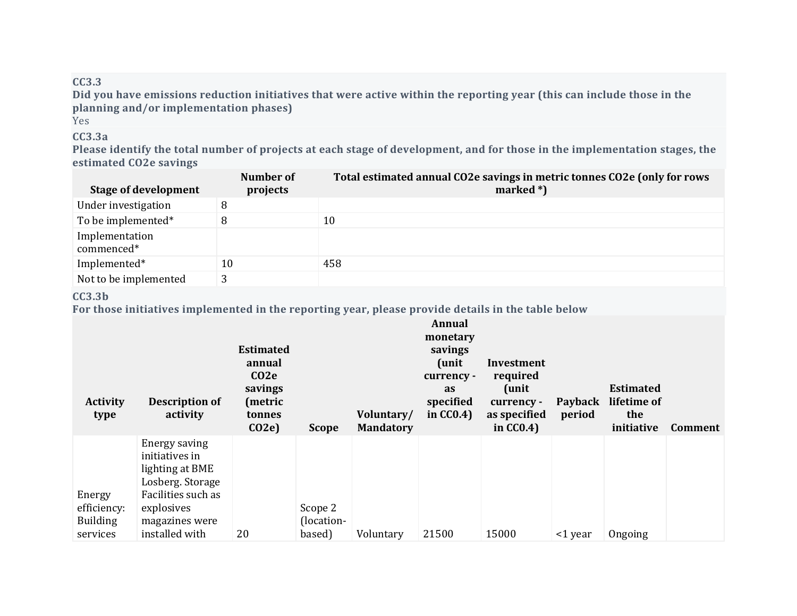# **CC3.3**

Did you have emissions reduction initiatives that were active within the reporting year (this can include those in the **planning and/or implementation phases)**

Yes

# **CC3.3a**

Please identify the total number of projects at each stage of development, and for those in the implementation stages, the **estimated CO2e savings**

| <b>Stage of development</b>  | Number of<br>projects | Total estimated annual CO2e savings in metric tonnes CO2e (only for rows<br>marked $*)$ |
|------------------------------|-----------------------|-----------------------------------------------------------------------------------------|
| Under investigation          |                       |                                                                                         |
| To be implemented*           |                       | 10                                                                                      |
| Implementation<br>commenced* |                       |                                                                                         |
| Implemented*                 | 10                    | 458                                                                                     |
| Not to be implemented        |                       |                                                                                         |

# **CC3.3b**

**For those initiatives implemented in the reporting year, please provide details in the table below**

| <b>Activity</b><br>type                              | <b>Description of</b><br>activity                                                                                                              | <b>Estimated</b><br>annual<br>CO <sub>2</sub> e<br>savings<br>(metric<br>tonnes<br>CO2e | <b>Scope</b>                    | Voluntary/<br><b>Mandatory</b> | <b>Annual</b><br>monetary<br>savings<br>(unit)<br>currency -<br><b>as</b><br>specified<br>in $CC0.4$ ) | Investment<br>required<br>(unit)<br>currency -<br>as specified<br>in $CC0.4$ ) | Payback<br>period | <b>Estimated</b><br>lifetime of<br>the<br>initiative | Comment |
|------------------------------------------------------|------------------------------------------------------------------------------------------------------------------------------------------------|-----------------------------------------------------------------------------------------|---------------------------------|--------------------------------|--------------------------------------------------------------------------------------------------------|--------------------------------------------------------------------------------|-------------------|------------------------------------------------------|---------|
| Energy<br>efficiency:<br><b>Building</b><br>services | Energy saving<br>initiatives in<br>lighting at BME<br>Losberg. Storage<br>Facilities such as<br>explosives<br>magazines were<br>installed with | 20                                                                                      | Scope 2<br>(location-<br>based) | Voluntary                      | 21500                                                                                                  | 15000                                                                          | $\leq$ 1 year     | Ongoing                                              |         |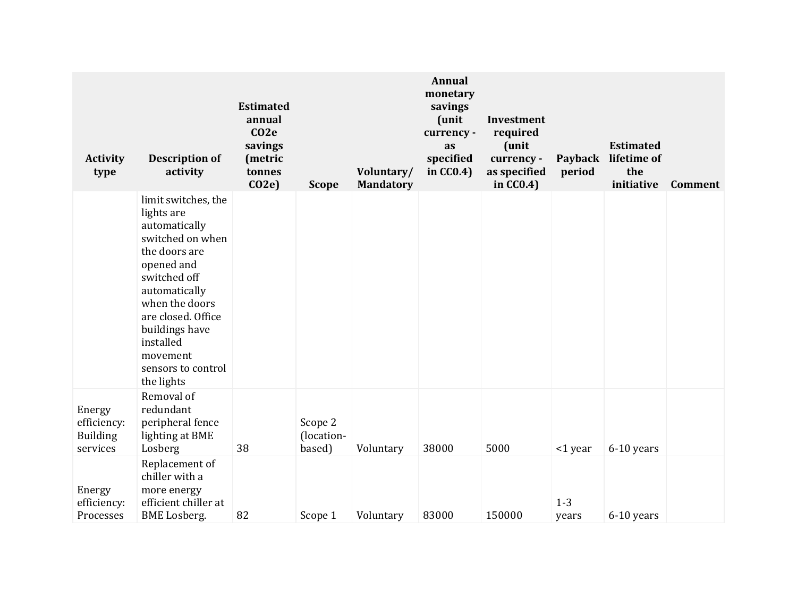| <b>Activity</b><br>type                              | <b>Description of</b><br>activity                                                                                                                                                                                                                             | <b>Estimated</b><br>annual<br>CO <sub>2</sub> e<br>savings<br>(metric<br>tonnes<br>CO2e | <b>Scope</b>                    | Voluntary/<br><b>Mandatory</b> | Annual<br>monetary<br>savings<br>(unit<br>currency -<br>as<br>specified<br>in $CC0.4$ ) | Investment<br>required<br>(unit<br>currency -<br>as specified<br>in $CC0.4$ ) | Payback<br>period | <b>Estimated</b><br>lifetime of<br>the<br>initiative | <b>Comment</b> |
|------------------------------------------------------|---------------------------------------------------------------------------------------------------------------------------------------------------------------------------------------------------------------------------------------------------------------|-----------------------------------------------------------------------------------------|---------------------------------|--------------------------------|-----------------------------------------------------------------------------------------|-------------------------------------------------------------------------------|-------------------|------------------------------------------------------|----------------|
|                                                      | limit switches, the<br>lights are<br>automatically<br>switched on when<br>the doors are<br>opened and<br>switched off<br>automatically<br>when the doors<br>are closed. Office<br>buildings have<br>installed<br>movement<br>sensors to control<br>the lights |                                                                                         |                                 |                                |                                                                                         |                                                                               |                   |                                                      |                |
| Energy<br>efficiency:<br><b>Building</b><br>services | Removal of<br>redundant<br>peripheral fence<br>lighting at BME<br>Losberg                                                                                                                                                                                     | 38                                                                                      | Scope 2<br>(location-<br>based) | Voluntary                      | 38000                                                                                   | 5000                                                                          | <1 year           | 6-10 years                                           |                |
| Energy<br>efficiency:<br>Processes                   | Replacement of<br>chiller with a<br>more energy<br>efficient chiller at<br><b>BME</b> Losberg.                                                                                                                                                                | 82                                                                                      | Scope 1                         | Voluntary                      | 83000                                                                                   | 150000                                                                        | $1 - 3$<br>years  | 6-10 years                                           |                |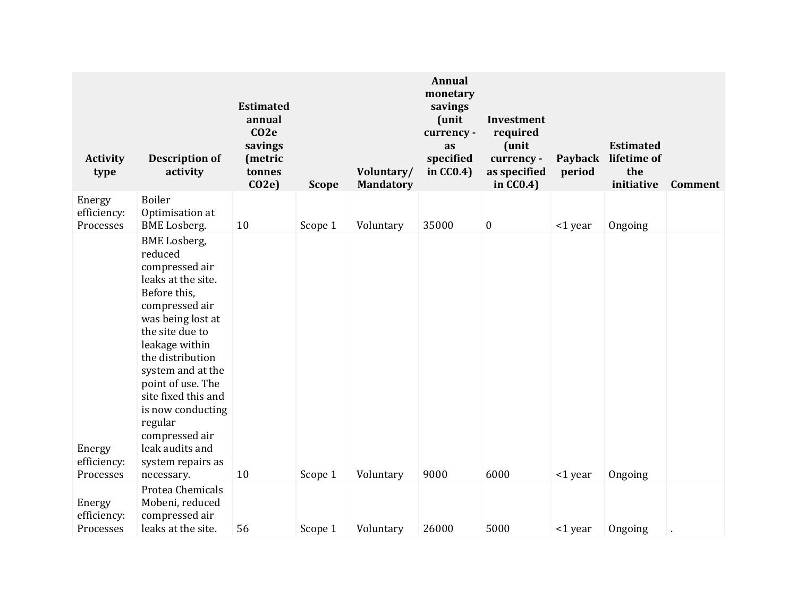| <b>Activity</b><br>type            | <b>Description of</b><br>activity                                                                                                                                                                                                                                                                                                                 | <b>Estimated</b><br>annual<br>CO <sub>2</sub> e<br>savings<br>(metric<br>tonnes<br>CO2e | <b>Scope</b> | Voluntary/<br><b>Mandatory</b> | Annual<br>monetary<br>savings<br>(unit<br>currency -<br>as<br>specified<br>in $CC0.4$ ) | Investment<br>required<br>(unit<br>currency -<br>as specified<br>in $CC0.4$ ) | Payback<br>period | <b>Estimated</b><br>lifetime of<br>the<br>initiative | <b>Comment</b> |
|------------------------------------|---------------------------------------------------------------------------------------------------------------------------------------------------------------------------------------------------------------------------------------------------------------------------------------------------------------------------------------------------|-----------------------------------------------------------------------------------------|--------------|--------------------------------|-----------------------------------------------------------------------------------------|-------------------------------------------------------------------------------|-------------------|------------------------------------------------------|----------------|
| Energy<br>efficiency:<br>Processes | Boiler<br>Optimisation at<br><b>BME</b> Losberg.                                                                                                                                                                                                                                                                                                  | 10                                                                                      | Scope 1      | Voluntary                      | 35000                                                                                   | $\boldsymbol{0}$                                                              | <1 year           | Ongoing                                              |                |
| Energy<br>efficiency:              | <b>BME</b> Losberg,<br>reduced<br>compressed air<br>leaks at the site.<br>Before this,<br>compressed air<br>was being lost at<br>the site due to<br>leakage within<br>the distribution<br>system and at the<br>point of use. The<br>site fixed this and<br>is now conducting<br>regular<br>compressed air<br>leak audits and<br>system repairs as |                                                                                         |              |                                | 9000                                                                                    | 6000                                                                          |                   |                                                      |                |
| Processes<br>Energy                | necessary.<br>Protea Chemicals<br>Mobeni, reduced                                                                                                                                                                                                                                                                                                 | 10                                                                                      | Scope 1      | Voluntary                      |                                                                                         |                                                                               | <1 year           | Ongoing                                              |                |
| efficiency:<br>Processes           | compressed air<br>leaks at the site.                                                                                                                                                                                                                                                                                                              | 56                                                                                      | Scope 1      | Voluntary                      | 26000                                                                                   | 5000                                                                          | <1 year           | Ongoing                                              |                |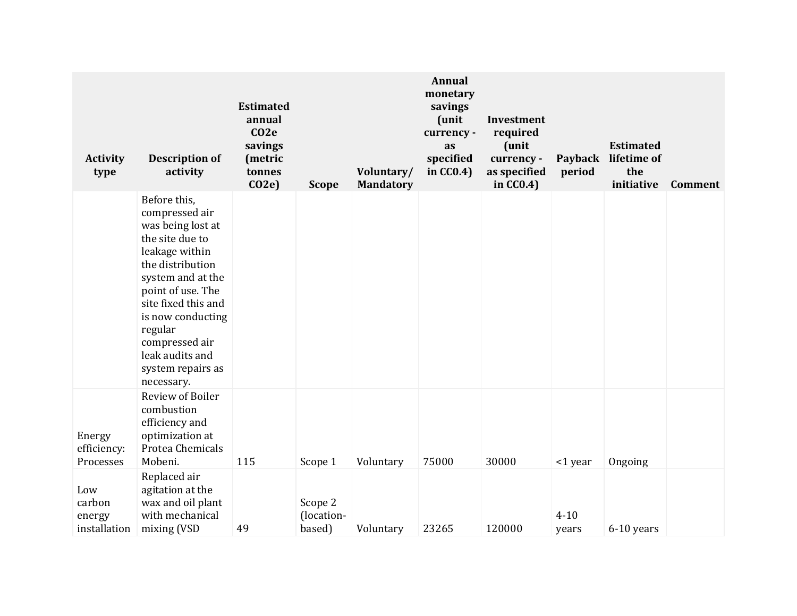| <b>Activity</b><br>type                 | <b>Description of</b><br>activity                                                                                                                                                                                                                                                     | <b>Estimated</b><br>annual<br>CO2e<br>savings<br>(metric<br>tonnes<br>CO2e | <b>Scope</b>                    | Voluntary/<br><b>Mandatory</b> | Annual<br>monetary<br>savings<br>(unit<br>currency -<br>as<br>specified<br>in CC0.4) | Investment<br>required<br>(unit<br>currency -<br>as specified<br>in $CC0.4$ ) | Payback<br>period | <b>Estimated</b><br>lifetime of<br>the<br>initiative | Comment |
|-----------------------------------------|---------------------------------------------------------------------------------------------------------------------------------------------------------------------------------------------------------------------------------------------------------------------------------------|----------------------------------------------------------------------------|---------------------------------|--------------------------------|--------------------------------------------------------------------------------------|-------------------------------------------------------------------------------|-------------------|------------------------------------------------------|---------|
|                                         | Before this,<br>compressed air<br>was being lost at<br>the site due to<br>leakage within<br>the distribution<br>system and at the<br>point of use. The<br>site fixed this and<br>is now conducting<br>regular<br>compressed air<br>leak audits and<br>system repairs as<br>necessary. |                                                                            |                                 |                                |                                                                                      |                                                                               |                   |                                                      |         |
| Energy<br>efficiency:<br>Processes      | Review of Boiler<br>combustion<br>efficiency and<br>optimization at<br>Protea Chemicals<br>Mobeni.                                                                                                                                                                                    | 115                                                                        | Scope 1                         | Voluntary                      | 75000                                                                                | 30000                                                                         | <1 year           | Ongoing                                              |         |
| Low<br>carbon<br>energy<br>installation | Replaced air<br>agitation at the<br>wax and oil plant<br>with mechanical<br>mixing (VSD                                                                                                                                                                                               | 49                                                                         | Scope 2<br>(location-<br>based) | Voluntary                      | 23265                                                                                | 120000                                                                        | $4 - 10$<br>years | 6-10 years                                           |         |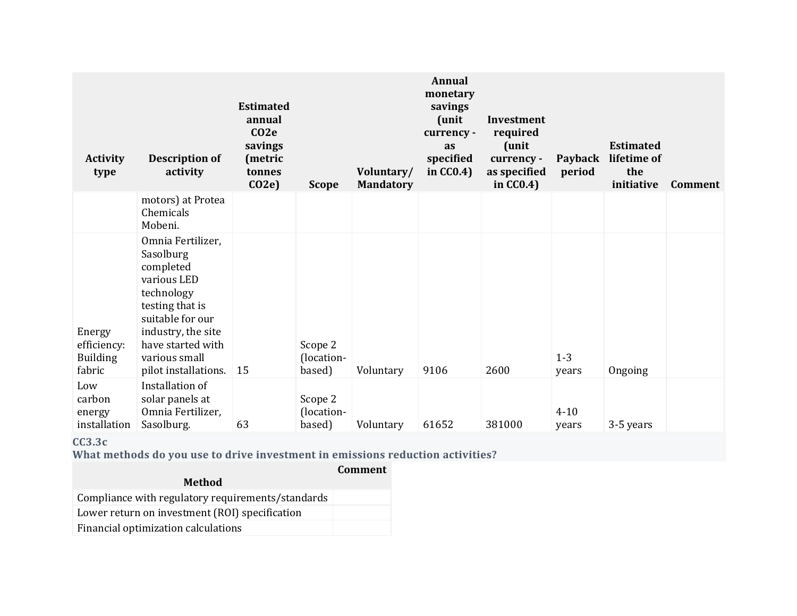| <b>Activity</b><br>type                            | <b>Description of</b><br>activity                                                                                                                                                                   | <b>Estimated</b><br>annual<br>$CO2$ e<br>savings<br>(metric<br>tonnes<br>CO2e | <b>Scope</b>                    | Voluntary/<br><b>Mandatory</b> | <b>Annual</b><br>monetary<br>savings<br>(unit)<br>currency -<br>as<br>specified<br>in $CC0.4$ ) | Investment<br>required<br>(unit<br>currency -<br>as specified<br>in $CC0.4$ ) | Payback<br>period | <b>Estimated</b><br>lifetime of<br>the<br>initiative | Comment |
|----------------------------------------------------|-----------------------------------------------------------------------------------------------------------------------------------------------------------------------------------------------------|-------------------------------------------------------------------------------|---------------------------------|--------------------------------|-------------------------------------------------------------------------------------------------|-------------------------------------------------------------------------------|-------------------|------------------------------------------------------|---------|
|                                                    | motors) at Protea<br>Chemicals<br>Mobeni.                                                                                                                                                           |                                                                               |                                 |                                |                                                                                                 |                                                                               |                   |                                                      |         |
| Energy<br>efficiency:<br><b>Building</b><br>fabric | Omnia Fertilizer,<br>Sasolburg<br>completed<br>various LED<br>technology<br>testing that is<br>suitable for our<br>industry, the site<br>have started with<br>various small<br>pilot installations. | 15                                                                            | Scope 2<br>(location-<br>based) | Voluntary                      | 9106                                                                                            | 2600                                                                          | $1 - 3$<br>years  | Ongoing                                              |         |
| Low<br>carbon<br>energy<br>installation            | Installation of<br>solar panels at<br>Omnia Fertilizer,<br>Sasolburg.                                                                                                                               | 63                                                                            | Scope 2<br>(location-<br>based) | Voluntary                      | 61652                                                                                           | 381000                                                                        | $4 - 10$<br>years | 3-5 years                                            |         |

**CC3.3c**

**What methods do you use to drive investment in emissions reduction activities?**

**Comment**

| <b>Method</b>                                     |  |
|---------------------------------------------------|--|
| Compliance with regulatory requirements/standards |  |
| Lower return on investment (ROI) specification    |  |
| Financial optimization calculations               |  |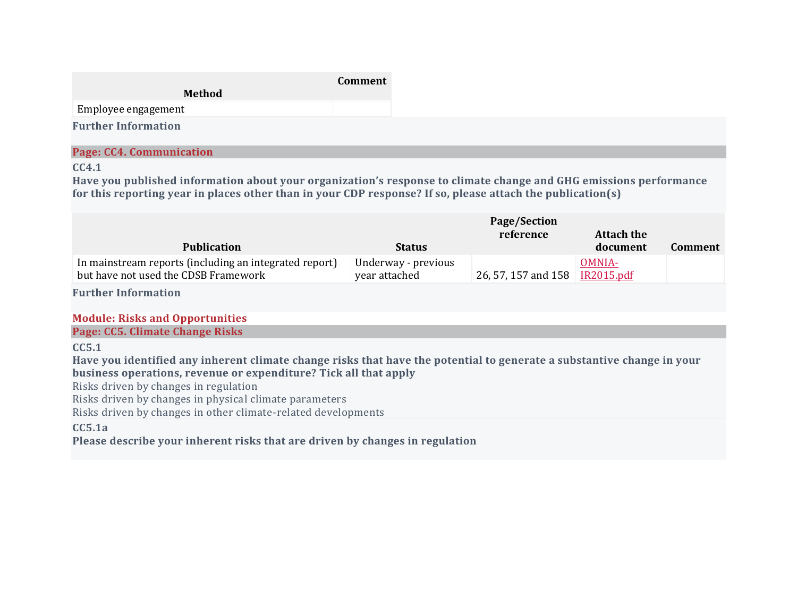|                            | Comment |
|----------------------------|---------|
| Method                     |         |
| Employee engagement        |         |
| <b>Further Information</b> |         |

# **Page: CC4. Communication**

### **CC4.1**

**Have you published information about your organization's response to climate change and GHG emissions performance** for this reporting year in places other than in your CDP response? If so, please attach the publication(s)

|                                                                                                |                                      | Page/Section<br>reference        | Attach the |         |
|------------------------------------------------------------------------------------------------|--------------------------------------|----------------------------------|------------|---------|
| <b>Publication</b>                                                                             | <b>Status</b>                        |                                  | document   | Comment |
| In mainstream reports (including an integrated report)<br>but have not used the CDSB Framework | Underway - previous<br>year attached | 26, 57, 157 and 158   IR2015.pdf | OMNIA-     |         |

**Further Information**

### **Module: Risks and Opportunities**

### **Page: CC5. Climate Change Risks**

**CC5.1**

Have you identified any inherent climate change risks that have the potential to generate a substantive change in your **business operations, revenue or expenditure? Tick all that apply**

Risks driven by changes in regulation

Risks driven by changes in physical climate parameters

Risks driven by changes in other climate-related developments

# **CC5.1a**

**Please describe your inherent risks that are driven by changes in regulation**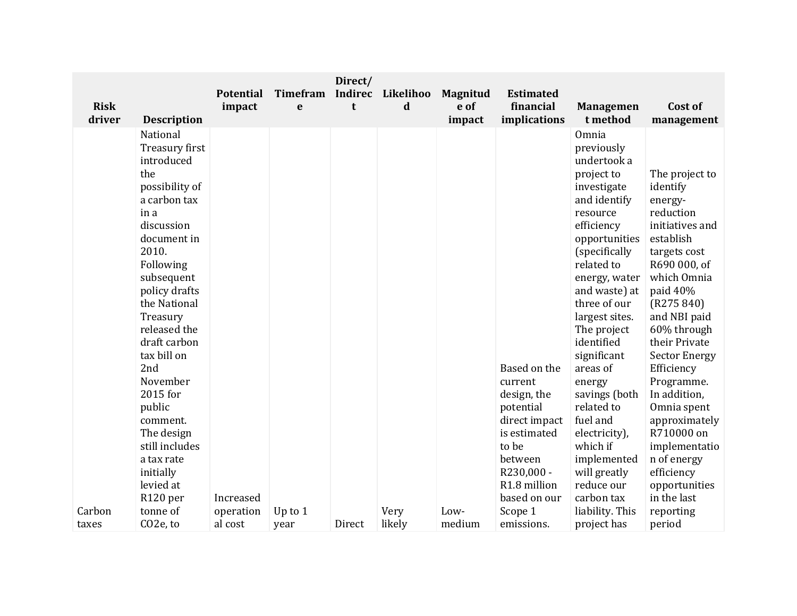| <b>Risk</b>     |                                                                                                                                                                                                                                                                                                                                                                                                 | <b>Potential</b><br>impact | Timefram<br>e     | Direct/<br><b>Indirec</b><br>t | Likelihoo<br>d | <b>Magnitud</b><br>e of | <b>Estimated</b><br>financial                                                                                                                          | <b>Managemen</b>                                                                                                                                                                                                                                                                                                                                                                                                                   | Cost of                                                                                                                                                                                                                                                                                                                                                                                                    |
|-----------------|-------------------------------------------------------------------------------------------------------------------------------------------------------------------------------------------------------------------------------------------------------------------------------------------------------------------------------------------------------------------------------------------------|----------------------------|-------------------|--------------------------------|----------------|-------------------------|--------------------------------------------------------------------------------------------------------------------------------------------------------|------------------------------------------------------------------------------------------------------------------------------------------------------------------------------------------------------------------------------------------------------------------------------------------------------------------------------------------------------------------------------------------------------------------------------------|------------------------------------------------------------------------------------------------------------------------------------------------------------------------------------------------------------------------------------------------------------------------------------------------------------------------------------------------------------------------------------------------------------|
| driver          | <b>Description</b>                                                                                                                                                                                                                                                                                                                                                                              |                            |                   |                                |                | impact                  | implications                                                                                                                                           | t method                                                                                                                                                                                                                                                                                                                                                                                                                           | management                                                                                                                                                                                                                                                                                                                                                                                                 |
|                 | National<br>Treasury first<br>introduced<br>the<br>possibility of<br>a carbon tax<br>in a<br>discussion<br>document in<br>2010.<br>Following<br>subsequent<br>policy drafts<br>the National<br>Treasury<br>released the<br>draft carbon<br>tax bill on<br>2nd<br>November<br>2015 for<br>public<br>comment.<br>The design<br>still includes<br>a tax rate<br>initially<br>levied at<br>R120 per | Increased                  |                   |                                |                |                         | Based on the<br>current<br>design, the<br>potential<br>direct impact<br>is estimated<br>to be<br>between<br>R230,000 -<br>R1.8 million<br>based on our | Omnia<br>previously<br>undertook a<br>project to<br>investigate<br>and identify<br>resource<br>efficiency<br>opportunities<br>(specifically<br>related to<br>energy, water<br>and waste) at<br>three of our<br>largest sites.<br>The project<br>identified<br>significant<br>areas of<br>energy<br>savings (both<br>related to<br>fuel and<br>electricity),<br>which if<br>implemented<br>will greatly<br>reduce our<br>carbon tax | The project to<br>identify<br>energy-<br>reduction<br>initiatives and<br>establish<br>targets cost<br>R690 000, of<br>which Omnia<br>paid 40%<br>(R275840)<br>and NBI paid<br>60% through<br>their Private<br><b>Sector Energy</b><br>Efficiency<br>Programme.<br>In addition,<br>Omnia spent<br>approximately<br>R710000 on<br>implementatio<br>n of energy<br>efficiency<br>opportunities<br>in the last |
| Carbon<br>taxes | tonne of<br>CO <sub>2</sub> e, to                                                                                                                                                                                                                                                                                                                                                               | operation<br>al cost       | Up to $1$<br>year | Direct                         | Very<br>likely | Low-<br>medium          | Scope 1<br>emissions.                                                                                                                                  | liability. This<br>project has                                                                                                                                                                                                                                                                                                                                                                                                     | reporting<br>period                                                                                                                                                                                                                                                                                                                                                                                        |
|                 |                                                                                                                                                                                                                                                                                                                                                                                                 |                            |                   |                                |                |                         |                                                                                                                                                        |                                                                                                                                                                                                                                                                                                                                                                                                                                    |                                                                                                                                                                                                                                                                                                                                                                                                            |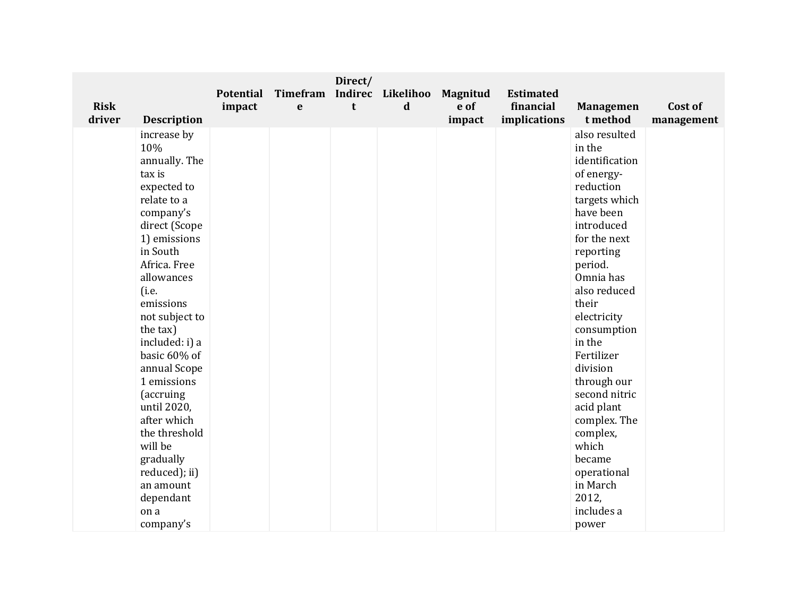|             |                              | <b>Potential</b> | Timefram    | Direct/ | Indirec Likelihoo | <b>Magnitud</b> | <b>Estimated</b> |                   |            |
|-------------|------------------------------|------------------|-------------|---------|-------------------|-----------------|------------------|-------------------|------------|
| <b>Risk</b> |                              | impact           | $\mathbf e$ | t       | $\mathbf d$       | e of            | financial        | <b>Managemen</b>  | Cost of    |
| driver      | <b>Description</b>           |                  |             |         |                   | impact          | implications     | t method          | management |
|             | increase by                  |                  |             |         |                   |                 |                  | also resulted     |            |
|             | 10%                          |                  |             |         |                   |                 |                  | in the            |            |
|             | annually. The                |                  |             |         |                   |                 |                  | identification    |            |
|             | tax is                       |                  |             |         |                   |                 |                  | of energy-        |            |
|             | expected to                  |                  |             |         |                   |                 |                  | reduction         |            |
|             | relate to a                  |                  |             |         |                   |                 |                  | targets which     |            |
|             | company's                    |                  |             |         |                   |                 |                  | have been         |            |
|             | direct (Scope                |                  |             |         |                   |                 |                  | introduced        |            |
|             | 1) emissions                 |                  |             |         |                   |                 |                  | for the next      |            |
|             | in South                     |                  |             |         |                   |                 |                  | reporting         |            |
|             | Africa. Free                 |                  |             |         |                   |                 |                  | period.           |            |
|             | allowances                   |                  |             |         |                   |                 |                  | Omnia has         |            |
|             | (i.e.                        |                  |             |         |                   |                 |                  | also reduced      |            |
|             | emissions                    |                  |             |         |                   |                 |                  | their             |            |
|             | not subject to               |                  |             |         |                   |                 |                  | electricity       |            |
|             | the tax)                     |                  |             |         |                   |                 |                  | consumption       |            |
|             | included: i) a               |                  |             |         |                   |                 |                  | in the            |            |
|             | basic 60% of                 |                  |             |         |                   |                 |                  | Fertilizer        |            |
|             | annual Scope                 |                  |             |         |                   |                 |                  | division          |            |
|             | 1 emissions                  |                  |             |         |                   |                 |                  | through our       |            |
|             | (accruing                    |                  |             |         |                   |                 |                  | second nitric     |            |
|             | until 2020,                  |                  |             |         |                   |                 |                  | acid plant        |            |
|             | after which<br>the threshold |                  |             |         |                   |                 |                  | complex. The      |            |
|             | will be                      |                  |             |         |                   |                 |                  | complex,<br>which |            |
|             | gradually                    |                  |             |         |                   |                 |                  | became            |            |
|             | reduced); ii)                |                  |             |         |                   |                 |                  | operational       |            |
|             | an amount                    |                  |             |         |                   |                 |                  | in March          |            |
|             | dependant                    |                  |             |         |                   |                 |                  | 2012,             |            |
|             | on a                         |                  |             |         |                   |                 |                  | includes a        |            |
|             | company's                    |                  |             |         |                   |                 |                  | power             |            |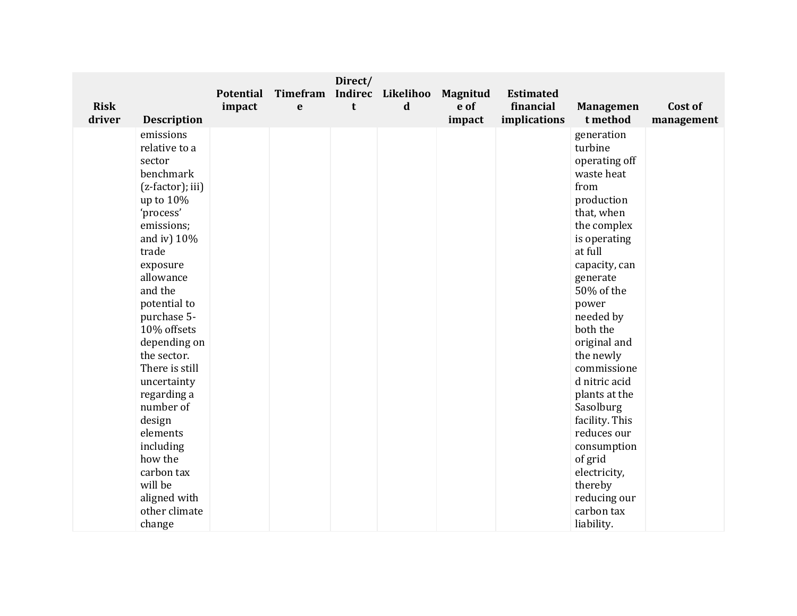| <b>Risk</b> |                               | <b>Potential</b><br>impact | <b>Timefram</b><br>$\mathbf e$ | Direct/<br>t | Indirec Likelihoo<br>$\mathbf d$ | <b>Magnitud</b><br>e of | <b>Estimated</b><br>financial | <b>Managemen</b> | Cost of    |
|-------------|-------------------------------|----------------------------|--------------------------------|--------------|----------------------------------|-------------------------|-------------------------------|------------------|------------|
| driver      | <b>Description</b>            |                            |                                |              |                                  | impact                  | implications                  | t method         | management |
|             | emissions                     |                            |                                |              |                                  |                         |                               | generation       |            |
|             | relative to a                 |                            |                                |              |                                  |                         |                               | turbine          |            |
|             | sector                        |                            |                                |              |                                  |                         |                               | operating off    |            |
|             | benchmark                     |                            |                                |              |                                  |                         |                               | waste heat       |            |
|             | (z-factor); iii)              |                            |                                |              |                                  |                         |                               | from             |            |
|             | up to 10%                     |                            |                                |              |                                  |                         |                               | production       |            |
|             | 'process'                     |                            |                                |              |                                  |                         |                               | that, when       |            |
|             | emissions;                    |                            |                                |              |                                  |                         |                               | the complex      |            |
|             | and iv) $10\%$                |                            |                                |              |                                  |                         |                               | is operating     |            |
|             | trade                         |                            |                                |              |                                  |                         |                               | at full          |            |
|             | exposure                      |                            |                                |              |                                  |                         |                               | capacity, can    |            |
|             | allowance                     |                            |                                |              |                                  |                         |                               | generate         |            |
|             | and the                       |                            |                                |              |                                  |                         |                               | 50% of the       |            |
|             | potential to                  |                            |                                |              |                                  |                         |                               | power            |            |
|             | purchase 5-                   |                            |                                |              |                                  |                         |                               | needed by        |            |
|             | 10% offsets                   |                            |                                |              |                                  |                         |                               | both the         |            |
|             | depending on                  |                            |                                |              |                                  |                         |                               | original and     |            |
|             | the sector.                   |                            |                                |              |                                  |                         |                               | the newly        |            |
|             | There is still                |                            |                                |              |                                  |                         |                               | commissione      |            |
|             | uncertainty                   |                            |                                |              |                                  |                         |                               | d nitric acid    |            |
|             | regarding a                   |                            |                                |              |                                  |                         |                               | plants at the    |            |
|             | number of                     |                            |                                |              |                                  |                         |                               | Sasolburg        |            |
|             | design                        |                            |                                |              |                                  |                         |                               | facility. This   |            |
|             | elements                      |                            |                                |              |                                  |                         |                               | reduces our      |            |
|             | including                     |                            |                                |              |                                  |                         |                               | consumption      |            |
|             | how the<br>carbon tax         |                            |                                |              |                                  |                         |                               | of grid          |            |
|             | will be                       |                            |                                |              |                                  |                         |                               | electricity,     |            |
|             |                               |                            |                                |              |                                  |                         |                               | thereby          |            |
|             | aligned with<br>other climate |                            |                                |              |                                  |                         |                               | reducing our     |            |
|             |                               |                            |                                |              |                                  |                         |                               | carbon tax       |            |
|             | change                        |                            |                                |              |                                  |                         |                               | liability.       |            |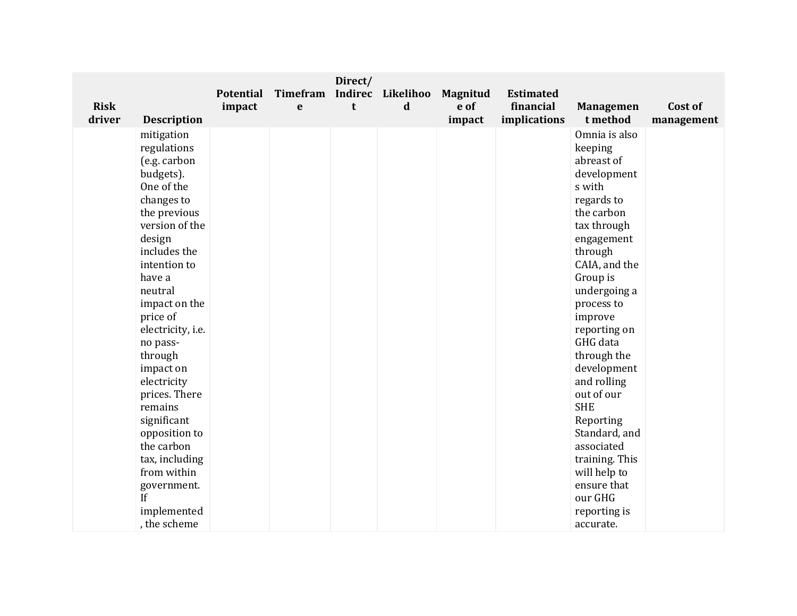| <b>Risk</b> |                              | <b>Potential</b><br>impact | Timefram<br>$\mathbf e$ | Direct/<br>t | Indirec Likelihoo<br>$\mathbf d$ | <b>Magnitud</b><br>e of | <b>Estimated</b><br>financial | <b>Managemen</b>           | Cost of    |
|-------------|------------------------------|----------------------------|-------------------------|--------------|----------------------------------|-------------------------|-------------------------------|----------------------------|------------|
| driver      | <b>Description</b>           |                            |                         |              |                                  | impact                  | implications                  | t method                   | management |
|             | mitigation                   |                            |                         |              |                                  |                         |                               | Omnia is also              |            |
|             | regulations<br>(e.g. carbon  |                            |                         |              |                                  |                         |                               | keeping<br>abreast of      |            |
|             | budgets).                    |                            |                         |              |                                  |                         |                               | development                |            |
|             | One of the                   |                            |                         |              |                                  |                         |                               | s with                     |            |
|             | changes to                   |                            |                         |              |                                  |                         |                               | regards to                 |            |
|             | the previous                 |                            |                         |              |                                  |                         |                               | the carbon                 |            |
|             | version of the               |                            |                         |              |                                  |                         |                               | tax through                |            |
|             | design                       |                            |                         |              |                                  |                         |                               | engagement                 |            |
|             | includes the                 |                            |                         |              |                                  |                         |                               | through                    |            |
|             | intention to                 |                            |                         |              |                                  |                         |                               | CAIA, and the              |            |
|             | have a                       |                            |                         |              |                                  |                         |                               | Group is                   |            |
|             | neutral                      |                            |                         |              |                                  |                         |                               | undergoing a               |            |
|             | impact on the                |                            |                         |              |                                  |                         |                               | process to                 |            |
|             | price of                     |                            |                         |              |                                  |                         |                               | improve                    |            |
|             | electricity, i.e.            |                            |                         |              |                                  |                         |                               | reporting on               |            |
|             | no pass-                     |                            |                         |              |                                  |                         |                               | GHG data                   |            |
|             | through                      |                            |                         |              |                                  |                         |                               | through the                |            |
|             | impact on                    |                            |                         |              |                                  |                         |                               | development                |            |
|             | electricity                  |                            |                         |              |                                  |                         |                               | and rolling                |            |
|             | prices. There                |                            |                         |              |                                  |                         |                               | out of our<br><b>SHE</b>   |            |
|             | remains                      |                            |                         |              |                                  |                         |                               |                            |            |
|             | significant<br>opposition to |                            |                         |              |                                  |                         |                               | Reporting<br>Standard, and |            |
|             | the carbon                   |                            |                         |              |                                  |                         |                               | associated                 |            |
|             | tax, including               |                            |                         |              |                                  |                         |                               | training. This             |            |
|             | from within                  |                            |                         |              |                                  |                         |                               | will help to               |            |
|             | government.                  |                            |                         |              |                                  |                         |                               | ensure that                |            |
|             | If                           |                            |                         |              |                                  |                         |                               | our GHG                    |            |
|             | implemented                  |                            |                         |              |                                  |                         |                               | reporting is               |            |
|             | , the scheme                 |                            |                         |              |                                  |                         |                               | accurate.                  |            |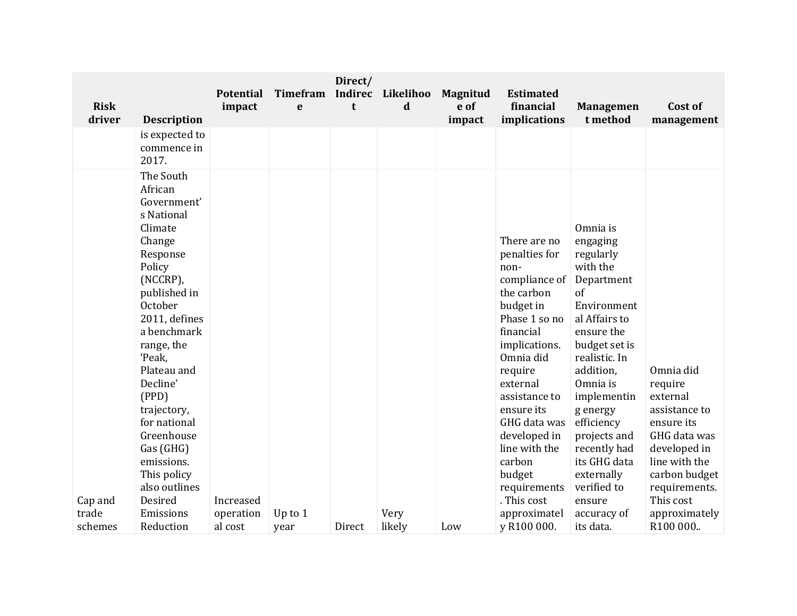| <b>Risk</b><br>driver | <b>Description</b>                                                                                                                                                                                                                                                                                                                                 | <b>Potential</b><br>impact | <b>Timefram</b><br>e | Direct/<br>Indirec<br>t | Likelihoo<br>d | <b>Magnitud</b><br>e of<br>impact | <b>Estimated</b><br>financial<br>implications                                                                                                                                                                                                                                                           | <b>Managemen</b><br>t method                                                                                                                                                                                                                                                                               | Cost of<br>management                                                                                                                                           |
|-----------------------|----------------------------------------------------------------------------------------------------------------------------------------------------------------------------------------------------------------------------------------------------------------------------------------------------------------------------------------------------|----------------------------|----------------------|-------------------------|----------------|-----------------------------------|---------------------------------------------------------------------------------------------------------------------------------------------------------------------------------------------------------------------------------------------------------------------------------------------------------|------------------------------------------------------------------------------------------------------------------------------------------------------------------------------------------------------------------------------------------------------------------------------------------------------------|-----------------------------------------------------------------------------------------------------------------------------------------------------------------|
|                       | is expected to<br>commence in<br>2017.                                                                                                                                                                                                                                                                                                             |                            |                      |                         |                |                                   |                                                                                                                                                                                                                                                                                                         |                                                                                                                                                                                                                                                                                                            |                                                                                                                                                                 |
| Cap and               | The South<br>African<br>Government'<br>s National<br>Climate<br>Change<br>Response<br>Policy<br>(NCCRP),<br>published in<br>October<br>2011, defines<br>a benchmark<br>range, the<br>'Peak,<br>Plateau and<br>Decline'<br>(PPD)<br>trajectory,<br>for national<br>Greenhouse<br>Gas (GHG)<br>emissions.<br>This policy<br>also outlines<br>Desired | Increased                  |                      |                         |                |                                   | There are no<br>penalties for<br>non-<br>compliance of<br>the carbon<br>budget in<br>Phase 1 so no<br>financial<br>implications.<br>Omnia did<br>require<br>external<br>assistance to<br>ensure its<br>GHG data was<br>developed in<br>line with the<br>carbon<br>budget<br>requirements<br>. This cost | Omnia is<br>engaging<br>regularly<br>with the<br>Department<br>of<br>Environment<br>al Affairs to<br>ensure the<br>budget set is<br>realistic. In<br>addition,<br>Omnia is<br>implementin<br>g energy<br>efficiency<br>projects and<br>recently had<br>its GHG data<br>externally<br>verified to<br>ensure | Omnia did<br>require<br>external<br>assistance to<br>ensure its<br>GHG data was<br>developed in<br>line with the<br>carbon budget<br>requirements.<br>This cost |
| trade<br>schemes      | Emissions<br>Reduction                                                                                                                                                                                                                                                                                                                             | operation<br>al cost       | Up to $1$<br>year    | Direct                  | Very<br>likely | Low                               | approximatel<br>y R100 000.                                                                                                                                                                                                                                                                             | accuracy of<br>its data.                                                                                                                                                                                                                                                                                   | approximately<br>R100 000                                                                                                                                       |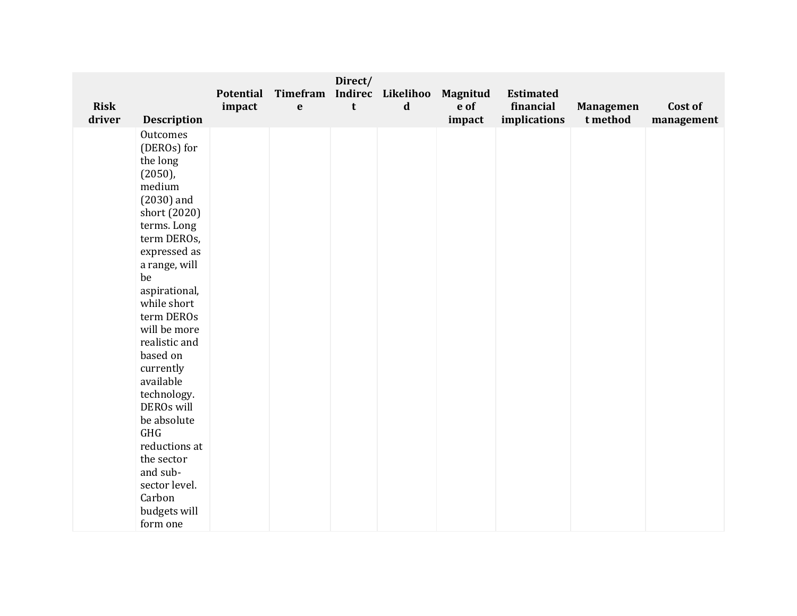| <b>Risk</b><br>driver |                                | <b>Potential</b><br>impact | Timefram<br>$\mathbf{e}$ | Direct/<br>t | Indirec Likelihoo<br>$\mathbf d$ | Magnitud<br>e of | <b>Estimated</b><br>financial | <b>Managemen</b><br>t method | Cost of    |
|-----------------------|--------------------------------|----------------------------|--------------------------|--------------|----------------------------------|------------------|-------------------------------|------------------------------|------------|
|                       | <b>Description</b><br>Outcomes |                            |                          |              |                                  | impact           | implications                  |                              | management |
|                       | (DEROs) for                    |                            |                          |              |                                  |                  |                               |                              |            |
|                       | the long                       |                            |                          |              |                                  |                  |                               |                              |            |
|                       | $(2050)$ ,                     |                            |                          |              |                                  |                  |                               |                              |            |
|                       | medium                         |                            |                          |              |                                  |                  |                               |                              |            |
|                       | $(2030)$ and                   |                            |                          |              |                                  |                  |                               |                              |            |
|                       | short (2020)                   |                            |                          |              |                                  |                  |                               |                              |            |
|                       | terms. Long                    |                            |                          |              |                                  |                  |                               |                              |            |
|                       | term DEROs,<br>expressed as    |                            |                          |              |                                  |                  |                               |                              |            |
|                       | a range, will                  |                            |                          |              |                                  |                  |                               |                              |            |
|                       | be                             |                            |                          |              |                                  |                  |                               |                              |            |
|                       | aspirational,                  |                            |                          |              |                                  |                  |                               |                              |            |
|                       | while short                    |                            |                          |              |                                  |                  |                               |                              |            |
|                       | term DEROs                     |                            |                          |              |                                  |                  |                               |                              |            |
|                       | will be more                   |                            |                          |              |                                  |                  |                               |                              |            |
|                       | realistic and                  |                            |                          |              |                                  |                  |                               |                              |            |
|                       | based on                       |                            |                          |              |                                  |                  |                               |                              |            |
|                       | currently                      |                            |                          |              |                                  |                  |                               |                              |            |
|                       | available                      |                            |                          |              |                                  |                  |                               |                              |            |
|                       | technology.<br>DEROs will      |                            |                          |              |                                  |                  |                               |                              |            |
|                       | be absolute                    |                            |                          |              |                                  |                  |                               |                              |            |
|                       | <b>GHG</b>                     |                            |                          |              |                                  |                  |                               |                              |            |
|                       | reductions at                  |                            |                          |              |                                  |                  |                               |                              |            |
|                       | the sector                     |                            |                          |              |                                  |                  |                               |                              |            |
|                       | and sub-                       |                            |                          |              |                                  |                  |                               |                              |            |
|                       | sector level.                  |                            |                          |              |                                  |                  |                               |                              |            |
|                       | Carbon                         |                            |                          |              |                                  |                  |                               |                              |            |
|                       | budgets will                   |                            |                          |              |                                  |                  |                               |                              |            |
|                       | form one                       |                            |                          |              |                                  |                  |                               |                              |            |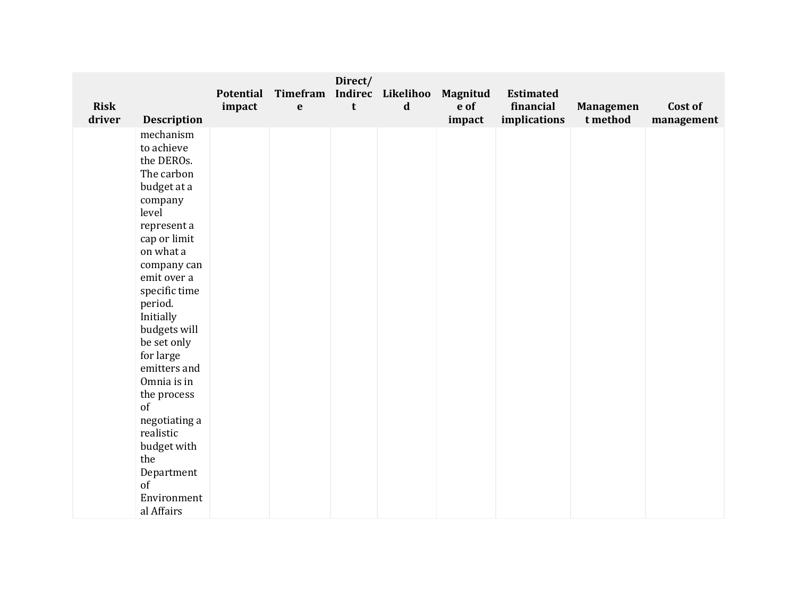| <b>Risk</b><br>driver<br><b>Description</b>                                                                                                                                                                 | Potential<br>impact | Timefram<br>$\mathbf e$ | $\mathbf t$ | Indirec Likelihoo<br>$\mathbf d$ | <b>Magnitud</b><br>e of<br>impact | <b>Estimated</b><br>financial<br>implications | <b>Managemen</b><br>t method | Cost of<br>management |
|-------------------------------------------------------------------------------------------------------------------------------------------------------------------------------------------------------------|---------------------|-------------------------|-------------|----------------------------------|-----------------------------------|-----------------------------------------------|------------------------------|-----------------------|
| mechanism<br>to achieve<br>the DEROs.<br>The carbon<br>budget at a<br>company<br>level<br>represent a<br>cap or limit<br>on what a<br>company can<br>emit over a<br>specific time                           |                     |                         |             |                                  |                                   |                                               |                              |                       |
| period.<br>Initially<br>budgets will<br>be set only<br>for large<br>emitters and<br>Omnia is in<br>the process<br>of<br>negotiating a<br>realistic<br>budget with<br>the<br>Department<br>of<br>Environment |                     |                         |             |                                  |                                   |                                               |                              |                       |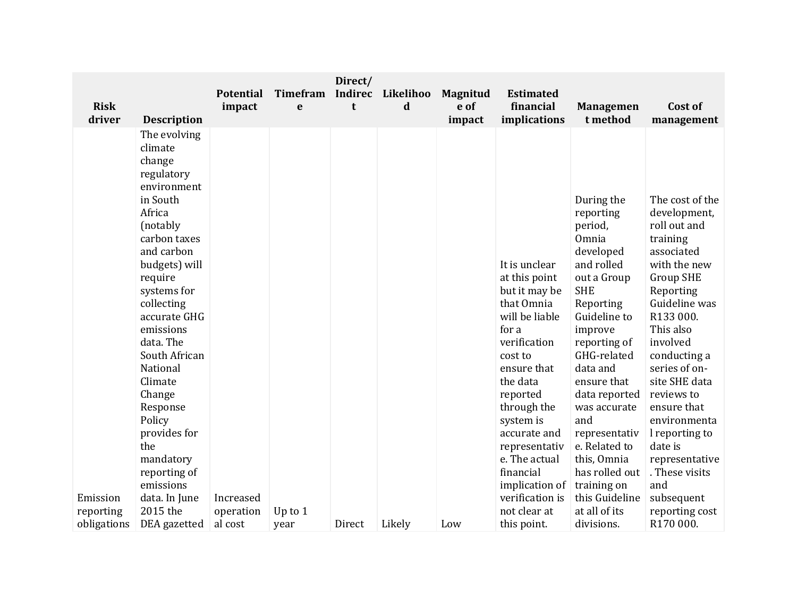| <b>Risk</b> |                                                                                                                                                                                                                                                                                                                                               | <b>Potential</b> | Timefram  | Direct/<br><b>Indirec</b> | Likelihoo   | <b>Magnitud</b><br>e of | <b>Estimated</b><br>financial                                                                                                                                                                                                            |                                                                                                                                                                                                                                                                                                |                                                                                                                                                                                                                                                                                                                                 |
|-------------|-----------------------------------------------------------------------------------------------------------------------------------------------------------------------------------------------------------------------------------------------------------------------------------------------------------------------------------------------|------------------|-----------|---------------------------|-------------|-------------------------|------------------------------------------------------------------------------------------------------------------------------------------------------------------------------------------------------------------------------------------|------------------------------------------------------------------------------------------------------------------------------------------------------------------------------------------------------------------------------------------------------------------------------------------------|---------------------------------------------------------------------------------------------------------------------------------------------------------------------------------------------------------------------------------------------------------------------------------------------------------------------------------|
| driver      | <b>Description</b>                                                                                                                                                                                                                                                                                                                            | impact           | e         | t                         | $\mathbf d$ | impact                  | implications                                                                                                                                                                                                                             | <b>Managemen</b><br>t method                                                                                                                                                                                                                                                                   | Cost of<br>management                                                                                                                                                                                                                                                                                                           |
|             | The evolving<br>climate<br>change<br>regulatory<br>environment<br>in South<br>Africa<br>(notably<br>carbon taxes<br>and carbon<br>budgets) will<br>require<br>systems for<br>collecting<br>accurate GHG<br>emissions<br>data. The<br>South African<br>National<br>Climate<br>Change<br>Response<br>Policy<br>provides for<br>the<br>mandatory |                  |           |                           |             |                         | It is unclear<br>at this point<br>but it may be<br>that Omnia<br>will be liable<br>for a<br>verification<br>cost to<br>ensure that<br>the data<br>reported<br>through the<br>system is<br>accurate and<br>representativ<br>e. The actual | During the<br>reporting<br>period,<br>Omnia<br>developed<br>and rolled<br>out a Group<br><b>SHE</b><br>Reporting<br>Guideline to<br>improve<br>reporting of<br>GHG-related<br>data and<br>ensure that<br>data reported<br>was accurate<br>and<br>representativ<br>e. Related to<br>this, Omnia | The cost of the<br>development,<br>roll out and<br>training<br>associated<br>with the new<br><b>Group SHE</b><br>Reporting<br>Guideline was<br>R133 000.<br>This also<br>involved<br>conducting a<br>series of on-<br>site SHE data<br>reviews to<br>ensure that<br>environmenta<br>I reporting to<br>date is<br>representative |
|             | reporting of<br>emissions                                                                                                                                                                                                                                                                                                                     |                  |           |                           |             |                         | financial<br>implication of                                                                                                                                                                                                              | has rolled out<br>training on                                                                                                                                                                                                                                                                  | . These visits<br>and                                                                                                                                                                                                                                                                                                           |
| Emission    | data. In June                                                                                                                                                                                                                                                                                                                                 | Increased        |           |                           |             |                         | verification is                                                                                                                                                                                                                          | this Guideline                                                                                                                                                                                                                                                                                 | subsequent                                                                                                                                                                                                                                                                                                                      |
| reporting   | 2015 the                                                                                                                                                                                                                                                                                                                                      | operation        | Up to $1$ |                           |             |                         | not clear at                                                                                                                                                                                                                             | at all of its                                                                                                                                                                                                                                                                                  | reporting cost                                                                                                                                                                                                                                                                                                                  |
| obligations | DEA gazetted                                                                                                                                                                                                                                                                                                                                  | al cost          | year      | Direct                    | Likely      | Low                     | this point.                                                                                                                                                                                                                              | divisions.                                                                                                                                                                                                                                                                                     | R170 000.                                                                                                                                                                                                                                                                                                                       |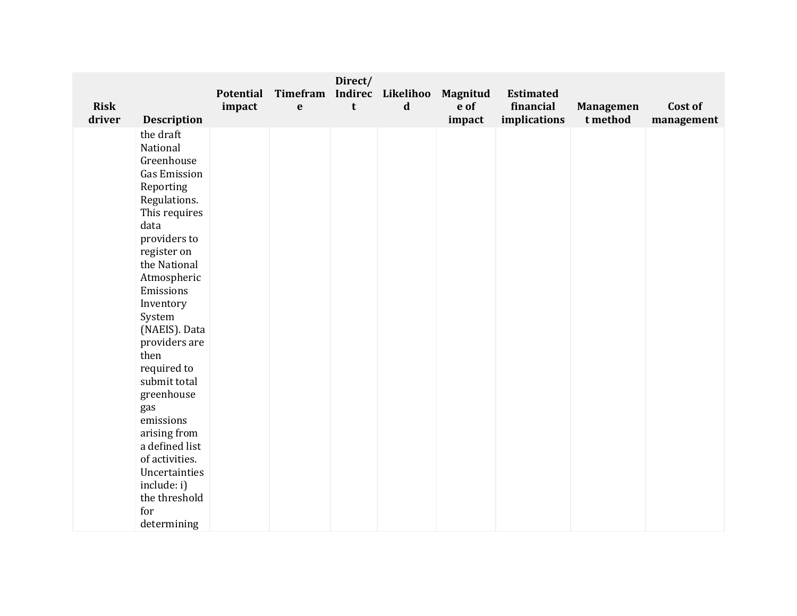| <b>Risk</b><br>driver | <b>Description</b>                                                                                                                                                                                                                                                                                                                                                                                                                        | Potential<br>impact | Timefram<br>$\mathbf e$ | Direct/<br>t | Indirec Likelihoo<br>$\mathbf d$ | <b>Magnitud</b><br>e of<br>impact | <b>Estimated</b><br>financial<br>implications | <b>Managemen</b><br>t method | Cost of    |
|-----------------------|-------------------------------------------------------------------------------------------------------------------------------------------------------------------------------------------------------------------------------------------------------------------------------------------------------------------------------------------------------------------------------------------------------------------------------------------|---------------------|-------------------------|--------------|----------------------------------|-----------------------------------|-----------------------------------------------|------------------------------|------------|
|                       | the draft<br>National<br>Greenhouse<br><b>Gas Emission</b><br>Reporting<br>Regulations.<br>This requires<br>data<br>providers to<br>register on<br>the National<br>Atmospheric<br>Emissions<br>Inventory<br>System<br>(NAEIS). Data<br>providers are<br>then<br>required to<br>submit total<br>greenhouse<br>gas<br>emissions<br>arising from<br>a defined list<br>of activities.<br>Uncertainties<br>include: i)<br>the threshold<br>for |                     |                         |              |                                  |                                   |                                               |                              | management |
|                       | determining                                                                                                                                                                                                                                                                                                                                                                                                                               |                     |                         |              |                                  |                                   |                                               |                              |            |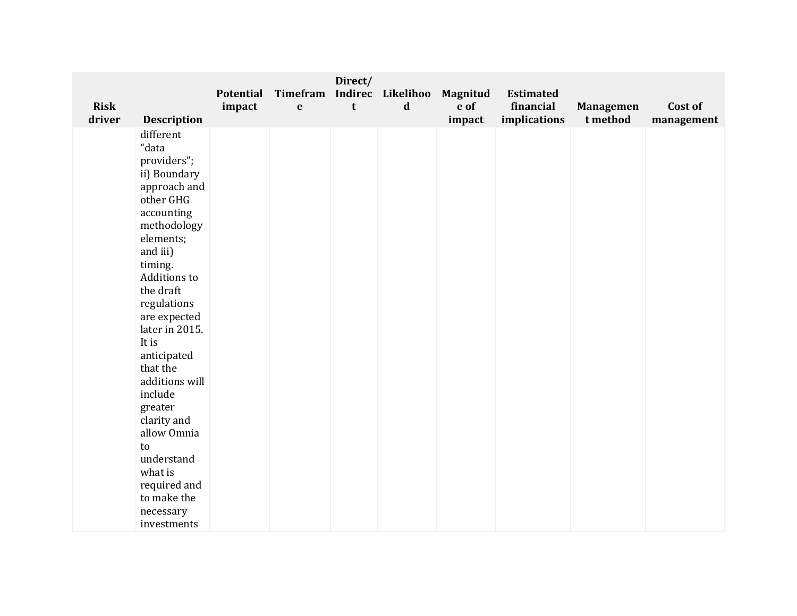| <b>Risk</b><br>driver | <b>Description</b>                                                                                                                                                                                                                                                                                                                                                                                                                | Potential<br>impact | Timefram<br>$\mathbf e$ | Direct/<br>t | Indirec Likelihoo<br>$\mathbf d$ | <b>Magnitud</b><br>e of<br>impact | <b>Estimated</b><br>financial<br>implications | <b>Managemen</b><br>t method | Cost of<br>management |
|-----------------------|-----------------------------------------------------------------------------------------------------------------------------------------------------------------------------------------------------------------------------------------------------------------------------------------------------------------------------------------------------------------------------------------------------------------------------------|---------------------|-------------------------|--------------|----------------------------------|-----------------------------------|-----------------------------------------------|------------------------------|-----------------------|
|                       | different<br>"data<br>providers";<br>ii) Boundary<br>approach and<br>other GHG<br>accounting<br>methodology<br>elements;<br>and iii)<br>timing.<br>Additions to<br>the draft<br>regulations<br>are expected<br>later in 2015.<br>It is<br>anticipated<br>that the<br>additions will<br>include<br>greater<br>clarity and<br>allow Omnia<br>to<br>understand<br>what is<br>required and<br>to make the<br>necessary<br>investments |                     |                         |              |                                  |                                   |                                               |                              |                       |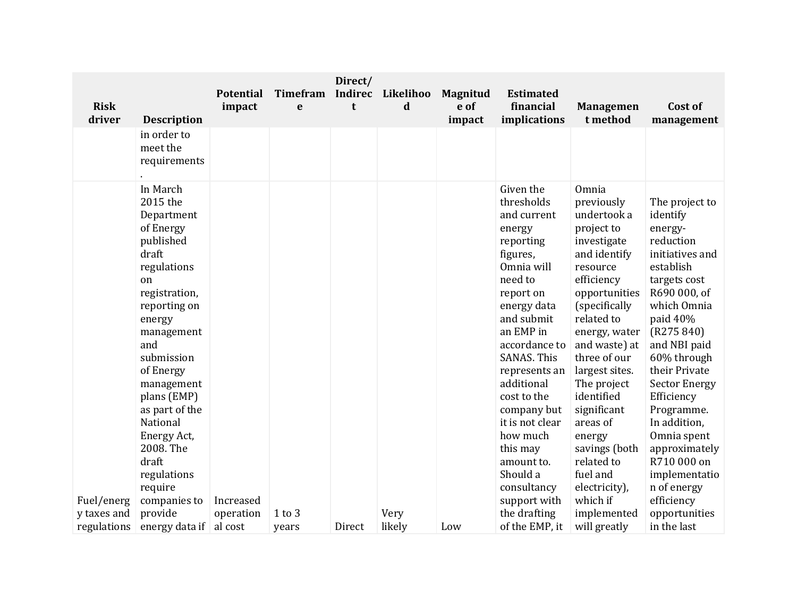| <b>Risk</b><br>driver     | <b>Description</b>                                                                                                                                                                                                                                                                                              | <b>Potential</b><br>impact | Timefram<br>e | Direct/<br>Indirec<br>t | Likelihoo<br>$\mathbf d$ | <b>Magnitud</b><br>e of<br>impact | <b>Estimated</b><br>financial<br>implications                                                                                                                                                                                                                                                                                                     | <b>Managemen</b><br>t method                                                                                                                                                                                                                                                                                                                                | Cost of<br>management                                                                                                                                                                                                                                                                                                                                          |
|---------------------------|-----------------------------------------------------------------------------------------------------------------------------------------------------------------------------------------------------------------------------------------------------------------------------------------------------------------|----------------------------|---------------|-------------------------|--------------------------|-----------------------------------|---------------------------------------------------------------------------------------------------------------------------------------------------------------------------------------------------------------------------------------------------------------------------------------------------------------------------------------------------|-------------------------------------------------------------------------------------------------------------------------------------------------------------------------------------------------------------------------------------------------------------------------------------------------------------------------------------------------------------|----------------------------------------------------------------------------------------------------------------------------------------------------------------------------------------------------------------------------------------------------------------------------------------------------------------------------------------------------------------|
|                           | in order to<br>meet the<br>requirements                                                                                                                                                                                                                                                                         |                            |               |                         |                          |                                   |                                                                                                                                                                                                                                                                                                                                                   |                                                                                                                                                                                                                                                                                                                                                             |                                                                                                                                                                                                                                                                                                                                                                |
|                           | In March<br>2015 the<br>Department<br>of Energy<br>published<br>draft<br>regulations<br>on<br>registration,<br>reporting on<br>energy<br>management<br>and<br>submission<br>of Energy<br>management<br>plans (EMP)<br>as part of the<br>National<br>Energy Act,<br>2008. The<br>draft<br>regulations<br>require |                            |               |                         |                          |                                   | Given the<br>thresholds<br>and current<br>energy<br>reporting<br>figures,<br>Omnia will<br>need to<br>report on<br>energy data<br>and submit<br>an EMP in<br>accordance to<br><b>SANAS. This</b><br>represents an<br>additional<br>cost to the<br>company but<br>it is not clear<br>how much<br>this may<br>amount to.<br>Should a<br>consultancy | Omnia<br>previously<br>undertook a<br>project to<br>investigate<br>and identify<br>resource<br>efficiency<br>opportunities<br>(specifically<br>related to<br>energy, water<br>and waste) at<br>three of our<br>largest sites.<br>The project<br>identified<br>significant<br>areas of<br>energy<br>savings (both<br>related to<br>fuel and<br>electricity), | The project to<br>identify<br>energy-<br>reduction<br>initiatives and<br>establish<br>targets cost<br>R690 000, of<br>which Omnia<br>paid 40%<br>(R275 840)<br>and NBI paid<br>60% through<br>their Private<br><b>Sector Energy</b><br>Efficiency<br>Programme.<br>In addition,<br>Omnia spent<br>approximately<br>R710 000 on<br>implementatio<br>n of energy |
| Fuel/energ<br>y taxes and | companies to<br>provide                                                                                                                                                                                                                                                                                         | Increased<br>operation     | $1$ to $3$    |                         | Very                     |                                   | support with<br>the drafting                                                                                                                                                                                                                                                                                                                      | which if<br>implemented                                                                                                                                                                                                                                                                                                                                     | efficiency<br>opportunities                                                                                                                                                                                                                                                                                                                                    |
| regulations               | energy data if                                                                                                                                                                                                                                                                                                  | al cost                    | years         | Direct                  | likely                   | Low                               | of the EMP, it                                                                                                                                                                                                                                                                                                                                    | will greatly                                                                                                                                                                                                                                                                                                                                                | in the last                                                                                                                                                                                                                                                                                                                                                    |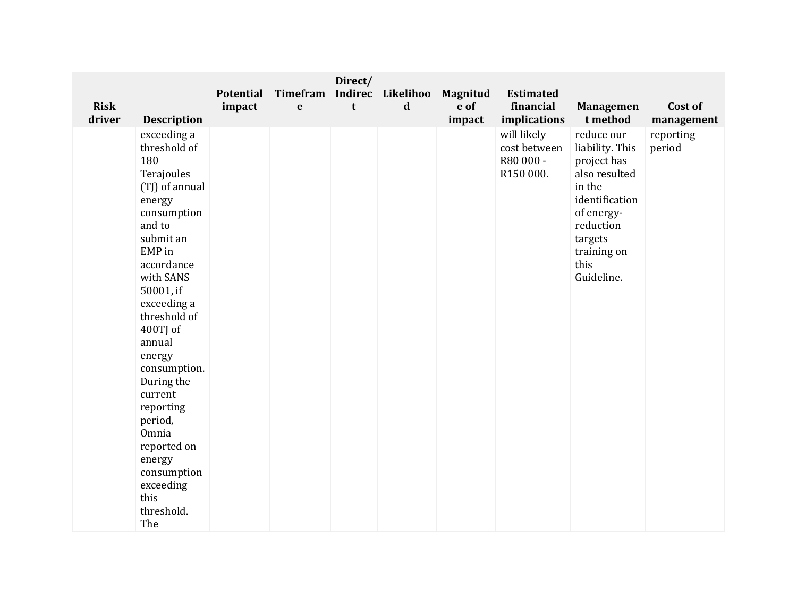| <b>Risk</b><br>driver | <b>Description</b>                                                                                                                                                                                                                                                                                                                                                                              | <b>Potential</b><br>impact | Timefram<br>$\mathbf e$ | Direct/<br>t | Indirec Likelihoo<br>$\mathbf d$ | Magnitud<br>e of<br>impact | <b>Estimated</b><br>financial<br>implications         | <b>Managemen</b><br>t method                                                                                                                                         | Cost of<br>management |
|-----------------------|-------------------------------------------------------------------------------------------------------------------------------------------------------------------------------------------------------------------------------------------------------------------------------------------------------------------------------------------------------------------------------------------------|----------------------------|-------------------------|--------------|----------------------------------|----------------------------|-------------------------------------------------------|----------------------------------------------------------------------------------------------------------------------------------------------------------------------|-----------------------|
|                       | exceeding a<br>threshold of<br>180<br>Terajoules<br>(TJ) of annual<br>energy<br>consumption<br>and to<br>submit an<br>EMP in<br>accordance<br>with SANS<br>50001, if<br>exceeding a<br>threshold of<br>400TJ of<br>annual<br>energy<br>consumption.<br>During the<br>current<br>reporting<br>period,<br>Omnia<br>reported on<br>energy<br>consumption<br>exceeding<br>this<br>threshold.<br>The |                            |                         |              |                                  |                            | will likely<br>cost between<br>R80 000 -<br>R150 000. | reduce our<br>liability. This<br>project has<br>also resulted<br>in the<br>identification<br>of energy-<br>reduction<br>targets<br>training on<br>this<br>Guideline. | reporting<br>period   |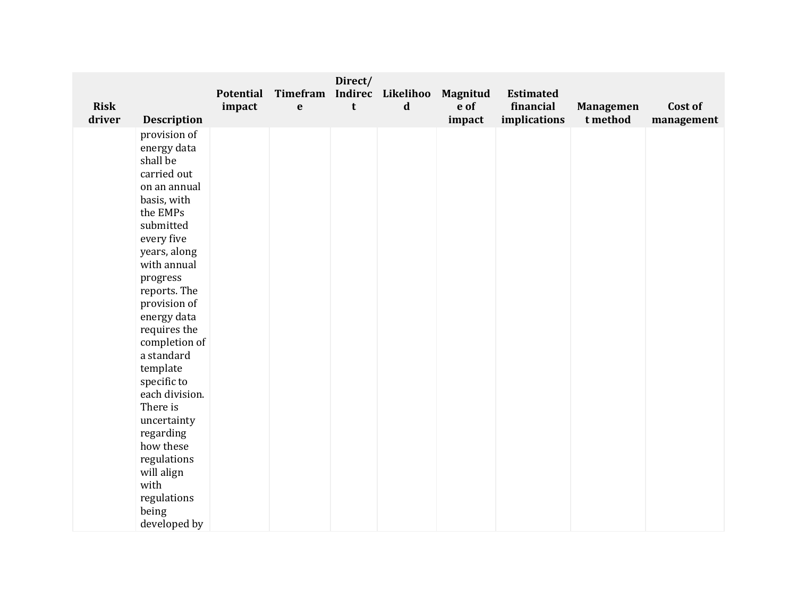| <b>Risk</b> |                    | <b>Potential</b><br>impact | <b>Timefram</b><br>$\mathbf e$ | Direct/<br>t | Indirec Likelihoo<br>$\mathbf d$ | Magnitud<br>e of | <b>Estimated</b><br>financial | <b>Managemen</b> | Cost of    |
|-------------|--------------------|----------------------------|--------------------------------|--------------|----------------------------------|------------------|-------------------------------|------------------|------------|
| driver      | <b>Description</b> |                            |                                |              |                                  | impact           | implications                  | t method         | management |
|             | provision of       |                            |                                |              |                                  |                  |                               |                  |            |
|             | energy data        |                            |                                |              |                                  |                  |                               |                  |            |
|             | shall be           |                            |                                |              |                                  |                  |                               |                  |            |
|             | carried out        |                            |                                |              |                                  |                  |                               |                  |            |
|             | on an annual       |                            |                                |              |                                  |                  |                               |                  |            |
|             | basis, with        |                            |                                |              |                                  |                  |                               |                  |            |
|             | the EMPs           |                            |                                |              |                                  |                  |                               |                  |            |
|             | submitted          |                            |                                |              |                                  |                  |                               |                  |            |
|             | every five         |                            |                                |              |                                  |                  |                               |                  |            |
|             | years, along       |                            |                                |              |                                  |                  |                               |                  |            |
|             | with annual        |                            |                                |              |                                  |                  |                               |                  |            |
|             | progress           |                            |                                |              |                                  |                  |                               |                  |            |
|             | reports. The       |                            |                                |              |                                  |                  |                               |                  |            |
|             | provision of       |                            |                                |              |                                  |                  |                               |                  |            |
|             | energy data        |                            |                                |              |                                  |                  |                               |                  |            |
|             | requires the       |                            |                                |              |                                  |                  |                               |                  |            |
|             | completion of      |                            |                                |              |                                  |                  |                               |                  |            |
|             | a standard         |                            |                                |              |                                  |                  |                               |                  |            |
|             | template           |                            |                                |              |                                  |                  |                               |                  |            |
|             | specific to        |                            |                                |              |                                  |                  |                               |                  |            |
|             | each division.     |                            |                                |              |                                  |                  |                               |                  |            |
|             | There is           |                            |                                |              |                                  |                  |                               |                  |            |
|             | uncertainty        |                            |                                |              |                                  |                  |                               |                  |            |
|             | regarding          |                            |                                |              |                                  |                  |                               |                  |            |
|             | how these          |                            |                                |              |                                  |                  |                               |                  |            |
|             | regulations        |                            |                                |              |                                  |                  |                               |                  |            |
|             | will align         |                            |                                |              |                                  |                  |                               |                  |            |
|             | with               |                            |                                |              |                                  |                  |                               |                  |            |
|             | regulations        |                            |                                |              |                                  |                  |                               |                  |            |
|             | being              |                            |                                |              |                                  |                  |                               |                  |            |
|             | developed by       |                            |                                |              |                                  |                  |                               |                  |            |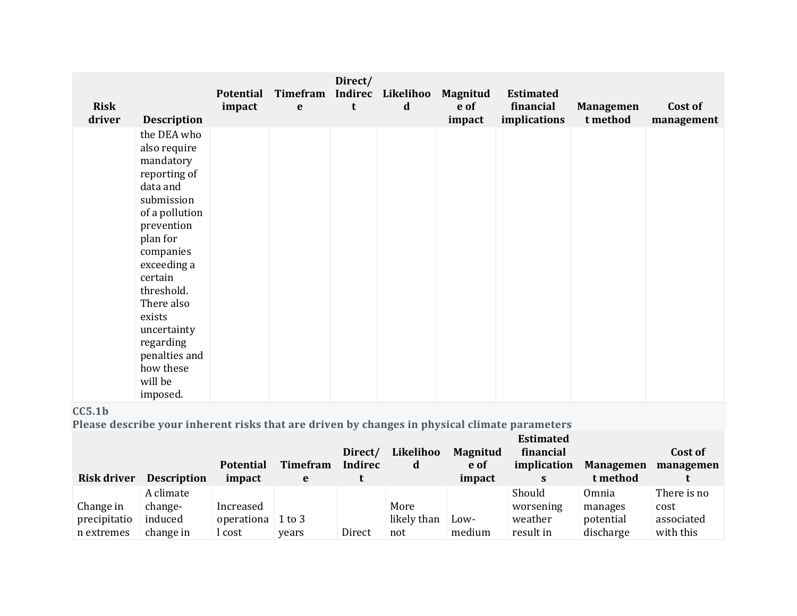| <b>Risk</b><br>driver | <b>Description</b>                                                                                                                                                                                                                                                                           | <b>Potential</b><br>impact | Timefram<br>$\mathbf e$ | Direct/<br>t | Indirec Likelihoo<br>$\mathbf d$ | <b>Magnitud</b><br>e of<br>impact | <b>Estimated</b><br>financial<br>implications | <b>Managemen</b><br>t method | Cost of<br>management |
|-----------------------|----------------------------------------------------------------------------------------------------------------------------------------------------------------------------------------------------------------------------------------------------------------------------------------------|----------------------------|-------------------------|--------------|----------------------------------|-----------------------------------|-----------------------------------------------|------------------------------|-----------------------|
|                       | the DEA who<br>also require<br>mandatory<br>reporting of<br>data and<br>submission<br>of a pollution<br>prevention<br>plan for<br>companies<br>exceeding a<br>certain<br>threshold.<br>There also<br>exists<br>uncertainty<br>regarding<br>penalties and<br>how these<br>will be<br>imposed. |                            |                         |              |                                  |                                   |                                               |                              |                       |

# **CC5.1b**

**Please describe your inherent risks that are driven by changes in physical climate parameters**

| <b>Risk driver</b> | <b>Description</b> | <b>Potential</b><br>impact | <b>Timefram</b><br>e | Direct/<br>Indirec | Likelihoo<br>d | <b>Magnitud</b><br>e of<br>impact | <b>Estimated</b><br>financial<br>implication<br>S | <b>Managemen</b><br>t method | Cost of<br>managemen |
|--------------------|--------------------|----------------------------|----------------------|--------------------|----------------|-----------------------------------|---------------------------------------------------|------------------------------|----------------------|
|                    |                    |                            |                      |                    |                |                                   |                                                   |                              |                      |
|                    | A climate          |                            |                      |                    |                |                                   | Should                                            | Omnia                        | There is no          |
| Change in          | change-            | Increased                  |                      |                    | More           |                                   | worsening                                         | manages                      | cost                 |
| precipitatio       | induced            | operationa                 | $1$ to $3$           |                    | likely than    | Low-                              | weather                                           | potential                    | associated           |
| n extremes         | change in          | .cost                      | years                | Direct             | not            | medium                            | result in                                         | discharge                    | with this            |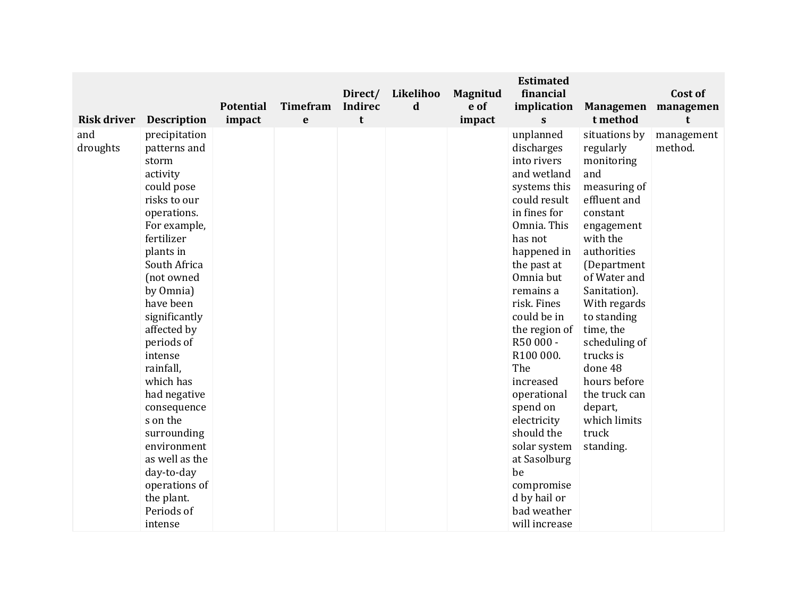|                                       |                                                                                                                                                                                                                                                                                                                                                                                                                                                                              | <b>Potential</b> | <b>Timefram</b> | Direct/<br><b>Indirec</b> | Likelihoo<br>d | Magnitud<br>e of | <b>Estimated</b><br>financial<br>implication                                                                                                                                                                                                                                                                                                                                                                                                          | <b>Managemen</b>                                                                                                                                                                                                                                                                                                                                                       | Cost of<br>managemen       |
|---------------------------------------|------------------------------------------------------------------------------------------------------------------------------------------------------------------------------------------------------------------------------------------------------------------------------------------------------------------------------------------------------------------------------------------------------------------------------------------------------------------------------|------------------|-----------------|---------------------------|----------------|------------------|-------------------------------------------------------------------------------------------------------------------------------------------------------------------------------------------------------------------------------------------------------------------------------------------------------------------------------------------------------------------------------------------------------------------------------------------------------|------------------------------------------------------------------------------------------------------------------------------------------------------------------------------------------------------------------------------------------------------------------------------------------------------------------------------------------------------------------------|----------------------------|
| <b>Risk driver</b><br>and<br>droughts | <b>Description</b><br>precipitation<br>patterns and<br>storm<br>activity<br>could pose<br>risks to our<br>operations.<br>For example,<br>fertilizer<br>plants in<br>South Africa<br>(not owned<br>by Omnia)<br>have been<br>significantly<br>affected by<br>periods of<br>intense<br>rainfall,<br>which has<br>had negative<br>consequence<br>s on the<br>surrounding<br>environment<br>as well as the<br>day-to-day<br>operations of<br>the plant.<br>Periods of<br>intense | impact           | $\mathbf e$     | t                         |                | impact           | S<br>unplanned<br>discharges<br>into rivers<br>and wetland<br>systems this<br>could result<br>in fines for<br>Omnia. This<br>has not<br>happened in<br>the past at<br>Omnia but<br>remains a<br>risk. Fines<br>could be in<br>the region of<br>R50 000 -<br>R100 000.<br>The<br>increased<br>operational<br>spend on<br>electricity<br>should the<br>solar system<br>at Sasolburg<br>be<br>compromise<br>d by hail or<br>bad weather<br>will increase | t method<br>situations by<br>regularly<br>monitoring<br>and<br>measuring of<br>effluent and<br>constant<br>engagement<br>with the<br>authorities<br>(Department<br>of Water and<br>Sanitation).<br>With regards<br>to standing<br>time, the<br>scheduling of<br>trucks is<br>done 48<br>hours before<br>the truck can<br>depart,<br>which limits<br>truck<br>standing. | t<br>management<br>method. |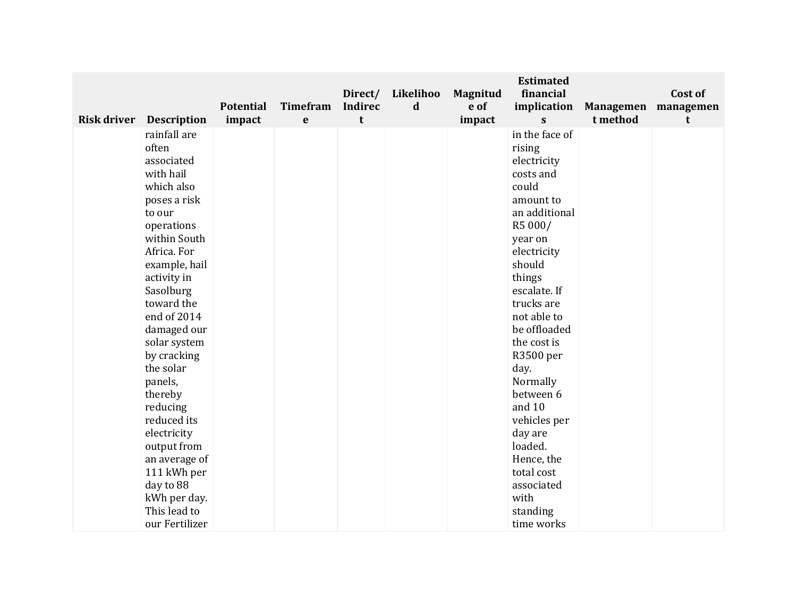|                                | <b>Potential</b> | <b>Timefram</b> | Direct/<br><b>Indirec</b> | Likelihoo<br>d | <b>Magnitud</b><br>e of | <b>Estimated</b><br>financial<br>implication | <b>Managemen</b> | Cost of<br>managemen |
|--------------------------------|------------------|-----------------|---------------------------|----------------|-------------------------|----------------------------------------------|------------------|----------------------|
| <b>Risk driver</b> Description | impact           | e               | t                         |                | impact                  | $\mathbf{s}$                                 | t method         | t                    |
| rainfall are                   |                  |                 |                           |                |                         | in the face of                               |                  |                      |
| often                          |                  |                 |                           |                |                         | rising                                       |                  |                      |
| associated                     |                  |                 |                           |                |                         | electricity                                  |                  |                      |
| with hail                      |                  |                 |                           |                |                         | costs and                                    |                  |                      |
| which also                     |                  |                 |                           |                |                         | could                                        |                  |                      |
| poses a risk                   |                  |                 |                           |                |                         | amount to                                    |                  |                      |
| to our                         |                  |                 |                           |                |                         | an additional                                |                  |                      |
| operations                     |                  |                 |                           |                |                         | R5 000/                                      |                  |                      |
| within South                   |                  |                 |                           |                |                         | year on                                      |                  |                      |
| Africa. For                    |                  |                 |                           |                |                         | electricity                                  |                  |                      |
| example, hail                  |                  |                 |                           |                |                         | should                                       |                  |                      |
| activity in                    |                  |                 |                           |                |                         | things                                       |                  |                      |
| Sasolburg                      |                  |                 |                           |                |                         | escalate. If                                 |                  |                      |
| toward the                     |                  |                 |                           |                |                         | trucks are                                   |                  |                      |
| end of 2014                    |                  |                 |                           |                |                         | not able to                                  |                  |                      |
| damaged our                    |                  |                 |                           |                |                         | be offloaded                                 |                  |                      |
| solar system                   |                  |                 |                           |                |                         | the cost is                                  |                  |                      |
| by cracking                    |                  |                 |                           |                |                         | R3500 per                                    |                  |                      |
| the solar                      |                  |                 |                           |                |                         | day.                                         |                  |                      |
| panels,                        |                  |                 |                           |                |                         | Normally<br>between 6                        |                  |                      |
| thereby                        |                  |                 |                           |                |                         | and 10                                       |                  |                      |
| reducing<br>reduced its        |                  |                 |                           |                |                         | vehicles per                                 |                  |                      |
| electricity                    |                  |                 |                           |                |                         | day are                                      |                  |                      |
| output from                    |                  |                 |                           |                |                         | loaded.                                      |                  |                      |
| an average of                  |                  |                 |                           |                |                         | Hence, the                                   |                  |                      |
| 111 kWh per                    |                  |                 |                           |                |                         | total cost                                   |                  |                      |
| day to 88                      |                  |                 |                           |                |                         | associated                                   |                  |                      |
| kWh per day.                   |                  |                 |                           |                |                         | with                                         |                  |                      |
| This lead to                   |                  |                 |                           |                |                         | standing                                     |                  |                      |
| our Fertilizer                 |                  |                 |                           |                |                         | time works                                   |                  |                      |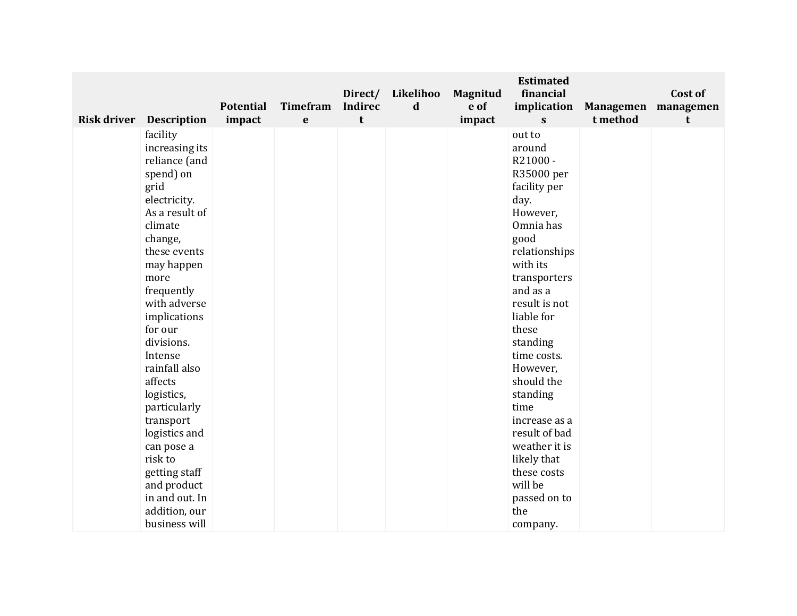| <b>Risk driver</b> Description | <b>Potential</b><br>impact | <b>Timefram</b><br>e | Direct/<br><b>Indirec</b><br>t | Likelihoo<br>$\mathbf d$ | <b>Magnitud</b><br>e of<br>impact | <b>Estimated</b><br>financial<br>implication<br>$\mathbf{s}$ | <b>Managemen</b><br>t method | Cost of<br>managemen<br>t |
|--------------------------------|----------------------------|----------------------|--------------------------------|--------------------------|-----------------------------------|--------------------------------------------------------------|------------------------------|---------------------------|
| facility                       |                            |                      |                                |                          |                                   | out to                                                       |                              |                           |
| increasing its                 |                            |                      |                                |                          |                                   | around                                                       |                              |                           |
| reliance (and                  |                            |                      |                                |                          |                                   | R21000-                                                      |                              |                           |
| spend) on                      |                            |                      |                                |                          |                                   | R35000 per                                                   |                              |                           |
| grid                           |                            |                      |                                |                          |                                   | facility per                                                 |                              |                           |
| electricity.                   |                            |                      |                                |                          |                                   | day.                                                         |                              |                           |
| As a result of                 |                            |                      |                                |                          |                                   | However,                                                     |                              |                           |
| climate                        |                            |                      |                                |                          |                                   | Omnia has                                                    |                              |                           |
| change,                        |                            |                      |                                |                          |                                   | good                                                         |                              |                           |
| these events                   |                            |                      |                                |                          |                                   | relationships                                                |                              |                           |
| may happen                     |                            |                      |                                |                          |                                   | with its                                                     |                              |                           |
| more                           |                            |                      |                                |                          |                                   | transporters                                                 |                              |                           |
| frequently                     |                            |                      |                                |                          |                                   | and as a                                                     |                              |                           |
| with adverse                   |                            |                      |                                |                          |                                   | result is not                                                |                              |                           |
| implications                   |                            |                      |                                |                          |                                   | liable for                                                   |                              |                           |
| for our                        |                            |                      |                                |                          |                                   | these                                                        |                              |                           |
| divisions.                     |                            |                      |                                |                          |                                   | standing                                                     |                              |                           |
| Intense                        |                            |                      |                                |                          |                                   | time costs.                                                  |                              |                           |
| rainfall also                  |                            |                      |                                |                          |                                   | However,                                                     |                              |                           |
| affects                        |                            |                      |                                |                          |                                   | should the                                                   |                              |                           |
| logistics,                     |                            |                      |                                |                          |                                   | standing                                                     |                              |                           |
| particularly                   |                            |                      |                                |                          |                                   | time                                                         |                              |                           |
| transport                      |                            |                      |                                |                          |                                   | increase as a                                                |                              |                           |
| logistics and                  |                            |                      |                                |                          |                                   | result of bad                                                |                              |                           |
| can pose a                     |                            |                      |                                |                          |                                   | weather it is                                                |                              |                           |
| risk to                        |                            |                      |                                |                          |                                   | likely that                                                  |                              |                           |
| getting staff                  |                            |                      |                                |                          |                                   | these costs                                                  |                              |                           |
| and product                    |                            |                      |                                |                          |                                   | will be                                                      |                              |                           |
| in and out. In                 |                            |                      |                                |                          |                                   | passed on to                                                 |                              |                           |
| addition, our                  |                            |                      |                                |                          |                                   | the                                                          |                              |                           |
| business will                  |                            |                      |                                |                          |                                   | company.                                                     |                              |                           |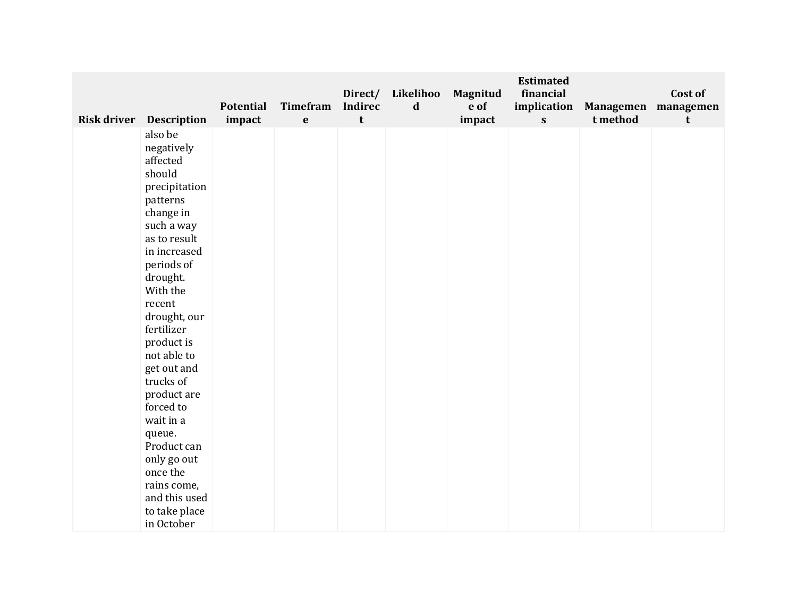| <b>Risk driver</b> Description                                                                                                                                                                                                                                                                                                                                                                                                         | <b>Potential</b><br>impact | <b>Timefram</b><br>$\mathbf e$ | Direct/<br><b>Indirec</b><br>t | Likelihoo<br>$\mathbf d$ | Magnitud<br>e of<br>impact | <b>Estimated</b><br>financial<br>implication<br>$\mathbf{s}$ | t method | Cost of<br>Managemen managemen<br>t |
|----------------------------------------------------------------------------------------------------------------------------------------------------------------------------------------------------------------------------------------------------------------------------------------------------------------------------------------------------------------------------------------------------------------------------------------|----------------------------|--------------------------------|--------------------------------|--------------------------|----------------------------|--------------------------------------------------------------|----------|-------------------------------------|
| also be<br>negatively<br>affected<br>should<br>precipitation<br>patterns<br>change in<br>such a way<br>as to result<br>in increased<br>periods of<br>drought.<br>With the<br>recent<br>drought, our<br>fertilizer<br>product is<br>not able to<br>get out and<br>trucks of<br>product are<br>forced to<br>wait in a<br>queue.<br>Product can<br>only go out<br>once the<br>rains come,<br>and this used<br>to take place<br>in October |                            |                                |                                |                          |                            |                                                              |          |                                     |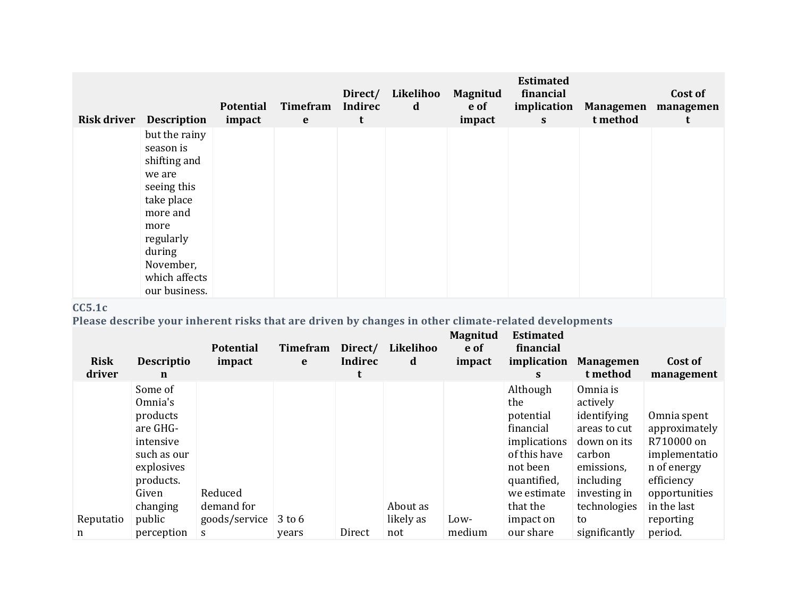| <b>Risk driver</b> | <b>Description</b>                                                                                                                                                          | <b>Potential</b><br>impact | Timefram<br>$\mathbf{e}$ | Direct/<br>Indirec<br>t | Likelihoo<br>d | <b>Magnitud</b><br>e of<br>impact | <b>Estimated</b><br>financial<br>implication<br>$\mathbf{s}$ | <b>Managemen</b><br>t method | Cost of<br>managemen<br>t |
|--------------------|-----------------------------------------------------------------------------------------------------------------------------------------------------------------------------|----------------------------|--------------------------|-------------------------|----------------|-----------------------------------|--------------------------------------------------------------|------------------------------|---------------------------|
|                    | but the rainy<br>season is<br>shifting and<br>we are<br>seeing this<br>take place<br>more and<br>more<br>regularly<br>during<br>November,<br>which affects<br>our business. |                            |                          |                         |                |                                   |                                                              |                              |                           |

# **CC5.1c**

**Please describe your inherent risks that are driven by changes in other climate-related developments**

| <b>Risk</b><br>driver | <b>Descriptio</b><br>$\mathbf n$                                                                                       | <b>Potential</b><br>impact | <b>Timefram</b><br>e | Direct/<br><b>Indirec</b><br>t | Likelihoo<br>d   | Magnitud<br>e of<br>impact | <b>Estimated</b><br>financial<br>implication<br>S.                                                                              | <b>Managemen</b><br>t method                                                                                                            | Cost of<br>management                                                                                                    |
|-----------------------|------------------------------------------------------------------------------------------------------------------------|----------------------------|----------------------|--------------------------------|------------------|----------------------------|---------------------------------------------------------------------------------------------------------------------------------|-----------------------------------------------------------------------------------------------------------------------------------------|--------------------------------------------------------------------------------------------------------------------------|
|                       | Some of<br>Omnia's<br>products<br>are GHG-<br>intensive<br>such as our<br>explosives<br>products.<br>Given<br>changing | Reduced<br>demand for      |                      |                                | About as         |                            | Although<br>the<br>potential<br>financial<br>implications<br>of this have<br>not been<br>quantified,<br>we estimate<br>that the | Omnia is<br>actively<br>identifying<br>areas to cut<br>down on its<br>carbon<br>emissions,<br>including<br>investing in<br>technologies | Omnia spent<br>approximately<br>R710000 on<br>implementatio<br>n of energy<br>efficiency<br>opportunities<br>in the last |
| Reputatio<br>n        | public<br>perception                                                                                                   | goods/service<br>S         | $3$ to $6$<br>years  | Direct                         | likely as<br>not | Low-<br>medium             | impact on<br>our share                                                                                                          | to<br>significantly                                                                                                                     | reporting<br>period.                                                                                                     |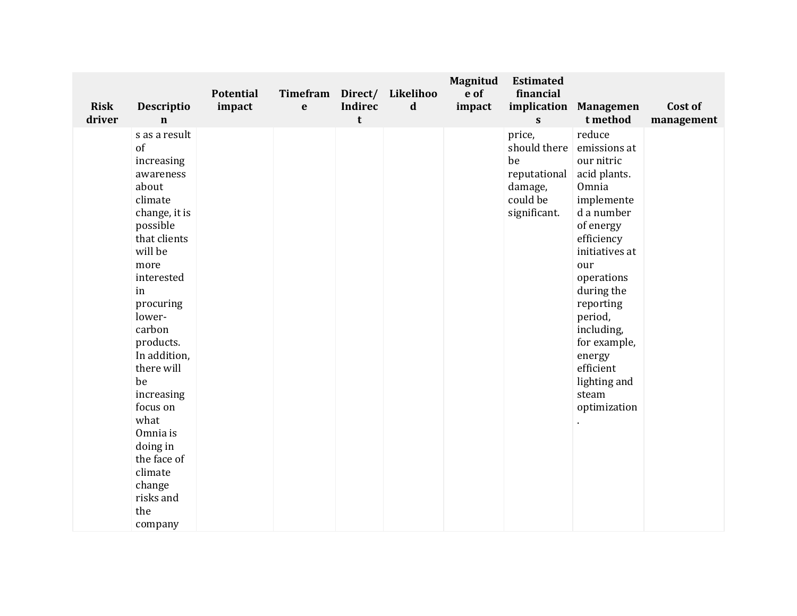| <b>Risk</b><br>driver | Descriptio<br>$\mathbf n$                                                                                                                                                                                                                                                                                                                                             | <b>Potential</b><br>impact | Timefram<br>$\mathbf e$ | <b>Indirec</b><br>$\mathbf t$ | Direct/ Likelihoo<br>$\mathbf d$ | Magnitud<br>e of<br>impact | <b>Estimated</b><br>financial<br>implication<br>$\mathbf{s}$                        | <b>Managemen</b><br>t method                                                                                                                                                                                                                                                                    | Cost of<br>management |
|-----------------------|-----------------------------------------------------------------------------------------------------------------------------------------------------------------------------------------------------------------------------------------------------------------------------------------------------------------------------------------------------------------------|----------------------------|-------------------------|-------------------------------|----------------------------------|----------------------------|-------------------------------------------------------------------------------------|-------------------------------------------------------------------------------------------------------------------------------------------------------------------------------------------------------------------------------------------------------------------------------------------------|-----------------------|
|                       | s as a result<br>of<br>increasing<br>awareness<br>about<br>climate<br>change, it is<br>possible<br>that clients<br>will be<br>more<br>interested<br>in<br>procuring<br>lower-<br>carbon<br>products.<br>In addition,<br>there will<br>be<br>increasing<br>focus on<br>what<br>Omnia is<br>doing in<br>the face of<br>climate<br>change<br>risks and<br>the<br>company |                            |                         |                               |                                  |                            | price,<br>should there<br>be<br>reputational<br>damage,<br>could be<br>significant. | reduce<br>emissions at<br>our nitric<br>acid plants.<br>Omnia<br>implemente<br>d a number<br>of energy<br>efficiency<br>initiatives at<br>our<br>operations<br>during the<br>reporting<br>period,<br>including,<br>for example,<br>energy<br>efficient<br>lighting and<br>steam<br>optimization |                       |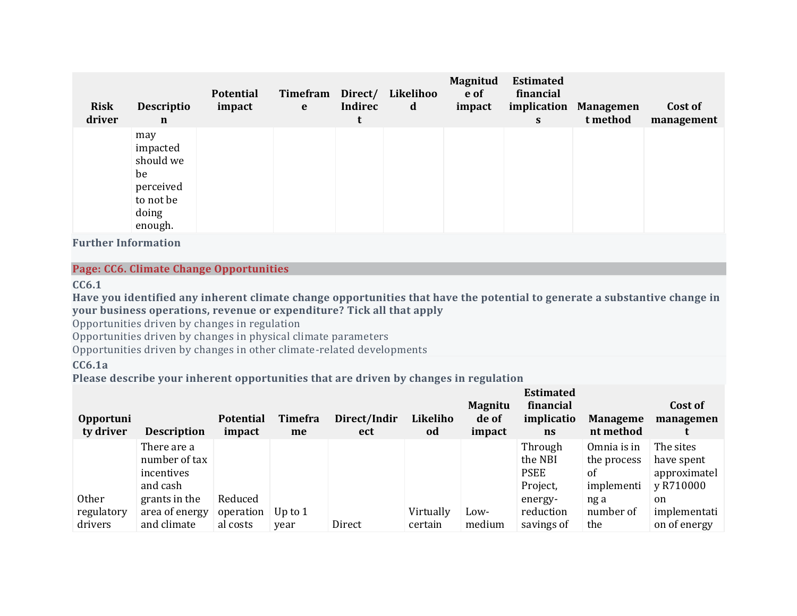| <b>Risk</b><br>driver | <b>Descriptio</b><br>$\mathbf n$                                                 | <b>Potential</b><br>impact | Timefram<br>e | Direct/<br><b>Indirec</b><br>t | Likelihoo<br>d | Magnitud<br>e of<br>impact | <b>Estimated</b><br>financial<br>implication<br>S | <b>Managemen</b><br>t method | Cost of<br>management |
|-----------------------|----------------------------------------------------------------------------------|----------------------------|---------------|--------------------------------|----------------|----------------------------|---------------------------------------------------|------------------------------|-----------------------|
|                       | may<br>impacted<br>should we<br>be<br>perceived<br>to not be<br>doing<br>enough. |                            |               |                                |                |                            |                                                   |                              |                       |

**Further Information**

### **Page: CC6. Climate Change Opportunities**

**CC6.1**

Have you identified any inherent climate change opportunities that have the potential to generate a substantive change in **your business operations, revenue or expenditure? Tick all that apply**

Opportunities driven by changes in regulation

Opportunities driven by changes in physical climate parameters

Opportunities driven by changes in other climate-related developments

# **CC6.1a**

**Please describe your inherent opportunities that are driven by changes in regulation**

| <b>Opportuni</b><br>ty driver         | <b>Description</b>                                     | <b>Potential</b><br>impact       | Timefra<br>me     | Direct/Indir<br>ect | Likeliho<br>od       | <b>Magnitu</b><br>de of<br>impact | <b>Estimated</b><br>financial<br>implicatio<br>$\mathbf{n}$ s | <b>Manageme</b><br>nt method                              | Cost of<br>managemen                                 |
|---------------------------------------|--------------------------------------------------------|----------------------------------|-------------------|---------------------|----------------------|-----------------------------------|---------------------------------------------------------------|-----------------------------------------------------------|------------------------------------------------------|
|                                       | There are a<br>number of tax<br>incentives<br>and cash |                                  |                   |                     |                      |                                   | Through<br>the NBI<br><b>PSEE</b><br>Project,                 | Omnia is in<br>the process<br><sub>of</sub><br>implementi | The sites<br>have spent<br>approximatel<br>y R710000 |
| <b>Other</b><br>regulatory<br>drivers | grants in the<br>area of energy<br>and climate         | Reduced<br>operation<br>al costs | Up to $1$<br>year | Direct              | Virtually<br>certain | Low-<br>medium                    | energy-<br>reduction<br>savings of                            | ng a<br>number of<br>the                                  | <sub>on</sub><br>implementati<br>on of energy        |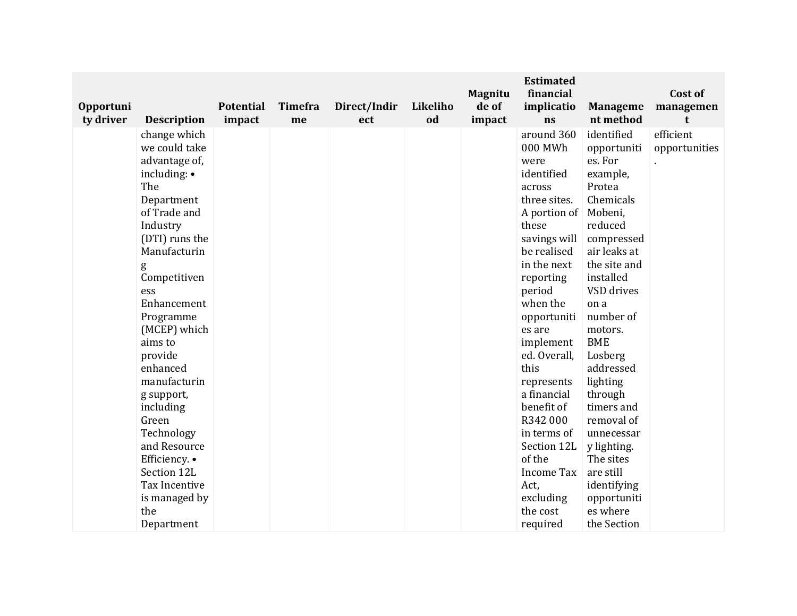| <b>Opportuni</b><br>ty driver | <b>Description</b>                                                                                                                                                                                                                                                                                                                                                                                                                   | <b>Potential</b><br>impact | Timefra<br>me | Direct/Indir<br>ect | Likeliho<br>od | <b>Magnitu</b><br>de of<br>impact | <b>Estimated</b><br>financial<br>implicatio<br>ns                                                                                                                                                                                                                                                                                                                                                      | <b>Manageme</b><br>nt method                                                                                                                                                                                                                                                                                                                                                                                    | Cost of<br>managemen<br>t  |
|-------------------------------|--------------------------------------------------------------------------------------------------------------------------------------------------------------------------------------------------------------------------------------------------------------------------------------------------------------------------------------------------------------------------------------------------------------------------------------|----------------------------|---------------|---------------------|----------------|-----------------------------------|--------------------------------------------------------------------------------------------------------------------------------------------------------------------------------------------------------------------------------------------------------------------------------------------------------------------------------------------------------------------------------------------------------|-----------------------------------------------------------------------------------------------------------------------------------------------------------------------------------------------------------------------------------------------------------------------------------------------------------------------------------------------------------------------------------------------------------------|----------------------------|
|                               | change which<br>we could take<br>advantage of,<br>including: •<br>The<br>Department<br>of Trade and<br>Industry<br>(DTI) runs the<br>Manufacturin<br>g<br>Competitiven<br>ess<br>Enhancement<br>Programme<br>(MCEP) which<br>aims to<br>provide<br>enhanced<br>manufacturin<br>g support,<br>including<br>Green<br>Technology<br>and Resource<br>Efficiency. •<br>Section 12L<br>Tax Incentive<br>is managed by<br>the<br>Department |                            |               |                     |                |                                   | around 360<br>000 MWh<br>were<br>identified<br>across<br>three sites.<br>A portion of<br>these<br>savings will<br>be realised<br>in the next<br>reporting<br>period<br>when the<br>opportuniti<br>es are<br>implement<br>ed. Overall,<br>this<br>represents<br>a financial<br>benefit of<br>R342000<br>in terms of<br>Section 12L<br>of the<br>Income Tax<br>Act,<br>excluding<br>the cost<br>required | identified<br>opportuniti<br>es. For<br>example,<br>Protea<br>Chemicals<br>Mobeni,<br>reduced<br>compressed<br>air leaks at<br>the site and<br>installed<br>VSD drives<br>on a<br>number of<br>motors.<br><b>BME</b><br>Losberg<br>addressed<br>lighting<br>through<br>timers and<br>removal of<br>unnecessar<br>y lighting.<br>The sites<br>are still<br>identifying<br>opportuniti<br>es where<br>the Section | efficient<br>opportunities |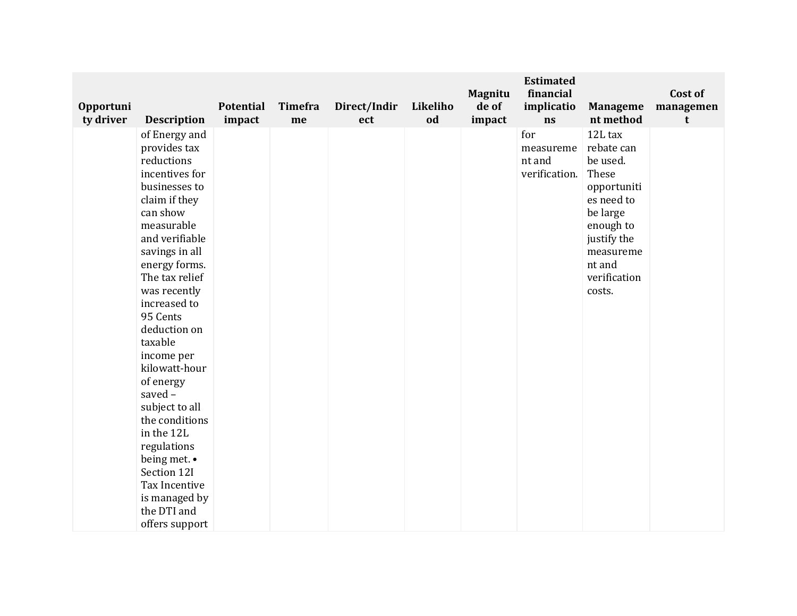| Opportuni<br>ty driver | <b>Description</b>                                                                                                                                                                                                                                                                                                                                                                                                                                                                               | <b>Potential</b><br>impact | Timefra<br>me | Direct/Indir<br>ect | Likeliho<br>od | <b>Magnitu</b><br>de of<br>impact | <b>Estimated</b><br>financial<br>implicatio<br>ns | <b>Manageme</b><br>nt method                                                                                                                                     | Cost of<br>managemen<br>t |
|------------------------|--------------------------------------------------------------------------------------------------------------------------------------------------------------------------------------------------------------------------------------------------------------------------------------------------------------------------------------------------------------------------------------------------------------------------------------------------------------------------------------------------|----------------------------|---------------|---------------------|----------------|-----------------------------------|---------------------------------------------------|------------------------------------------------------------------------------------------------------------------------------------------------------------------|---------------------------|
|                        | of Energy and<br>provides tax<br>reductions<br>incentives for<br>businesses to<br>claim if they<br>can show<br>measurable<br>and verifiable<br>savings in all<br>energy forms.<br>The tax relief<br>was recently<br>increased to<br>95 Cents<br>deduction on<br>taxable<br>income per<br>kilowatt-hour<br>of energy<br>saved-<br>subject to all<br>the conditions<br>in the 12L<br>regulations<br>being met. •<br>Section 12I<br>Tax Incentive<br>is managed by<br>the DTI and<br>offers support |                            |               |                     |                |                                   | for<br>measureme<br>nt and<br>verification.       | 12L tax<br>rebate can<br>be used.<br>These<br>opportuniti<br>es need to<br>be large<br>enough to<br>justify the<br>measureme<br>nt and<br>verification<br>costs. |                           |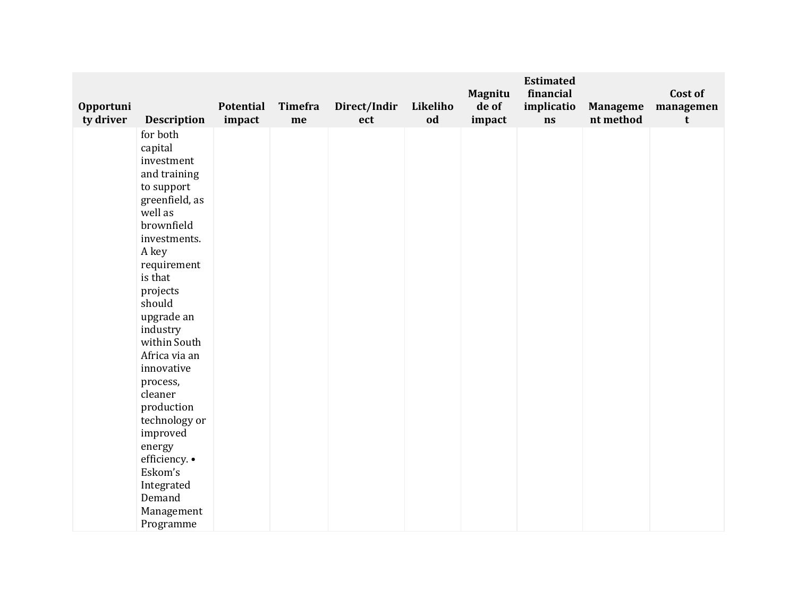| Opportuni<br>ty driver | <b>Description</b>                                                                                                                                                                                                                                                                                                                                                                                                      | <b>Potential</b><br>impact | Timefra<br>me | Direct/Indir<br>ect | Likeliho<br>od | <b>Magnitu</b><br>de of<br>impact | <b>Estimated</b><br>financial<br>implicatio<br>ns | <b>Manageme</b><br>nt method | Cost of<br>managemen<br>t |
|------------------------|-------------------------------------------------------------------------------------------------------------------------------------------------------------------------------------------------------------------------------------------------------------------------------------------------------------------------------------------------------------------------------------------------------------------------|----------------------------|---------------|---------------------|----------------|-----------------------------------|---------------------------------------------------|------------------------------|---------------------------|
|                        | for both<br>capital<br>investment<br>and training<br>to support<br>greenfield, as<br>well as<br>brownfield<br>investments.<br>A key<br>requirement<br>is that<br>projects<br>should<br>upgrade an<br>industry<br>within South<br>Africa via an<br>innovative<br>process,<br>cleaner<br>production<br>technology or<br>improved<br>energy<br>efficiency. •<br>Eskom's<br>Integrated<br>Demand<br>Management<br>Programme |                            |               |                     |                |                                   |                                                   |                              |                           |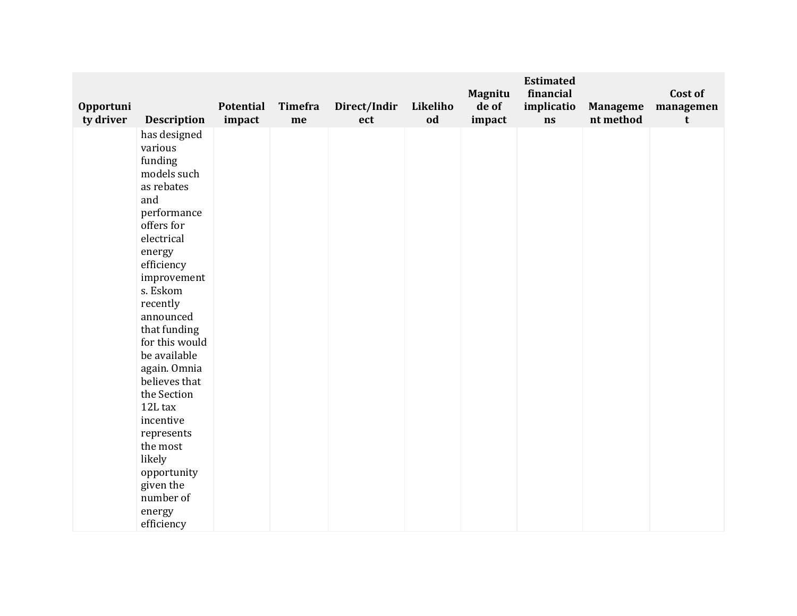| Opportuni |                                                                                                                                                                                                                                                                                                                                                                                                                              | <b>Potential</b> | Timefra | Direct/Indir | Likeliho | Magnitu<br>de of | <b>Estimated</b><br>financial<br>implicatio | <b>Manageme</b> | Cost of<br>managemen |
|-----------|------------------------------------------------------------------------------------------------------------------------------------------------------------------------------------------------------------------------------------------------------------------------------------------------------------------------------------------------------------------------------------------------------------------------------|------------------|---------|--------------|----------|------------------|---------------------------------------------|-----------------|----------------------|
| ty driver | <b>Description</b>                                                                                                                                                                                                                                                                                                                                                                                                           | impact           | me      | ect          | od       | impact           | ns                                          | nt method       | t                    |
|           | has designed<br>various<br>funding<br>models such<br>as rebates<br>and<br>performance<br>offers for<br>electrical<br>energy<br>efficiency<br>improvement<br>s. Eskom<br>recently<br>announced<br>that funding<br>for this would<br>be available<br>again. Omnia<br>believes that<br>the Section<br>12L tax<br>incentive<br>represents<br>the most<br>likely<br>opportunity<br>given the<br>number of<br>energy<br>efficiency |                  |         |              |          |                  |                                             |                 |                      |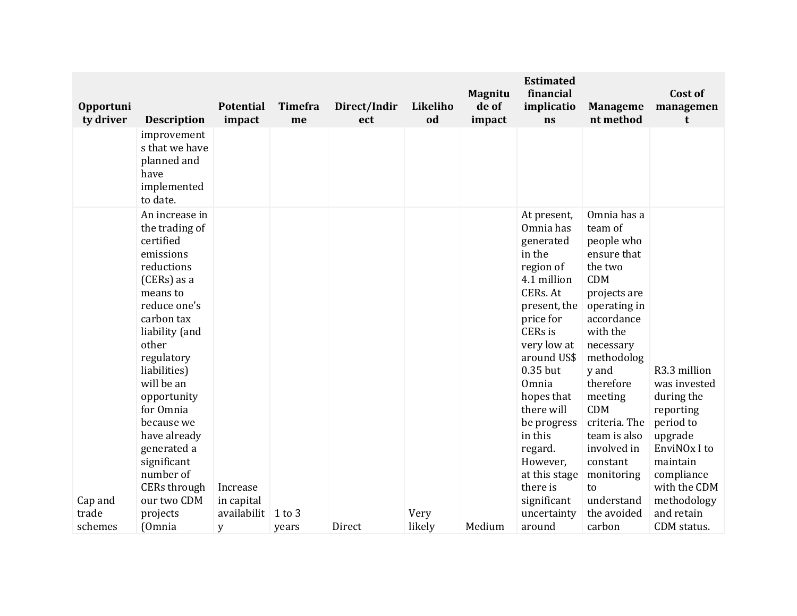| improvement<br>s that we have<br>planned and<br>have<br>implemented<br>to date.<br>Omnia has a<br>An increase in<br>At present,<br>Omnia has<br>the trading of<br>team of<br>certified<br>people who<br>generated<br>emissions<br>in the<br>ensure that<br>reductions<br>region of<br>the two<br><b>CDM</b><br>(CERs) as a<br>4.1 million<br>CERs. At<br>projects are<br>means to<br>reduce one's<br>operating in<br>present, the<br>carbon tax<br>price for<br>accordance<br>liability (and<br>CERs is<br>with the<br>other<br>very low at<br>necessary<br>regulatory<br>around US\$<br>methodolog<br>0.35 but<br>liabilities)<br>y and<br>will be an<br>therefore<br>Omnia<br>opportunity<br>hopes that<br>meeting<br>during the<br>for Omnia<br><b>CDM</b><br>there will<br>reporting<br>criteria. The<br>period to<br>because we<br>be progress<br>in this<br>upgrade<br>have already<br>team is also<br>generated a<br>involved in<br>regard.<br>significant<br>However,<br>maintain<br>constant<br>number of<br>at this stage<br>compliance<br>monitoring<br>CERs through<br>there is<br>Increase<br>to<br>our two CDM<br>significant<br>understand<br>in capital<br>Cap and | Opportuni<br>ty driver | <b>Description</b> | <b>Potential</b><br>impact | <b>Timefra</b><br>me | Direct/Indir<br>ect | Likeliho<br>od | <b>Magnitu</b><br>de of<br>impact | <b>Estimated</b><br>financial<br>implicatio<br>ns | <b>Manageme</b><br>nt method | Cost of<br>managemen<br>t                                                                             |
|------------------------------------------------------------------------------------------------------------------------------------------------------------------------------------------------------------------------------------------------------------------------------------------------------------------------------------------------------------------------------------------------------------------------------------------------------------------------------------------------------------------------------------------------------------------------------------------------------------------------------------------------------------------------------------------------------------------------------------------------------------------------------------------------------------------------------------------------------------------------------------------------------------------------------------------------------------------------------------------------------------------------------------------------------------------------------------------------------------------------------------------------------------------------------------|------------------------|--------------------|----------------------------|----------------------|---------------------|----------------|-----------------------------------|---------------------------------------------------|------------------------------|-------------------------------------------------------------------------------------------------------|
|                                                                                                                                                                                                                                                                                                                                                                                                                                                                                                                                                                                                                                                                                                                                                                                                                                                                                                                                                                                                                                                                                                                                                                                    |                        |                    |                            |                      |                     |                |                                   |                                                   |                              |                                                                                                       |
| likely<br>Medium<br>carbon<br>CDM status.<br>schemes<br>(Omnia<br>around<br>Direct<br>y<br>years                                                                                                                                                                                                                                                                                                                                                                                                                                                                                                                                                                                                                                                                                                                                                                                                                                                                                                                                                                                                                                                                                   | trade                  | projects           | availabilit                | $1$ to $3$           |                     | Very           |                                   | uncertainty                                       | the avoided                  | R3.3 million<br>was invested<br>EnviNO <sub>x</sub> I to<br>with the CDM<br>methodology<br>and retain |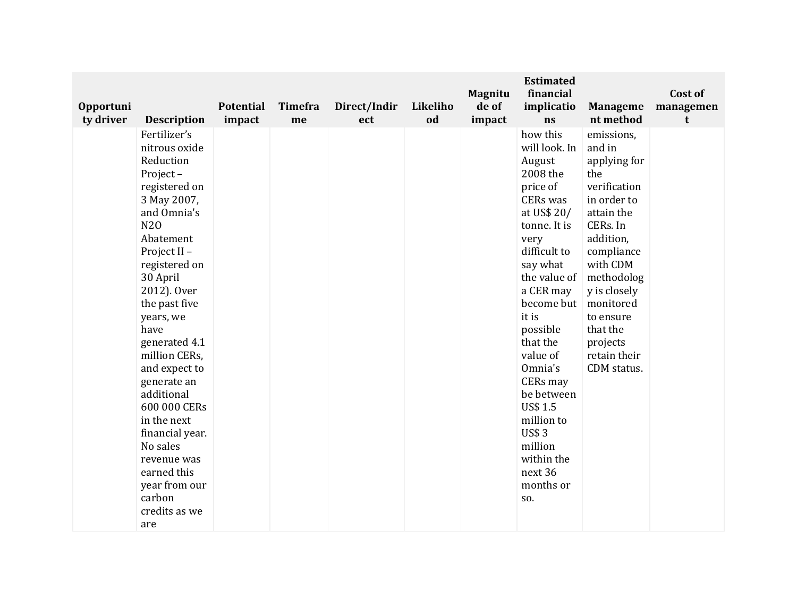| Opportuni<br>ty driver | <b>Description</b>                                                                                                                                                                                                                                                                                                                                                                                                                                         | <b>Potential</b><br>impact | Timefra<br>me | Direct/Indir<br>ect | Likeliho<br>od | <b>Magnitu</b><br>de of<br>impact | <b>Estimated</b><br>financial<br>implicatio<br>ns                                                                                                                                                                                                                                                                                                                                | <b>Manageme</b><br>nt method                                                                                                                                                                                                                               | Cost of<br>managemen<br>t |
|------------------------|------------------------------------------------------------------------------------------------------------------------------------------------------------------------------------------------------------------------------------------------------------------------------------------------------------------------------------------------------------------------------------------------------------------------------------------------------------|----------------------------|---------------|---------------------|----------------|-----------------------------------|----------------------------------------------------------------------------------------------------------------------------------------------------------------------------------------------------------------------------------------------------------------------------------------------------------------------------------------------------------------------------------|------------------------------------------------------------------------------------------------------------------------------------------------------------------------------------------------------------------------------------------------------------|---------------------------|
|                        | Fertilizer's<br>nitrous oxide<br>Reduction<br>Project-<br>registered on<br>3 May 2007,<br>and Omnia's<br>N20<br>Abatement<br>Project II -<br>registered on<br>30 April<br>2012). Over<br>the past five<br>years, we<br>have<br>generated 4.1<br>million CERs,<br>and expect to<br>generate an<br>additional<br>600 000 CERs<br>in the next<br>financial year.<br>No sales<br>revenue was<br>earned this<br>year from our<br>carbon<br>credits as we<br>are |                            |               |                     |                |                                   | how this<br>will look. In<br>August<br>2008 the<br>price of<br>CERs was<br>at US\$ 20/<br>tonne. It is<br>very<br>difficult to<br>say what<br>the value of<br>a CER may<br>become but<br>it is<br>possible<br>that the<br>value of<br>Omnia's<br>CERs may<br>be between<br><b>US\$ 1.5</b><br>million to<br><b>US\$3</b><br>million<br>within the<br>next 36<br>months or<br>SO. | emissions,<br>and in<br>applying for<br>the<br>verification<br>in order to<br>attain the<br>CERs. In<br>addition,<br>compliance<br>with CDM<br>methodolog<br>y is closely<br>monitored<br>to ensure<br>that the<br>projects<br>retain their<br>CDM status. |                           |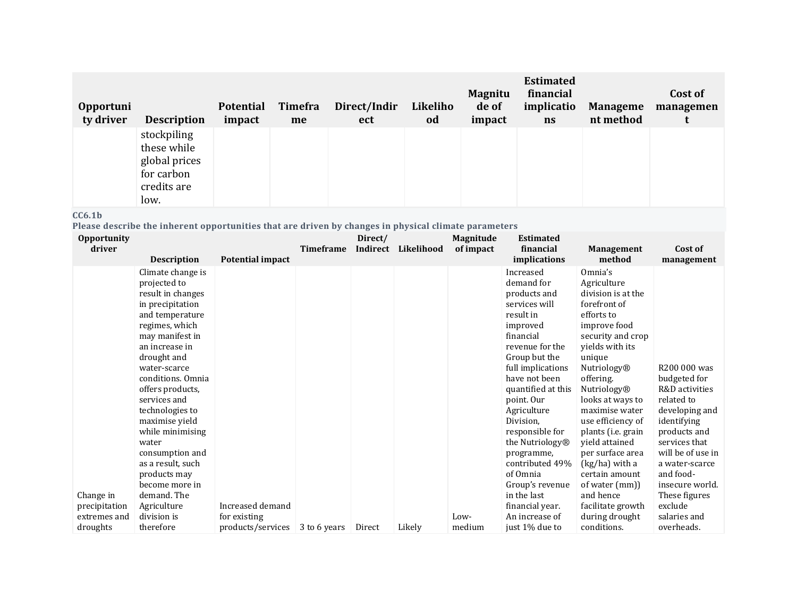| Opportuni<br>ty driver | <b>Description</b>                                                               | <b>Potential</b><br>impact | Timefra<br>me | Direct/Indir<br>ect | Likeliho<br>od | <b>Magnitu</b><br>de of<br>impact | <b>Estimated</b><br>financial<br>implicatio<br>ns | <b>Manageme</b><br>nt method | Cost of<br>managemen |
|------------------------|----------------------------------------------------------------------------------|----------------------------|---------------|---------------------|----------------|-----------------------------------|---------------------------------------------------|------------------------------|----------------------|
|                        | stockpiling<br>these while<br>global prices<br>for carbon<br>credits are<br>low. |                            |               |                     |                |                                   |                                                   |                              |                      |

### **CC6.1b**

**Please describe the inherent opportunities that are driven by changes in physical climate parameters**

| <b>Opportunity</b><br>driver              |                                                                                                                                                                                                                                                 |                                                       | <b>Timeframe</b> | Direct/<br>Indirect | Likelihood | <b>Magnitude</b><br>of impact | <b>Estimated</b><br>financial                                                                                                                                                                                                                        |                                                                                                                                                                                                                                             | Cost of                                                                                                                                                                                                                |
|-------------------------------------------|-------------------------------------------------------------------------------------------------------------------------------------------------------------------------------------------------------------------------------------------------|-------------------------------------------------------|------------------|---------------------|------------|-------------------------------|------------------------------------------------------------------------------------------------------------------------------------------------------------------------------------------------------------------------------------------------------|---------------------------------------------------------------------------------------------------------------------------------------------------------------------------------------------------------------------------------------------|------------------------------------------------------------------------------------------------------------------------------------------------------------------------------------------------------------------------|
|                                           | <b>Description</b>                                                                                                                                                                                                                              | Potential impact                                      |                  |                     |            |                               | <i>implications</i>                                                                                                                                                                                                                                  | <b>Management</b><br>method                                                                                                                                                                                                                 | management                                                                                                                                                                                                             |
|                                           | Climate change is<br>projected to<br>result in changes<br>in precipitation<br>and temperature<br>regimes, which<br>may manifest in<br>an increase in                                                                                            |                                                       |                  |                     |            |                               | Increased<br>demand for<br>products and<br>services will<br>result in<br>improved<br>financial<br>revenue for the                                                                                                                                    | Omnia's<br>Agriculture<br>division is at the<br>forefront of<br>efforts to<br>improve food<br>security and crop<br>vields with its                                                                                                          |                                                                                                                                                                                                                        |
| Change in                                 | drought and<br>water-scarce<br>conditions. Omnia<br>offers products,<br>services and<br>technologies to<br>maximise yield<br>while minimising<br>water<br>consumption and<br>as a result, such<br>products may<br>become more in<br>demand. The |                                                       |                  |                     |            |                               | Group but the<br>full implications<br>have not been<br>quantified at this<br>point. Our<br>Agriculture<br>Division,<br>responsible for<br>the Nutriology <sup>®</sup><br>programme,<br>contributed 49%<br>of Omnia<br>Group's revenue<br>in the last | unique<br>Nutriology®<br>offering.<br>Nutriology®<br>looks at ways to<br>maximise water<br>use efficiency of<br>plants (i.e. grain<br>yield attained<br>per surface area<br>(kg/ha) with a<br>certain amount<br>of water (mm))<br>and hence | R200 000 was<br>budgeted for<br>R&D activities<br>related to<br>developing and<br>identifying<br>products and<br>services that<br>will be of use in<br>a water-scarce<br>and food-<br>insecure world.<br>These figures |
| precipitation<br>extremes and<br>droughts | Agriculture<br>division is<br>therefore                                                                                                                                                                                                         | Increased demand<br>for existing<br>products/services | 3 to 6 years     | Direct              | Likely     | Low-<br>medium                | financial year.<br>An increase of<br>just 1% due to                                                                                                                                                                                                  | facilitate growth<br>during drought<br>conditions.                                                                                                                                                                                          | exclude<br>salaries and<br>overheads.                                                                                                                                                                                  |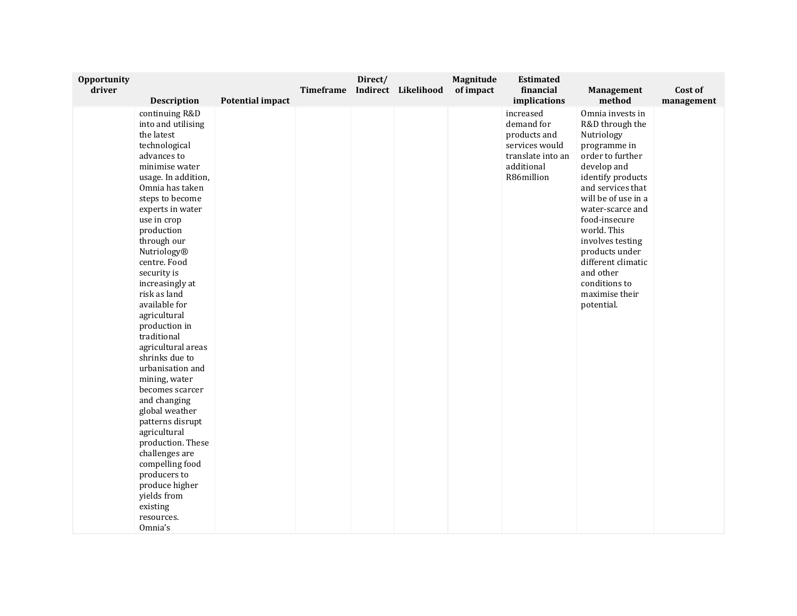| Opportunity<br>driver |                                |                         | Timeframe | Direct/ | Indirect Likelihood | Magnitude<br>of impact | <b>Estimated</b><br>financial | Management                      | Cost of    |
|-----------------------|--------------------------------|-------------------------|-----------|---------|---------------------|------------------------|-------------------------------|---------------------------------|------------|
|                       | <b>Description</b>             | <b>Potential impact</b> |           |         |                     |                        | implications                  | method                          | management |
|                       | continuing R&D                 |                         |           |         |                     |                        | increased                     | Omnia invests in                |            |
|                       | into and utilising             |                         |           |         |                     |                        | demand for                    | R&D through the                 |            |
|                       | the latest                     |                         |           |         |                     |                        | products and                  | Nutriology                      |            |
|                       | technological                  |                         |           |         |                     |                        | services would                | programme in                    |            |
|                       | advances to                    |                         |           |         |                     |                        | translate into an             | order to further                |            |
|                       | minimise water                 |                         |           |         |                     |                        | additional                    | develop and                     |            |
|                       | usage. In addition,            |                         |           |         |                     |                        | R86million                    | identify products               |            |
|                       | Omnia has taken                |                         |           |         |                     |                        |                               | and services that               |            |
|                       | steps to become                |                         |           |         |                     |                        |                               | will be of use in a             |            |
|                       | experts in water               |                         |           |         |                     |                        |                               | water-scarce and                |            |
|                       | use in crop                    |                         |           |         |                     |                        |                               | food-insecure                   |            |
|                       | production<br>through our      |                         |           |         |                     |                        |                               | world. This<br>involves testing |            |
|                       | Nutriology®                    |                         |           |         |                     |                        |                               | products under                  |            |
|                       | centre. Food                   |                         |           |         |                     |                        |                               | different climatic              |            |
|                       | security is                    |                         |           |         |                     |                        |                               | and other                       |            |
|                       | increasingly at                |                         |           |         |                     |                        |                               | conditions to                   |            |
|                       | risk as land                   |                         |           |         |                     |                        |                               | maximise their                  |            |
|                       | available for                  |                         |           |         |                     |                        |                               | potential.                      |            |
|                       | agricultural                   |                         |           |         |                     |                        |                               |                                 |            |
|                       | production in                  |                         |           |         |                     |                        |                               |                                 |            |
|                       | traditional                    |                         |           |         |                     |                        |                               |                                 |            |
|                       | agricultural areas             |                         |           |         |                     |                        |                               |                                 |            |
|                       | shrinks due to                 |                         |           |         |                     |                        |                               |                                 |            |
|                       | urbanisation and               |                         |           |         |                     |                        |                               |                                 |            |
|                       | mining, water                  |                         |           |         |                     |                        |                               |                                 |            |
|                       | becomes scarcer                |                         |           |         |                     |                        |                               |                                 |            |
|                       | and changing<br>global weather |                         |           |         |                     |                        |                               |                                 |            |
|                       | patterns disrupt               |                         |           |         |                     |                        |                               |                                 |            |
|                       | agricultural                   |                         |           |         |                     |                        |                               |                                 |            |
|                       | production. These              |                         |           |         |                     |                        |                               |                                 |            |
|                       | challenges are                 |                         |           |         |                     |                        |                               |                                 |            |
|                       | compelling food                |                         |           |         |                     |                        |                               |                                 |            |
|                       | producers to                   |                         |           |         |                     |                        |                               |                                 |            |
|                       | produce higher                 |                         |           |         |                     |                        |                               |                                 |            |
|                       | yields from                    |                         |           |         |                     |                        |                               |                                 |            |
|                       | existing                       |                         |           |         |                     |                        |                               |                                 |            |
|                       | resources.                     |                         |           |         |                     |                        |                               |                                 |            |
|                       | Omnia's                        |                         |           |         |                     |                        |                               |                                 |            |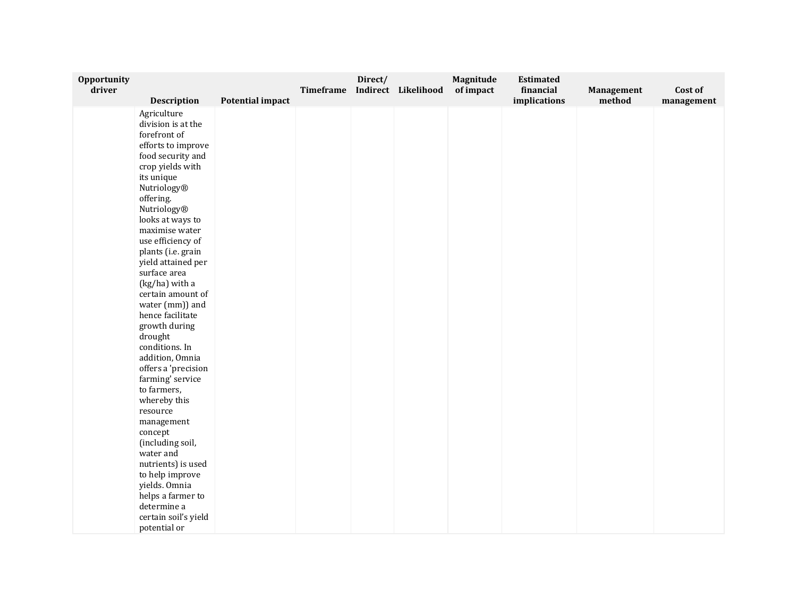| Opportunity<br>driver |                                                                                                                                                                                                                                                                                                                                                                                                                                                                                                                                                                                                                                                                                                      |                         | Timeframe | Direct/ | Indirect Likelihood | Magnitude<br>of impact | <b>Estimated</b><br>financial | Management | Cost of    |
|-----------------------|------------------------------------------------------------------------------------------------------------------------------------------------------------------------------------------------------------------------------------------------------------------------------------------------------------------------------------------------------------------------------------------------------------------------------------------------------------------------------------------------------------------------------------------------------------------------------------------------------------------------------------------------------------------------------------------------------|-------------------------|-----------|---------|---------------------|------------------------|-------------------------------|------------|------------|
|                       |                                                                                                                                                                                                                                                                                                                                                                                                                                                                                                                                                                                                                                                                                                      |                         |           |         |                     |                        |                               |            |            |
|                       | <b>Description</b><br>Agriculture<br>division is at the<br>forefront of<br>efforts to improve<br>food security and<br>crop yields with<br>its unique<br>Nutriology®<br>offering.<br>Nutriology®<br>looks at ways to<br>maximise water<br>use efficiency of<br>plants (i.e. grain<br>yield attained per<br>surface area<br>(kg/ha) with a<br>certain amount of<br>water (mm)) and<br>hence facilitate<br>growth during<br>drought<br>conditions. In<br>addition, Omnia<br>offers a 'precision<br>farming' service<br>to farmers,<br>whereby this<br>resource<br>management<br>concept<br>(including soil,<br>water and<br>nutrients) is used<br>to help improve<br>yields. Omnia<br>helps a farmer to | <b>Potential impact</b> |           |         |                     |                        | implications                  | method     | management |
|                       | determine a<br>certain soil's yield                                                                                                                                                                                                                                                                                                                                                                                                                                                                                                                                                                                                                                                                  |                         |           |         |                     |                        |                               |            |            |
|                       | potential or                                                                                                                                                                                                                                                                                                                                                                                                                                                                                                                                                                                                                                                                                         |                         |           |         |                     |                        |                               |            |            |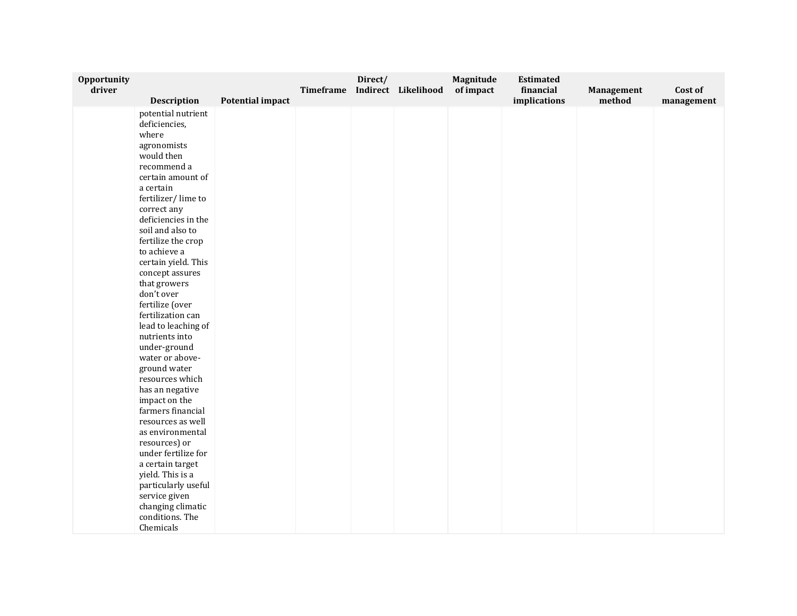| Opportunity<br>driver |                                    |                         | Timeframe | Direct/ | Indirect Likelihood | Magnitude<br>of impact | <b>Estimated</b><br>financial | Management | Cost of    |
|-----------------------|------------------------------------|-------------------------|-----------|---------|---------------------|------------------------|-------------------------------|------------|------------|
|                       | <b>Description</b>                 | <b>Potential impact</b> |           |         |                     |                        | implications                  | method     | management |
|                       | potential nutrient                 |                         |           |         |                     |                        |                               |            |            |
|                       | deficiencies,                      |                         |           |         |                     |                        |                               |            |            |
|                       | where                              |                         |           |         |                     |                        |                               |            |            |
|                       | agronomists                        |                         |           |         |                     |                        |                               |            |            |
|                       | would then                         |                         |           |         |                     |                        |                               |            |            |
|                       | recommend a                        |                         |           |         |                     |                        |                               |            |            |
|                       | certain amount of                  |                         |           |         |                     |                        |                               |            |            |
|                       | a certain                          |                         |           |         |                     |                        |                               |            |            |
|                       | fertilizer/lime to                 |                         |           |         |                     |                        |                               |            |            |
|                       | correct any                        |                         |           |         |                     |                        |                               |            |            |
|                       | deficiencies in the                |                         |           |         |                     |                        |                               |            |            |
|                       | soil and also to                   |                         |           |         |                     |                        |                               |            |            |
|                       | fertilize the crop                 |                         |           |         |                     |                        |                               |            |            |
|                       | to achieve a                       |                         |           |         |                     |                        |                               |            |            |
|                       | certain yield. This                |                         |           |         |                     |                        |                               |            |            |
|                       | concept assures                    |                         |           |         |                     |                        |                               |            |            |
|                       | that growers                       |                         |           |         |                     |                        |                               |            |            |
|                       | don't over                         |                         |           |         |                     |                        |                               |            |            |
|                       | fertilize (over                    |                         |           |         |                     |                        |                               |            |            |
|                       | fertilization can                  |                         |           |         |                     |                        |                               |            |            |
|                       | lead to leaching of                |                         |           |         |                     |                        |                               |            |            |
|                       | nutrients into                     |                         |           |         |                     |                        |                               |            |            |
|                       | under-ground                       |                         |           |         |                     |                        |                               |            |            |
|                       | water or above-                    |                         |           |         |                     |                        |                               |            |            |
|                       | ground water                       |                         |           |         |                     |                        |                               |            |            |
|                       | resources which                    |                         |           |         |                     |                        |                               |            |            |
|                       | has an negative                    |                         |           |         |                     |                        |                               |            |            |
|                       | impact on the                      |                         |           |         |                     |                        |                               |            |            |
|                       | farmers financial                  |                         |           |         |                     |                        |                               |            |            |
|                       | resources as well                  |                         |           |         |                     |                        |                               |            |            |
|                       | as environmental                   |                         |           |         |                     |                        |                               |            |            |
|                       | resources) or                      |                         |           |         |                     |                        |                               |            |            |
|                       | under fertilize for                |                         |           |         |                     |                        |                               |            |            |
|                       | a certain target                   |                         |           |         |                     |                        |                               |            |            |
|                       | yield. This is a                   |                         |           |         |                     |                        |                               |            |            |
|                       | particularly useful                |                         |           |         |                     |                        |                               |            |            |
|                       | service given<br>changing climatic |                         |           |         |                     |                        |                               |            |            |
|                       |                                    |                         |           |         |                     |                        |                               |            |            |
|                       |                                    |                         |           |         |                     |                        |                               |            |            |
|                       | conditions. The<br>Chemicals       |                         |           |         |                     |                        |                               |            |            |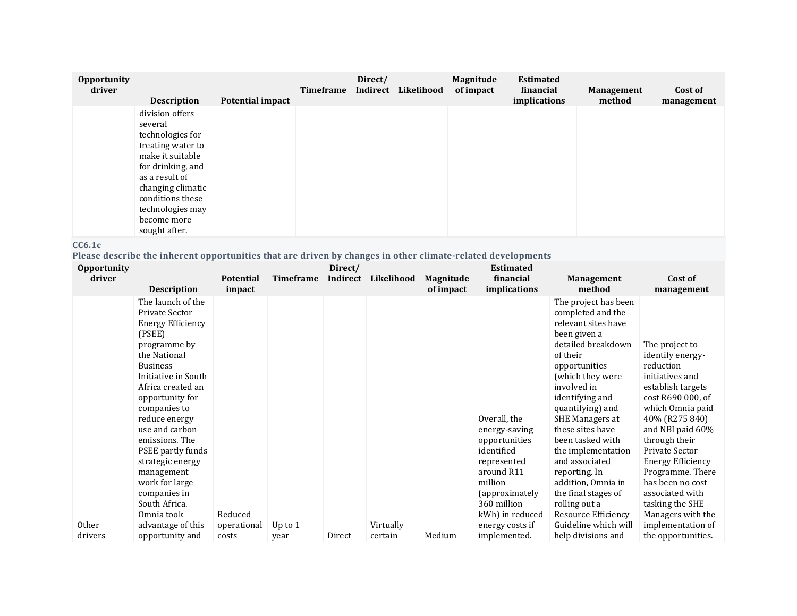| Opportunity<br>driver |                                                                                                                                                                                                                             |                         | Timeframe | Direct/<br>Indirect | Likelihood | Magnitude<br>of impact | <b>Estimated</b><br>financial | <b>Management</b> | Cost of    |
|-----------------------|-----------------------------------------------------------------------------------------------------------------------------------------------------------------------------------------------------------------------------|-------------------------|-----------|---------------------|------------|------------------------|-------------------------------|-------------------|------------|
|                       | <b>Description</b>                                                                                                                                                                                                          | <b>Potential impact</b> |           |                     |            |                        | implications                  | method            | management |
|                       | division offers<br>several<br>technologies for<br>treating water to<br>make it suitable<br>for drinking, and<br>as a result of<br>changing climatic<br>conditions these<br>technologies may<br>become more<br>sought after. |                         |           |                     |            |                        |                               |                   |            |

#### **CC6.1c**

**Please describe the inherent opportunities that are driven by changes in other climate-related developments**

| Indirect<br>driver<br><b>Timeframe</b><br>Likelihood<br>financial<br>Cost of<br><b>Potential</b><br>Magnitude<br><b>Management</b><br><i>implications</i><br>method<br><b>Description</b><br>of impact<br>impact<br>management<br>The launch of the<br>The project has been<br>Private Sector<br>completed and the<br>relevant sites have<br><b>Energy Efficiency</b><br>(PSEE)<br>been given a<br>detailed breakdown<br>programme by<br>The project to<br>the National<br>of their<br>identify energy-<br>reduction<br><b>Business</b><br>opportunities<br>Initiative in South<br>(which they were<br>initiatives and<br>involved in<br>Africa created an<br>establish targets<br>identifying and<br>cost R690 000, of<br>opportunity for<br>quantifying) and<br>companies to<br>Overall, the<br>40% (R275 840)<br><b>SHE Managers at</b><br>reduce energy<br>use and carbon<br>these sites have<br>energy-saving<br>emissions. The<br>been tasked with<br>through their<br>opportunities<br>identified<br>Private Sector<br>PSEE partly funds<br>the implementation<br>strategic energy<br>and associated<br><b>Energy Efficiency</b><br>represented | <b>Opportunity</b> |  | Direct/ |  | <b>Estimated</b> |                                                                               |
|--------------------------------------------------------------------------------------------------------------------------------------------------------------------------------------------------------------------------------------------------------------------------------------------------------------------------------------------------------------------------------------------------------------------------------------------------------------------------------------------------------------------------------------------------------------------------------------------------------------------------------------------------------------------------------------------------------------------------------------------------------------------------------------------------------------------------------------------------------------------------------------------------------------------------------------------------------------------------------------------------------------------------------------------------------------------------------------------------------------------------------------------------------|--------------------|--|---------|--|------------------|-------------------------------------------------------------------------------|
|                                                                                                                                                                                                                                                                                                                                                                                                                                                                                                                                                                                                                                                                                                                                                                                                                                                                                                                                                                                                                                                                                                                                                        |                    |  |         |  |                  |                                                                               |
|                                                                                                                                                                                                                                                                                                                                                                                                                                                                                                                                                                                                                                                                                                                                                                                                                                                                                                                                                                                                                                                                                                                                                        |                    |  |         |  |                  |                                                                               |
| around R11<br>reporting. In<br>management<br>million<br>has been no cost<br>work for large<br>addition, Omnia in<br>the final stages of<br>associated with<br>companies in<br>(approximately)<br>South Africa.<br>360 million<br>rolling out a<br>tasking the SHE<br>Reduced<br>kWh) in reduced<br>Omnia took<br>Resource Efficiency                                                                                                                                                                                                                                                                                                                                                                                                                                                                                                                                                                                                                                                                                                                                                                                                                   |                    |  |         |  |                  | which Omnia paid<br>and NBI paid 60%<br>Programme. There<br>Managers with the |
| Other<br>Guideline which will<br>Virtually<br>advantage of this<br>Up to $1$<br>energy costs if<br>operational<br>Medium<br>help divisions and<br>implemented.<br>opportunity and<br>Direct<br>certain<br>drivers<br>costs<br>year                                                                                                                                                                                                                                                                                                                                                                                                                                                                                                                                                                                                                                                                                                                                                                                                                                                                                                                     |                    |  |         |  |                  | implementation of<br>the opportunities.                                       |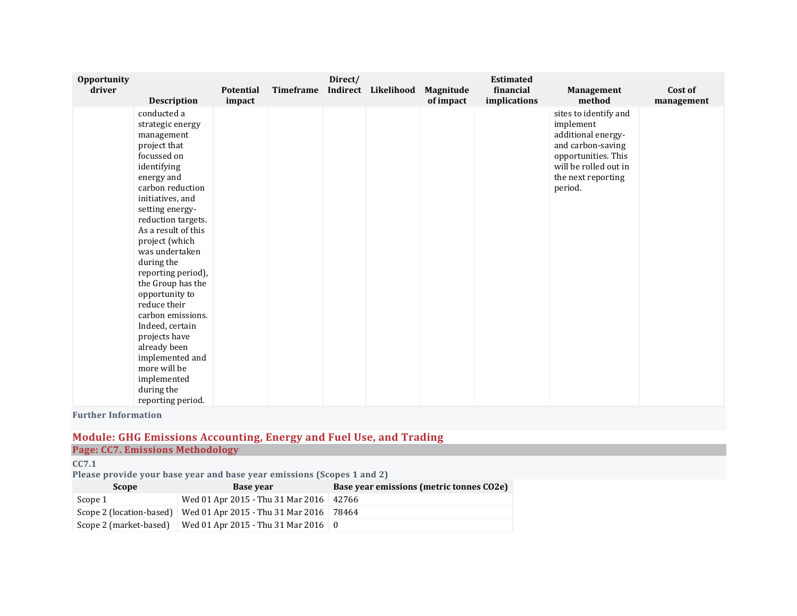| Opportunity<br>driver |                                | <b>Potential</b> | <b>Timeframe</b> | Direct/ | Indirect Likelihood | Magnitude | <b>Estimated</b><br>financial | Management                                   | Cost of    |
|-----------------------|--------------------------------|------------------|------------------|---------|---------------------|-----------|-------------------------------|----------------------------------------------|------------|
|                       | <b>Description</b>             | impact           |                  |         |                     | of impact | implications                  | method                                       | management |
|                       | conducted a                    |                  |                  |         |                     |           |                               | sites to identify and                        |            |
|                       | strategic energy               |                  |                  |         |                     |           |                               | implement                                    |            |
|                       | management                     |                  |                  |         |                     |           |                               | additional energy-                           |            |
|                       | project that                   |                  |                  |         |                     |           |                               | and carbon-saving                            |            |
|                       | focussed on                    |                  |                  |         |                     |           |                               | opportunities. This<br>will be rolled out in |            |
|                       | identifying                    |                  |                  |         |                     |           |                               |                                              |            |
|                       | energy and<br>carbon reduction |                  |                  |         |                     |           |                               | the next reporting<br>period.                |            |
|                       | initiatives, and               |                  |                  |         |                     |           |                               |                                              |            |
|                       | setting energy-                |                  |                  |         |                     |           |                               |                                              |            |
|                       | reduction targets.             |                  |                  |         |                     |           |                               |                                              |            |
|                       | As a result of this            |                  |                  |         |                     |           |                               |                                              |            |
|                       | project (which                 |                  |                  |         |                     |           |                               |                                              |            |
|                       | was undertaken                 |                  |                  |         |                     |           |                               |                                              |            |
|                       | during the                     |                  |                  |         |                     |           |                               |                                              |            |
|                       | reporting period),             |                  |                  |         |                     |           |                               |                                              |            |
|                       | the Group has the              |                  |                  |         |                     |           |                               |                                              |            |
|                       | opportunity to                 |                  |                  |         |                     |           |                               |                                              |            |
|                       | reduce their                   |                  |                  |         |                     |           |                               |                                              |            |
|                       | carbon emissions.              |                  |                  |         |                     |           |                               |                                              |            |
|                       | Indeed, certain                |                  |                  |         |                     |           |                               |                                              |            |
|                       | projects have                  |                  |                  |         |                     |           |                               |                                              |            |
|                       | already been                   |                  |                  |         |                     |           |                               |                                              |            |
|                       | implemented and                |                  |                  |         |                     |           |                               |                                              |            |
|                       | more will be                   |                  |                  |         |                     |           |                               |                                              |            |
|                       | implemented                    |                  |                  |         |                     |           |                               |                                              |            |
|                       | during the                     |                  |                  |         |                     |           |                               |                                              |            |
|                       | reporting period.              |                  |                  |         |                     |           |                               |                                              |            |

**Further Information**

### **Module: GHG Emissions Accounting, Energy and Fuel Use, and Trading Page: CC7. Emissions Methodology**

**CC7.1**

**Please provide your base year and base year emissions (Scopes 1 and 2)**

| <b>Scope</b>           | Base vear                                                        | Base year emissions (metric tonnes CO2e) |
|------------------------|------------------------------------------------------------------|------------------------------------------|
| Scope 1                | Wed 01 Apr 2015 - Thu 31 Mar 2016   42766                        |                                          |
|                        | Scope 2 (location-based) Wed 01 Apr 2015 - Thu 31 Mar 2016 78464 |                                          |
| Scope 2 (market-based) | Wed 01 Apr 2015 - Thu 31 Mar 2016   0                            |                                          |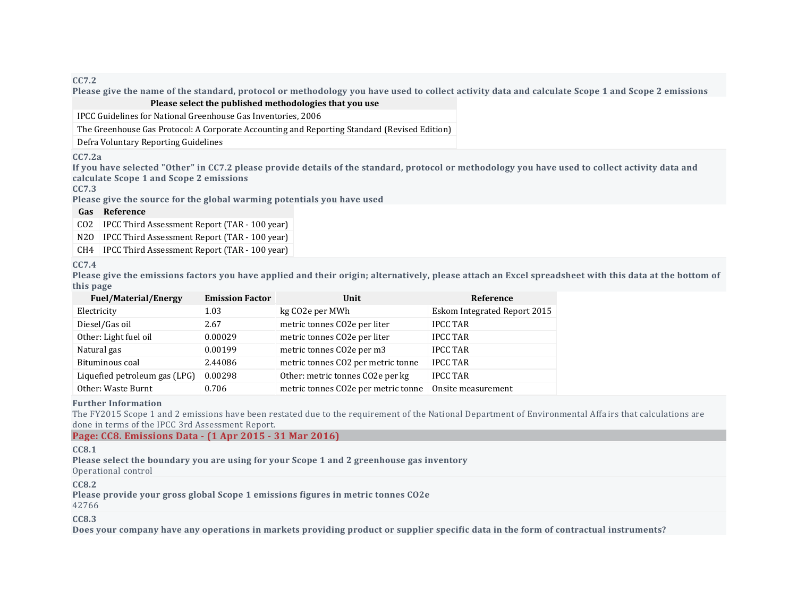**CC7.2**

Please give the name of the standard, protocol or methodology you have used to collect activity data and calculate Scope 1 and Scope 2 emissions **Please select the published methodologies that you use**

IPCC Guidelines for National Greenhouse Gas Inventories, 2006

The Greenhouse Gas Protocol: A Corporate Accounting and Reporting Standard (Revised Edition)

Defra Voluntary Reporting Guidelines

#### **CC7.2a**

If you have selected "Other" in CC7.2 please provide details of the standard, protocol or methodology you have used to collect activity data and **calculate Scope 1 and Scope 2 emissions**

**CC7.3**

**Please give the source for the global warming potentials you have used**

#### **Gas Reference**

CO2 IPCC Third Assessment Report (TAR - 100 year)

N2O | IPCC Third Assessment Report (TAR - 100 year)

CH4 IPCC Third Assessment Report (TAR - 100 year)

#### **CC7.4**

Please give the emissions factors you have applied and their origin; alternatively, please attach an Excel spreadsheet with this data at the bottom of **this page**

| <b>Fuel/Material/Energy</b>   | <b>Emission Factor</b> | Unit                                | Reference                    |
|-------------------------------|------------------------|-------------------------------------|------------------------------|
| Electricity                   | 1.03                   | kg CO2e per MWh                     | Eskom Integrated Report 2015 |
| Diesel/Gas oil                | 2.67                   | metric tonnes CO2e per liter        | <b>IPCC TAR</b>              |
| Other: Light fuel oil         | 0.00029                | metric tonnes CO2e per liter        | <b>IPCC TAR</b>              |
| Natural gas                   | 0.00199                | metric tonnes CO2e per m3           | <b>IPCC TAR</b>              |
| Bituminous coal               | 2.44086                | metric tonnes CO2 per metric tonne  | <b>IPCC TAR</b>              |
| Liquefied petroleum gas (LPG) | 0.00298                | Other: metric tonnes CO2e per kg    | <b>IPCC TAR</b>              |
| Other: Waste Burnt            | 0.706                  | metric tonnes CO2e per metric tonne | Onsite measurement           |

#### **Further Information**

The FY2015 Scope 1 and 2 emissions have been restated due to the requirement of the National Department of Environmental Affa irs that calculations are done in terms of the IPCC 3rd Assessment Report.

### **Page: CC8. Emissions Data - (1 Apr 2015 - 31 Mar 2016)**

#### **CC8.1**

**Please select the boundary you are using for your Scope 1 and 2 greenhouse gas inventory**

Operational control

**CC8.2**

**Please provide your gross global Scope 1 emissions figures in metric tonnes CO2e**

42766

**CC8.3**

Does your company have any operations in markets providing product or supplier specific data in the form of contractual instruments?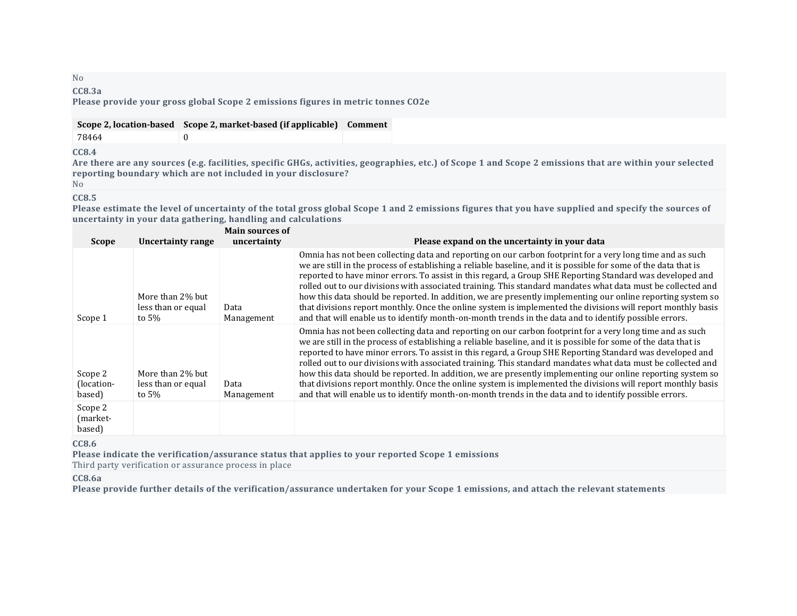# No

#### **CC8.3a Please provide your gross global Scope 2 emissions figures in metric tonnes CO2e**

**CC8.4**

Are there are any sources (e.g. facilities, specific GHGs, activities, geographies, etc.) of Scope 1 and Scope 2 emissions that are within your selected **reporting boundary which are not included in your disclosure?**

#### No **CC8.5**

Please estimate the level of uncertainty of the total gross global Scope 1 and 2 emissions figures that you have supplied and specify the sources of **uncertainty in your data gathering, handling and calculations**

| Scope                           | Uncertainty range                                  | <b>Main sources of</b><br>uncertainty | Please expand on the uncertainty in your data                                                                                                                                                                                                                                                                                                                                                                                                                                                                                                                                                                                                                                                                                                                                                       |
|---------------------------------|----------------------------------------------------|---------------------------------------|-----------------------------------------------------------------------------------------------------------------------------------------------------------------------------------------------------------------------------------------------------------------------------------------------------------------------------------------------------------------------------------------------------------------------------------------------------------------------------------------------------------------------------------------------------------------------------------------------------------------------------------------------------------------------------------------------------------------------------------------------------------------------------------------------------|
| Scope 1                         | More than 2% but<br>less than or equal<br>to $5\%$ | Data<br>Management                    | Omnia has not been collecting data and reporting on our carbon footprint for a very long time and as such<br>we are still in the process of establishing a reliable baseline, and it is possible for some of the data that is<br>reported to have minor errors. To assist in this regard, a Group SHE Reporting Standard was developed and<br>rolled out to our divisions with associated training. This standard mandates what data must be collected and<br>how this data should be reported. In addition, we are presently implementing our online reporting system so<br>that divisions report monthly. Once the online system is implemented the divisions will report monthly basis<br>and that will enable us to identify month-on-month trends in the data and to identify possible errors. |
| Scope 2<br>(location-<br>based) | More than 2% but<br>less than or equal<br>to $5\%$ | Data<br>Management                    | Omnia has not been collecting data and reporting on our carbon footprint for a very long time and as such<br>we are still in the process of establishing a reliable baseline, and it is possible for some of the data that is<br>reported to have minor errors. To assist in this regard, a Group SHE Reporting Standard was developed and<br>rolled out to our divisions with associated training. This standard mandates what data must be collected and<br>how this data should be reported. In addition, we are presently implementing our online reporting system so<br>that divisions report monthly. Once the online system is implemented the divisions will report monthly basis<br>and that will enable us to identify month-on-month trends in the data and to identify possible errors. |
| Scope 2<br>(market-<br>based)   |                                                    |                                       |                                                                                                                                                                                                                                                                                                                                                                                                                                                                                                                                                                                                                                                                                                                                                                                                     |

**CC8.6**

**Please indicate the verification/assurance status that applies to your reported Scope 1 emissions**

Third party verification or assurance process in place

**CC8.6a**

Please provide further details of the verification/assurance undertaken for your Scope 1 emissions, and attach the relevant statements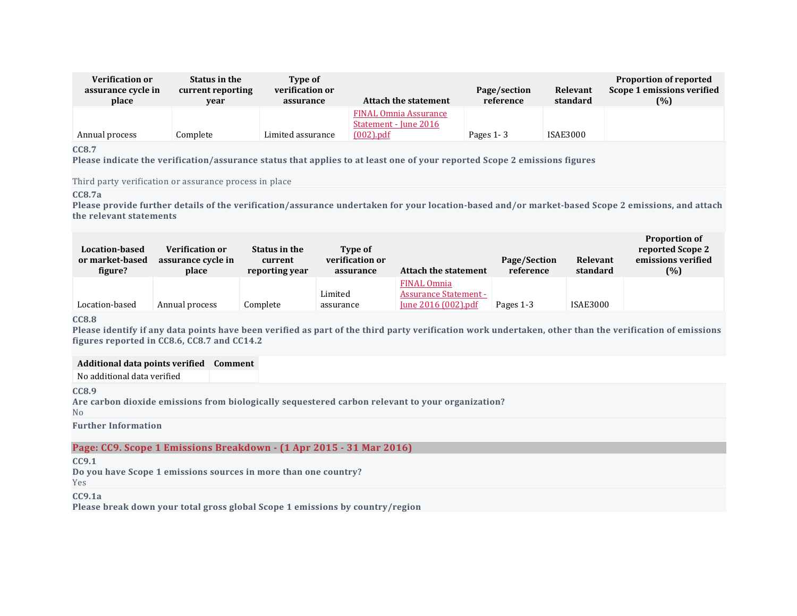| <b>Verification or</b><br>assurance cycle in<br>place | Status in the<br>current reporting<br>year | Type of<br>verification or<br>assurance | Attach the statement                                                  | Page/section<br>reference | Relevant<br>standard | <b>Proportion of reported</b><br>Scope 1 emissions verified<br>(%) |
|-------------------------------------------------------|--------------------------------------------|-----------------------------------------|-----------------------------------------------------------------------|---------------------------|----------------------|--------------------------------------------------------------------|
| Annual process                                        | Complete                                   | Limited assurance                       | <b>FINAL Omnia Assurance</b><br>Statement - June 2016<br>$(002)$ .pdf | Pages $1 - 3$             | <b>ISAE3000</b>      |                                                                    |

**CC8.7**

Please indicate the verification/assurance status that applies to at least one of your reported Scope 2 emissions figures

Third party verification or assurance process in place

**CC8.7a**

Please provide further details of the verification/assurance undertaken for your location-based and/or market-based Scope 2 emissions, and attach **the relevant statements**

| Location-based<br>or market-based<br>figure? | <b>Verification or</b><br>assurance cycle in<br>place | Status in the<br>current<br>reporting year | <b>Type of</b><br>verification or<br>assurance | <b>Attach the statement</b>                                               | Page/Section<br>reference | Relevant<br>standard | <b>Proportion of</b><br>reported Scope 2<br>emissions verified<br>(%) |
|----------------------------------------------|-------------------------------------------------------|--------------------------------------------|------------------------------------------------|---------------------------------------------------------------------------|---------------------------|----------------------|-----------------------------------------------------------------------|
| Location-based                               | Annual process                                        | Complete                                   | Limited<br>assurance                           | <b>FINAL Omnia</b><br><b>Assurance Statement -</b><br>June 2016 (002).pdf | Pages 1-3                 | <b>ISAE3000</b>      |                                                                       |

**CC8.8**

Please identify if any data points have been verified as part of the third party verification work undertaken, other than the verification of emissions **figures reported in CC8.6, CC8.7 and CC14.2**

#### **Additional data points verified Comment**

No additional data verified

**CC8.9**

**Are carbon dioxide emissions from biologically sequestered carbon relevant to your organization?** No

**Further Information**

### **Page: CC9. Scope 1 Emissions Breakdown - (1 Apr 2015 - 31 Mar 2016)**

**CC9.1**

**Do you have Scope 1 emissions sources in more than one country?**

Yes

**CC9.1a**

**Please break down your total gross global Scope 1 emissions by country/region**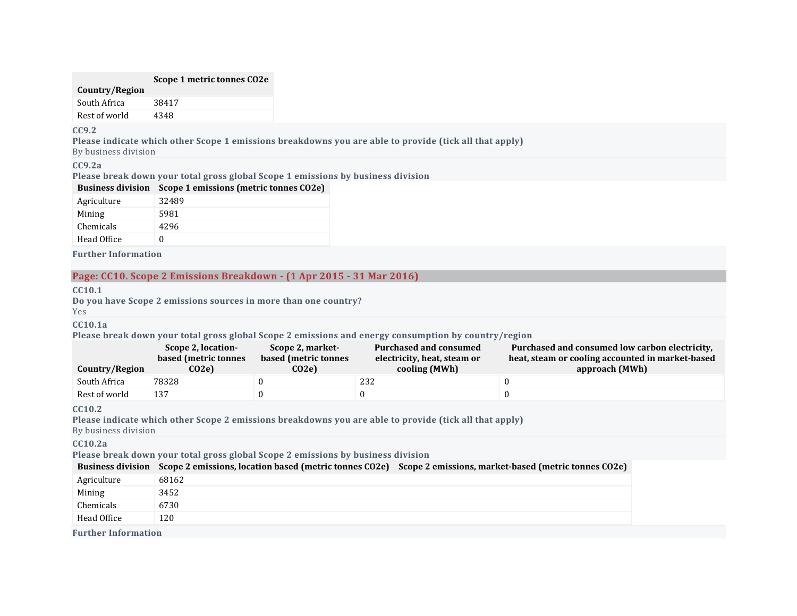#### **Scope 1 metric tonnes CO2e**

### **Country/Region**

| South Africa  | 38417 |
|---------------|-------|
| Rest of world | 4348  |

#### **CC9.2**

**Please indicate which other Scope 1 emissions breakdowns you are able to provide (tick all that apply)**

By business division

### **CC9.2a**

**Please break down your total gross global Scope 1 emissions by business division**

| <b>Business division</b> | Scope 1 emissions (metric tonnes CO2e) |
|--------------------------|----------------------------------------|
| Agriculture              | 32489                                  |
| Mining                   | 5981                                   |
| Chemicals                | 4296                                   |
| Head Office              |                                        |

**Further Information**

### **Page: CC10. Scope 2 Emissions Breakdown - (1 Apr 2015 - 31 Mar 2016)**

#### **CC10.1**

**Do you have Scope 2 emissions sources in more than one country?**

Yes

#### **CC10.1a**

**Please break down your total gross global Scope 2 emissions and energy consumption by country/region**

|                | Scope 2, location-   | Scope 2, market-     | Purchased and consumed      | Purchased and consumed low carbon electricity.   |
|----------------|----------------------|----------------------|-----------------------------|--------------------------------------------------|
|                | based (metric tonnes | based (metric tonnes | electricity, heat, steam or | heat, steam or cooling accounted in market-based |
| Country/Region | CO <sub>2</sub> e)   | $CO2$ e)             | cooling (MWh)               | approach (MWh)                                   |
| South Africa   | 78328                |                      | 232                         |                                                  |
| Rest of world  | 137                  |                      |                             |                                                  |

#### **CC10.2**

**Please indicate which other Scope 2 emissions breakdowns you are able to provide (tick all that apply)**

By business division

### **CC10.2a**

**Please break down your total gross global Scope 2 emissions by business division**

| <b>Business division</b> | Scope 2 emissions, location based (metric tonnes CO2e) Scope 2 emissions, market-based (metric tonnes CO2e) |  |
|--------------------------|-------------------------------------------------------------------------------------------------------------|--|
| Agriculture              | 68162                                                                                                       |  |
| Mining                   | 3452                                                                                                        |  |
| Chemicals                | 6730                                                                                                        |  |
| Head Office              | 120                                                                                                         |  |

**Further Information**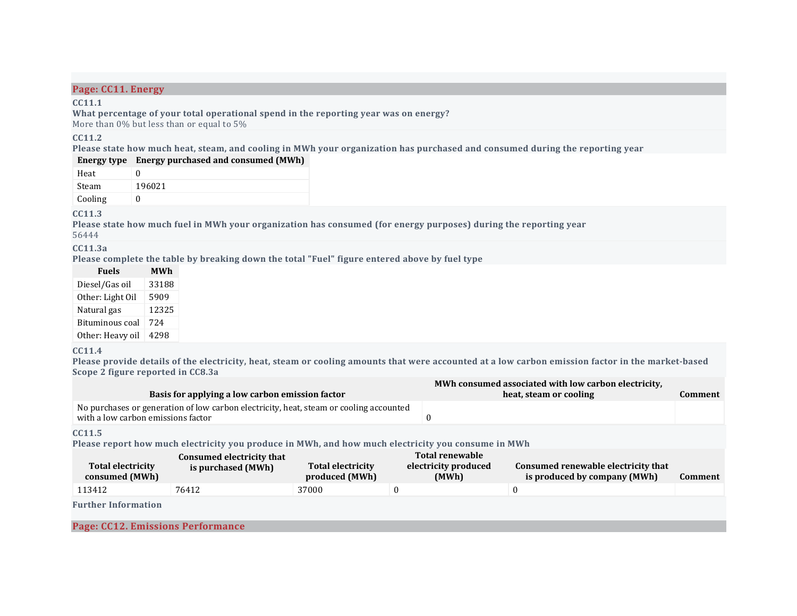### **Page: CC11. Energy**

#### **CC11.1**

**What percentage of your total operational spend in the reporting year was on energy?** More than 0% but less than or equal to 5%

#### **CC11.2**

Please state how much heat, steam, and cooling in MWh your organization has purchased and consumed during the reporting year

|         | Energy type Energy purchased and consumed (MWh) |
|---------|-------------------------------------------------|
| Heat    |                                                 |
| Steam   | 196021                                          |
| Cooling |                                                 |

#### **CC11.3**

Please state how much fuel in MWh your organization has consumed (for energy purposes) during the reporting year 56444

**CC11.3a**

**Please complete the table by breaking down the total "Fuel" figure entered above by fuel type**

| <b>Fuels</b>     | <b>MWh</b> |
|------------------|------------|
| Diesel/Gas oil   | 33188      |
| Other: Light Oil | 5909       |
| Natural gas      | 12325      |
| Bituminous coal  | 724        |
| Other: Heavy oil | 4298       |

#### **CC11.4**

Please provide details of the electricity, heat, steam or cooling amounts that were accounted at a low carbon emission factor in the market-based **Scope 2 figure reported in CC8.3a**

|                                                                                                                              | MWh consumed associated with low carbon electricity, |         |
|------------------------------------------------------------------------------------------------------------------------------|------------------------------------------------------|---------|
| Basis for applying a low carbon emission factor                                                                              | heat, steam or cooling                               | Comment |
| No purchases or generation of low carbon electricity, heat, steam or cooling accounted<br>with a low carbon emissions factor |                                                      |         |
|                                                                                                                              |                                                      |         |

**CC11.5**

**Please report how much electricity you produce in MWh, and how much electricity you consume in MWh**

| <b>Total electricity</b><br>consumed (MWh) | Consumed electricity that<br>is purchased (MWh) | Total electricity<br>produced (MWh) | <b>Total renewable</b><br>electricity produced<br>(MWh) | Consumed renewable electricity that<br>is produced by company (MWh) | Comment |
|--------------------------------------------|-------------------------------------------------|-------------------------------------|---------------------------------------------------------|---------------------------------------------------------------------|---------|
| 113412                                     | 76412                                           | 37000                               |                                                         |                                                                     |         |
| $-1$ $-1$ $-1$ $-1$                        |                                                 |                                     |                                                         |                                                                     |         |

**Further Information**

**Page: CC12. Emissions Performance**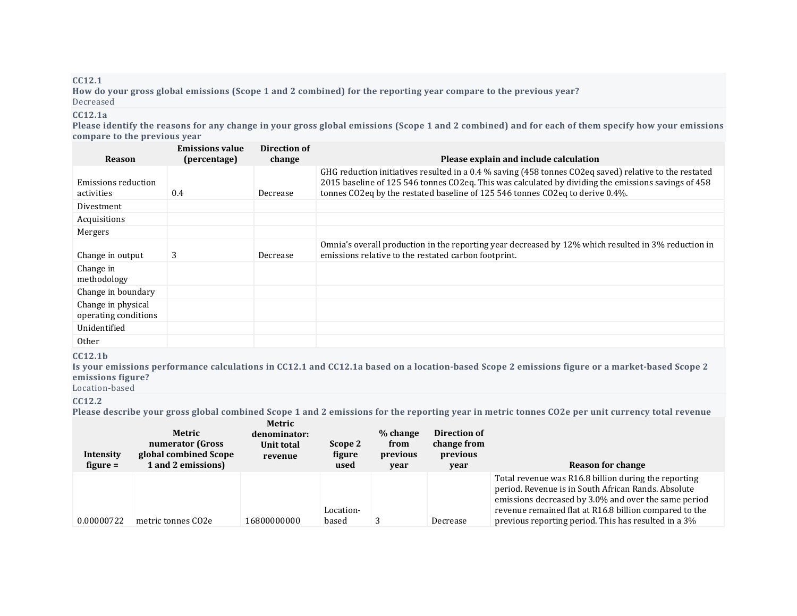### **CC12.1**

How do your gross global emissions (Scope 1 and 2 combined) for the reporting year compare to the previous year? Decreased

### **CC12.1a**

Please identify the reasons for any change in your gross global emissions (Scope 1 and 2 combined) and for each of them specify how your emissions **compare to the previous year**

| <b>Reason</b>        | <b>Emissions value</b><br>(percentage) | Direction of<br>change | Please explain and include calculation                                                                 |
|----------------------|----------------------------------------|------------------------|--------------------------------------------------------------------------------------------------------|
|                      |                                        |                        | GHG reduction initiatives resulted in a 0.4 % saving (458 tonnes CO2eq saved) relative to the restated |
| Emissions reduction  |                                        |                        | 2015 baseline of 125 546 tonnes CO2eq. This was calculated by dividing the emissions savings of 458    |
| activities           | 0.4                                    | Decrease               | tonnes CO2eq by the restated baseline of 125 546 tonnes CO2eq to derive 0.4%.                          |
| Divestment           |                                        |                        |                                                                                                        |
| Acquisitions         |                                        |                        |                                                                                                        |
| Mergers              |                                        |                        |                                                                                                        |
|                      |                                        |                        | Omnia's overall production in the reporting year decreased by 12% which resulted in 3% reduction in    |
| Change in output     | 3                                      | Decrease               | emissions relative to the restated carbon footprint.                                                   |
| Change in            |                                        |                        |                                                                                                        |
| methodology          |                                        |                        |                                                                                                        |
| Change in boundary   |                                        |                        |                                                                                                        |
| Change in physical   |                                        |                        |                                                                                                        |
| operating conditions |                                        |                        |                                                                                                        |
| Unidentified         |                                        |                        |                                                                                                        |
| 0 <sub>ther</sub>    |                                        |                        |                                                                                                        |

#### **CC12.1b**

Is your emissions performance calculations in CC12.1 and CC12.1a based on a location-based Scope 2 emissions figure or a market-based Scope 2 **emissions figure?**

Location-based

#### **CC12.2**

Please describe your gross global combined Scope 1 and 2 emissions for the reporting year in metric tonnes CO2e per unit currency total revenue

| Intensity<br>figure $=$ | Metric<br>numerator (Gross<br>global combined Scope<br>1 and 2 emissions) | Metric<br>denominator:<br>Unit total<br>revenue | Scope 2<br>figure<br>used | % change<br>from<br>previous<br>year | Direction of<br>change from<br>previous<br>year | Reason for change                                                                                                                                                                                                                                                                     |
|-------------------------|---------------------------------------------------------------------------|-------------------------------------------------|---------------------------|--------------------------------------|-------------------------------------------------|---------------------------------------------------------------------------------------------------------------------------------------------------------------------------------------------------------------------------------------------------------------------------------------|
| 0.00000722              | metric tonnes CO <sub>2e</sub>                                            | 16800000000                                     | Location-<br>based        |                                      | Decrease                                        | Total revenue was R16.8 billion during the reporting<br>period. Revenue is in South African Rands. Absolute<br>emissions decreased by 3.0% and over the same period<br>revenue remained flat at R16.8 billion compared to the<br>previous reporting period. This has resulted in a 3% |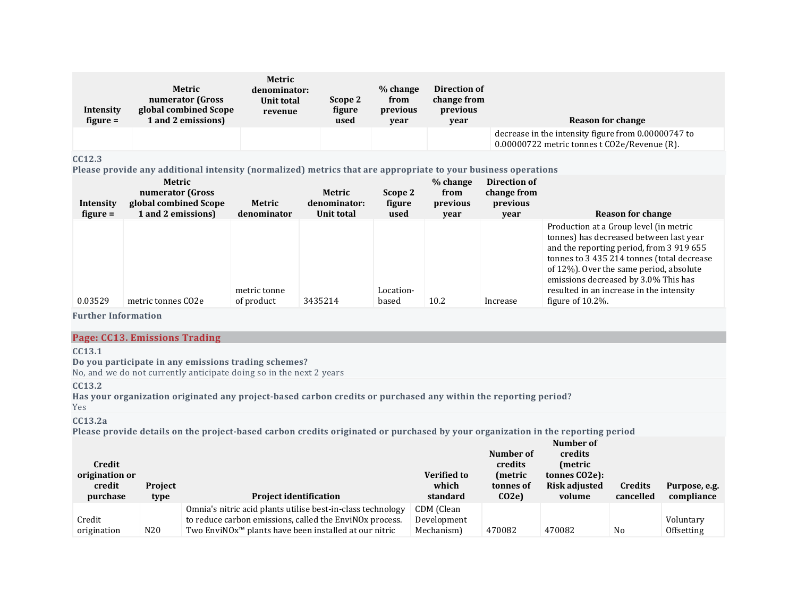| Intensity<br>$figure =$ | Metric<br>numerator (Gross<br>global combined Scope<br>1 and 2 emissions) | Metric<br>denominator:<br>Unit total<br>revenue | Scope 2<br>figure<br>used | % change<br>from<br>previous<br>year | Direction of<br>change from<br>previous<br>year | Reason for change                                                                                   |
|-------------------------|---------------------------------------------------------------------------|-------------------------------------------------|---------------------------|--------------------------------------|-------------------------------------------------|-----------------------------------------------------------------------------------------------------|
|                         |                                                                           |                                                 |                           |                                      |                                                 | decrease in the intensity figure from 0.00000747 to<br>0.00000722 metric tonnes t CO2e/Revenue (R). |

### **CC12.3**

**Please provide any additional intensity (normalized) metrics that are appropriate to your business operations**

| Intensity<br>$figure =$ | Metric<br>numerator (Gross<br>global combined Scope<br>1 and 2 emissions) | Metric<br>denominator      | Metric<br>denominator:<br>Unit total | Scope 2<br>figure<br>used | % change<br>from<br>previous<br>vear | Direction of<br>change from<br>previous<br>year | <b>Reason for change</b>                                                                                                                                                                                                                                                                                                           |
|-------------------------|---------------------------------------------------------------------------|----------------------------|--------------------------------------|---------------------------|--------------------------------------|-------------------------------------------------|------------------------------------------------------------------------------------------------------------------------------------------------------------------------------------------------------------------------------------------------------------------------------------------------------------------------------------|
| 0.03529                 | metric tonnes CO2e                                                        | metric tonne<br>of product | 3435214                              | Location-<br>based        | 10.2                                 | Increase                                        | Production at a Group level (in metric<br>tonnes) has decreased between last year<br>and the reporting period, from 3 919 655<br>tonnes to 3 435 214 tonnes (total decrease<br>of 12%). Over the same period, absolute<br>emissions decreased by 3.0% This has<br>resulted in an increase in the intensity<br>figure of $10.2\%$ . |

**Further Information**

### **Page: CC13. Emissions Trading**

### **CC13.1**

### **Do you participate in any emissions trading schemes?**

No, and we do not currently anticipate doing so in the next 2 years

### **CC13.2**

**Has your organization originated any project-based carbon credits or purchased any within the reporting period?**

# Yes

**CC13.2a**

Please provide details on the project-based carbon credits originated or purchased by your organization in the reporting period

| Credit<br>origination or<br>credit<br>purchase | Project<br>type | <b>Project identification</b>                                                                                                                                                               | <b>Verified to</b><br>which<br>standard | Number of<br>credits<br>(metric<br>tonnes of<br>CO <sub>2</sub> e | Number of<br>credits<br>(metric)<br>tonnes CO <sub>2</sub> e):<br>Risk adjusted<br>volume | Credits<br>cancelled | Purpose, e.g.<br>compliance    |
|------------------------------------------------|-----------------|---------------------------------------------------------------------------------------------------------------------------------------------------------------------------------------------|-----------------------------------------|-------------------------------------------------------------------|-------------------------------------------------------------------------------------------|----------------------|--------------------------------|
| Credit<br>origination                          | N <sub>20</sub> | Omnia's nitric acid plants utilise best-in-class technology<br>to reduce carbon emissions, called the EnviNOx process.<br>Two EnviNOx <sup>™</sup> plants have been installed at our nitric | CDM (Clean<br>Development<br>Mechanism) | 470082                                                            | 470082                                                                                    | No                   | Voluntary<br><b>Offsetting</b> |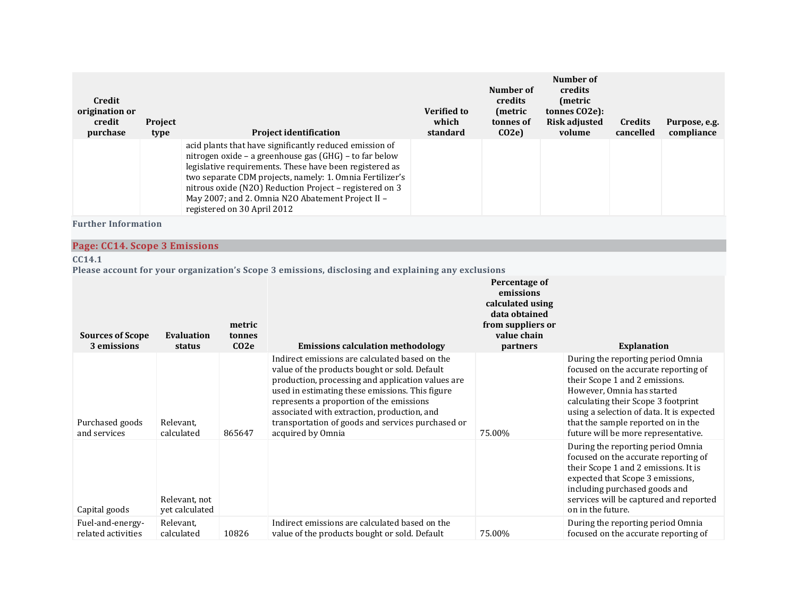| Credit<br>origination or<br>credit<br>purchase | Project<br>type                 |                                                                                                                                                                                                                                                                                                                                                                                         | <b>Project identification</b>                                                                                                                                                                                                                                                                                                                                                | <b>Verified to</b><br>which<br>standard | Number of<br>credits<br>(metric<br>tonnes of<br>CO2e                                                            | Number of<br>credits<br>(metric<br>tonnes CO2e):<br><b>Risk adjusted</b><br>volume | <b>Credits</b><br>cancelled                                                                                                                                                                                                                                   | Purpose, e.g.<br>compliance               |
|------------------------------------------------|---------------------------------|-----------------------------------------------------------------------------------------------------------------------------------------------------------------------------------------------------------------------------------------------------------------------------------------------------------------------------------------------------------------------------------------|------------------------------------------------------------------------------------------------------------------------------------------------------------------------------------------------------------------------------------------------------------------------------------------------------------------------------------------------------------------------------|-----------------------------------------|-----------------------------------------------------------------------------------------------------------------|------------------------------------------------------------------------------------|---------------------------------------------------------------------------------------------------------------------------------------------------------------------------------------------------------------------------------------------------------------|-------------------------------------------|
|                                                |                                 | acid plants that have significantly reduced emission of<br>nitrogen oxide - a greenhouse gas (GHG) - to far below<br>legislative requirements. These have been registered as<br>two separate CDM projects, namely: 1. Omnia Fertilizer's<br>nitrous oxide (N2O) Reduction Project - registered on 3<br>May 2007; and 2. Omnia N2O Abatement Project II -<br>registered on 30 April 2012 |                                                                                                                                                                                                                                                                                                                                                                              |                                         |                                                                                                                 |                                                                                    |                                                                                                                                                                                                                                                               |                                           |
| <b>Further Information</b>                     |                                 |                                                                                                                                                                                                                                                                                                                                                                                         |                                                                                                                                                                                                                                                                                                                                                                              |                                         |                                                                                                                 |                                                                                    |                                                                                                                                                                                                                                                               |                                           |
| Page: CC14. Scope 3 Emissions                  |                                 |                                                                                                                                                                                                                                                                                                                                                                                         |                                                                                                                                                                                                                                                                                                                                                                              |                                         |                                                                                                                 |                                                                                    |                                                                                                                                                                                                                                                               |                                           |
| CC14.1                                         |                                 |                                                                                                                                                                                                                                                                                                                                                                                         |                                                                                                                                                                                                                                                                                                                                                                              |                                         |                                                                                                                 |                                                                                    |                                                                                                                                                                                                                                                               |                                           |
| <b>Sources of Scope</b><br>3 emissions         | <b>Evaluation</b><br>status     | metric<br>tonnes<br>CO <sub>2</sub> e                                                                                                                                                                                                                                                                                                                                                   | Please account for your organization's Scope 3 emissions, disclosing and explaining any exclusions<br><b>Emissions calculation methodology</b>                                                                                                                                                                                                                               |                                         | Percentage of<br>emissions<br>calculated using<br>data obtained<br>from suppliers or<br>value chain<br>partners |                                                                                    | <b>Explanation</b>                                                                                                                                                                                                                                            |                                           |
| Purchased goods<br>and services                | Relevant,<br>calculated         | 865647                                                                                                                                                                                                                                                                                                                                                                                  | Indirect emissions are calculated based on the<br>value of the products bought or sold. Default<br>production, processing and application values are<br>used in estimating these emissions. This figure<br>represents a proportion of the emissions<br>associated with extraction, production, and<br>transportation of goods and services purchased or<br>acquired by Omnia |                                         | 75.00%                                                                                                          |                                                                                    | During the reporting period Omnia<br>focused on the accurate reporting of<br>their Scope 1 and 2 emissions.<br>However, Omnia has started<br>calculating their Scope 3 footprint<br>that the sample reported on in the<br>future will be more representative. | using a selection of data. It is expected |
| Capital goods                                  | Relevant, not<br>yet calculated |                                                                                                                                                                                                                                                                                                                                                                                         |                                                                                                                                                                                                                                                                                                                                                                              |                                         |                                                                                                                 | on in the future.                                                                  | During the reporting period Omnia<br>focused on the accurate reporting of<br>their Scope 1 and 2 emissions. It is<br>expected that Scope 3 emissions,<br>including purchased goods and                                                                        | services will be captured and reported    |
| Fuel-and-energy-<br>related activities         | Relevant,<br>calculated         | 10826                                                                                                                                                                                                                                                                                                                                                                                   | Indirect emissions are calculated based on the<br>value of the products bought or sold. Default                                                                                                                                                                                                                                                                              |                                         | 75.00%                                                                                                          |                                                                                    | During the reporting period Omnia<br>focused on the accurate reporting of                                                                                                                                                                                     |                                           |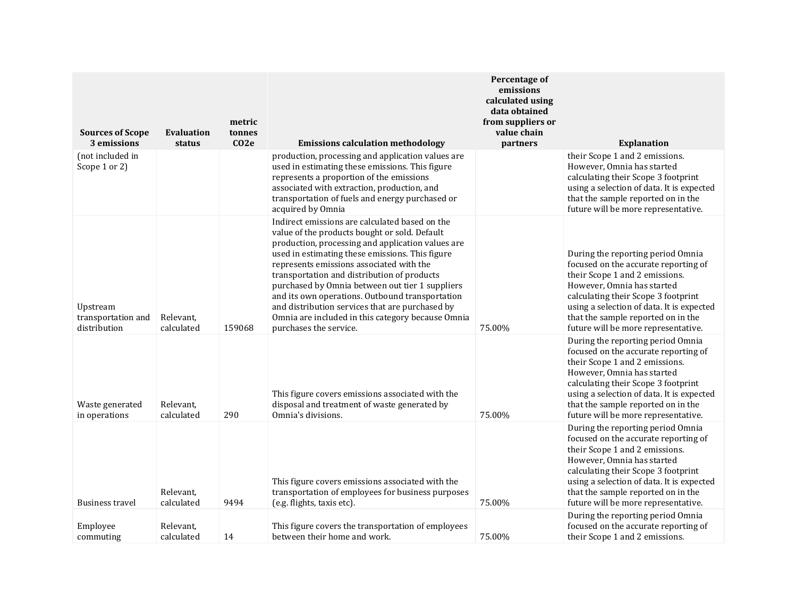| <b>Sources of Scope</b><br>3 emissions         | <b>Evaluation</b><br>status | metric<br>tonnes<br>CO2e | <b>Emissions calculation methodology</b>                                                                                                                                                                                                                                                                                                                                                                                                                                                                                                   | Percentage of<br>emissions<br>calculated using<br>data obtained<br>from suppliers or<br>value chain<br>partners | <b>Explanation</b>                                                                                                                                                                                                                                                                                         |
|------------------------------------------------|-----------------------------|--------------------------|--------------------------------------------------------------------------------------------------------------------------------------------------------------------------------------------------------------------------------------------------------------------------------------------------------------------------------------------------------------------------------------------------------------------------------------------------------------------------------------------------------------------------------------------|-----------------------------------------------------------------------------------------------------------------|------------------------------------------------------------------------------------------------------------------------------------------------------------------------------------------------------------------------------------------------------------------------------------------------------------|
| (not included in<br>Scope 1 or 2)              |                             |                          | production, processing and application values are<br>used in estimating these emissions. This figure<br>represents a proportion of the emissions<br>associated with extraction, production, and<br>transportation of fuels and energy purchased or<br>acquired by Omnia                                                                                                                                                                                                                                                                    |                                                                                                                 | their Scope 1 and 2 emissions.<br>However, Omnia has started<br>calculating their Scope 3 footprint<br>using a selection of data. It is expected<br>that the sample reported on in the<br>future will be more representative.                                                                              |
| Upstream<br>transportation and<br>distribution | Relevant,<br>calculated     | 159068                   | Indirect emissions are calculated based on the<br>value of the products bought or sold. Default<br>production, processing and application values are<br>used in estimating these emissions. This figure<br>represents emissions associated with the<br>transportation and distribution of products<br>purchased by Omnia between out tier 1 suppliers<br>and its own operations. Outbound transportation<br>and distribution services that are purchased by<br>Omnia are included in this category because Omnia<br>purchases the service. | 75.00%                                                                                                          | During the reporting period Omnia<br>focused on the accurate reporting of<br>their Scope 1 and 2 emissions.<br>However, Omnia has started<br>calculating their Scope 3 footprint<br>using a selection of data. It is expected<br>that the sample reported on in the<br>future will be more representative. |
| Waste generated<br>in operations               | Relevant,<br>calculated     | 290                      | This figure covers emissions associated with the<br>disposal and treatment of waste generated by<br>Omnia's divisions.                                                                                                                                                                                                                                                                                                                                                                                                                     | 75.00%                                                                                                          | During the reporting period Omnia<br>focused on the accurate reporting of<br>their Scope 1 and 2 emissions.<br>However, Omnia has started<br>calculating their Scope 3 footprint<br>using a selection of data. It is expected<br>that the sample reported on in the<br>future will be more representative. |
| <b>Business travel</b>                         | Relevant,<br>calculated     | 9494                     | This figure covers emissions associated with the<br>transportation of employees for business purposes<br>(e.g. flights, taxis etc).                                                                                                                                                                                                                                                                                                                                                                                                        | 75.00%                                                                                                          | During the reporting period Omnia<br>focused on the accurate reporting of<br>their Scope 1 and 2 emissions.<br>However, Omnia has started<br>calculating their Scope 3 footprint<br>using a selection of data. It is expected<br>that the sample reported on in the<br>future will be more representative. |
| Employee<br>commuting                          | Relevant,<br>calculated     | 14                       | This figure covers the transportation of employees<br>between their home and work.                                                                                                                                                                                                                                                                                                                                                                                                                                                         | 75.00%                                                                                                          | During the reporting period Omnia<br>focused on the accurate reporting of<br>their Scope 1 and 2 emissions.                                                                                                                                                                                                |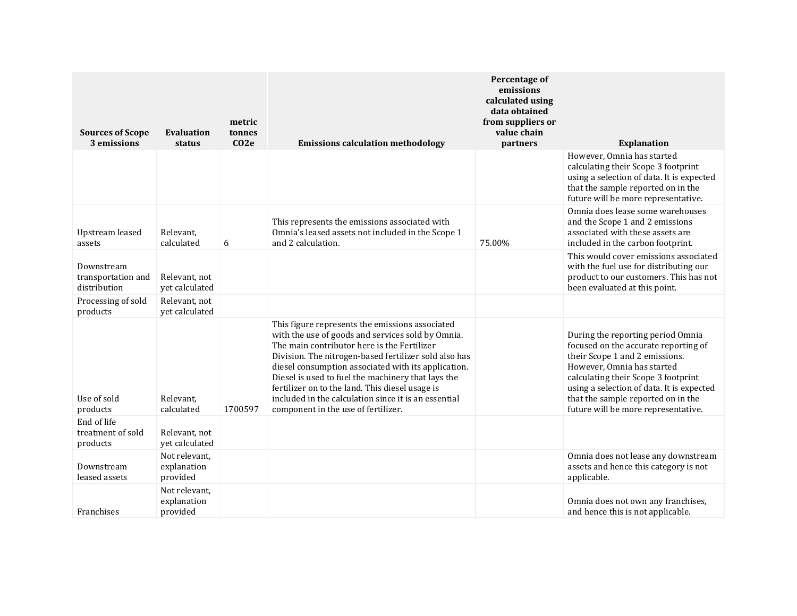| <b>Sources of Scope</b><br>3 emissions           | <b>Evaluation</b><br>status              | metric<br>tonnes<br>$CO2$ e | <b>Emissions calculation methodology</b>                                                                                                                                                                                                                                                                                                                                                                                                                                    | Percentage of<br>emissions<br>calculated using<br>data obtained<br>from suppliers or<br>value chain<br>partners | <b>Explanation</b>                                                                                                                                                                                                                                                                                         |
|--------------------------------------------------|------------------------------------------|-----------------------------|-----------------------------------------------------------------------------------------------------------------------------------------------------------------------------------------------------------------------------------------------------------------------------------------------------------------------------------------------------------------------------------------------------------------------------------------------------------------------------|-----------------------------------------------------------------------------------------------------------------|------------------------------------------------------------------------------------------------------------------------------------------------------------------------------------------------------------------------------------------------------------------------------------------------------------|
|                                                  |                                          |                             |                                                                                                                                                                                                                                                                                                                                                                                                                                                                             |                                                                                                                 | However, Omnia has started<br>calculating their Scope 3 footprint<br>using a selection of data. It is expected<br>that the sample reported on in the<br>future will be more representative.                                                                                                                |
| Upstream leased<br>assets                        | Relevant,<br>calculated                  | 6                           | This represents the emissions associated with<br>Omnia's leased assets not included in the Scope 1<br>and 2 calculation.                                                                                                                                                                                                                                                                                                                                                    | 75.00%                                                                                                          | Omnia does lease some warehouses<br>and the Scope 1 and 2 emissions<br>associated with these assets are<br>included in the carbon footprint.                                                                                                                                                               |
| Downstream<br>transportation and<br>distribution | Relevant, not<br>yet calculated          |                             |                                                                                                                                                                                                                                                                                                                                                                                                                                                                             |                                                                                                                 | This would cover emissions associated<br>with the fuel use for distributing our<br>product to our customers. This has not<br>been evaluated at this point.                                                                                                                                                 |
| Processing of sold<br>products                   | Relevant, not<br>yet calculated          |                             |                                                                                                                                                                                                                                                                                                                                                                                                                                                                             |                                                                                                                 |                                                                                                                                                                                                                                                                                                            |
| Use of sold<br>products                          | Relevant.<br>calculated                  | 1700597                     | This figure represents the emissions associated<br>with the use of goods and services sold by Omnia.<br>The main contributor here is the Fertilizer<br>Division. The nitrogen-based fertilizer sold also has<br>diesel consumption associated with its application.<br>Diesel is used to fuel the machinery that lays the<br>fertilizer on to the land. This diesel usage is<br>included in the calculation since it is an essential<br>component in the use of fertilizer. |                                                                                                                 | During the reporting period Omnia<br>focused on the accurate reporting of<br>their Scope 1 and 2 emissions.<br>However, Omnia has started<br>calculating their Scope 3 footprint<br>using a selection of data. It is expected<br>that the sample reported on in the<br>future will be more representative. |
| End of life<br>treatment of sold<br>products     | Relevant, not<br>yet calculated          |                             |                                                                                                                                                                                                                                                                                                                                                                                                                                                                             |                                                                                                                 |                                                                                                                                                                                                                                                                                                            |
| Downstream<br>leased assets                      | Not relevant,<br>explanation<br>provided |                             |                                                                                                                                                                                                                                                                                                                                                                                                                                                                             |                                                                                                                 | Omnia does not lease any downstream<br>assets and hence this category is not<br>applicable.                                                                                                                                                                                                                |
| Franchises                                       | Not relevant,<br>explanation<br>provided |                             |                                                                                                                                                                                                                                                                                                                                                                                                                                                                             |                                                                                                                 | Omnia does not own any franchises,<br>and hence this is not applicable.                                                                                                                                                                                                                                    |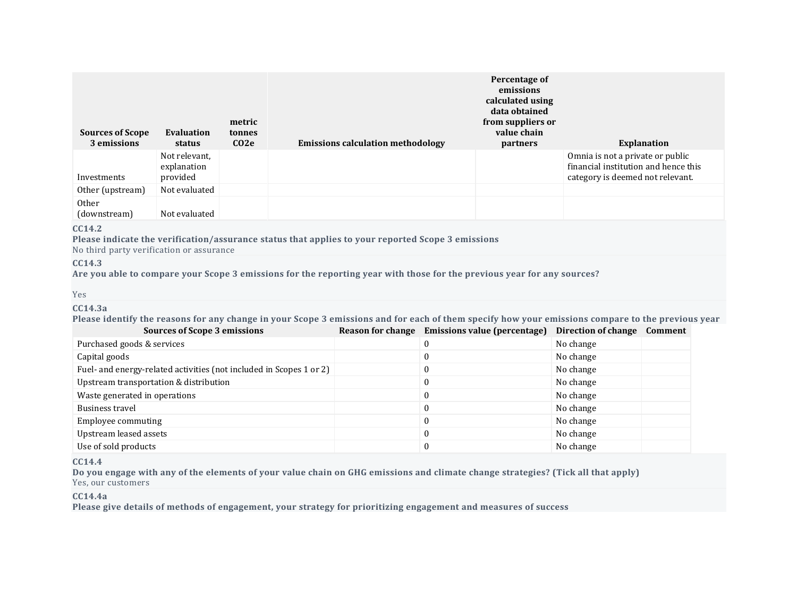| <b>Sources of Scope</b><br>3 emissions | Evaluation<br>status                     | metric<br>tonnes<br>CO <sub>2</sub> e | <b>Emissions calculation methodology</b> | Percentage of<br>emissions<br>calculated using<br>data obtained<br>from suppliers or<br>value chain<br><i>partners</i> | <b>Explanation</b>                                                                                           |
|----------------------------------------|------------------------------------------|---------------------------------------|------------------------------------------|------------------------------------------------------------------------------------------------------------------------|--------------------------------------------------------------------------------------------------------------|
| Investments                            | Not relevant,<br>explanation<br>provided |                                       |                                          |                                                                                                                        | Omnia is not a private or public<br>financial institution and hence this<br>category is deemed not relevant. |
| Other (upstream)                       | Not evaluated                            |                                       |                                          |                                                                                                                        |                                                                                                              |
| Other<br>(downstream)                  | Not evaluated                            |                                       |                                          |                                                                                                                        |                                                                                                              |

#### **CC14.2**

**Please indicate the verification/assurance status that applies to your reported Scope 3 emissions** No third party verification or assurance

### **CC14.3**

Are you able to compare your Scope 3 emissions for the reporting year with those for the previous year for any sources?

#### Yes

#### **CC14.3a**

Please identify the reasons for any change in your Scope 3 emissions and for each of them specify how your emissions compare to the previous year

| <b>Sources of Scope 3 emissions</b>                                 | Reason for change | <b>Emissions value (percentage)</b> | Direction of change | Comment |
|---------------------------------------------------------------------|-------------------|-------------------------------------|---------------------|---------|
| Purchased goods & services                                          |                   |                                     | No change           |         |
| Capital goods                                                       |                   | 0                                   | No change           |         |
| Fuel- and energy-related activities (not included in Scopes 1 or 2) |                   | 0                                   | No change           |         |
| Upstream transportation & distribution                              |                   | 0                                   | No change           |         |
| Waste generated in operations                                       |                   | 0                                   | No change           |         |
| Business travel                                                     |                   | 0                                   | No change           |         |
| Employee commuting                                                  |                   | 0                                   | No change           |         |
| Upstream leased assets                                              |                   | 0                                   | No change           |         |
| Use of sold products                                                |                   |                                     | No change           |         |

### **CC14.4**

Do you engage with any of the elements of your value chain on GHG emissions and climate change strategies? (Tick all that apply) Yes, our customers

#### **CC14.4a**

**Please give details of methods of engagement, your strategy for prioritizing engagement and measures of success**